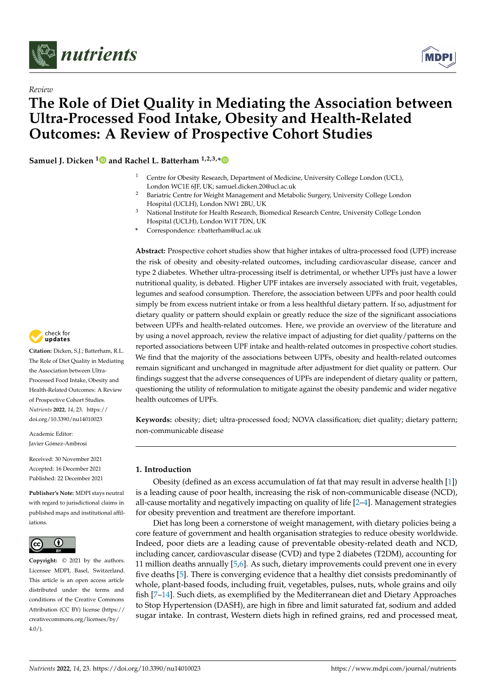



# *Review* **The Role of Diet Quality in Mediating the Association between Ultra-Processed Food Intake, Obesity and Health-Related Outcomes: A Review of Prospective Cohort Studies**

**Samuel J. Dicken [1](https://orcid.org/0000-0001-5663-1715) and Rachel L. Batterham 1,2,3,[\\*](https://orcid.org/0000-0002-5477-8585)**

- <sup>1</sup> Centre for Obesity Research, Department of Medicine, University College London (UCL), London WC1E 6JF, UK; samuel.dicken.20@ucl.ac.uk
- <sup>2</sup> Bariatric Centre for Weight Management and Metabolic Surgery, University College London Hospital (UCLH), London NW1 2BU, UK
- <sup>3</sup> National Institute for Health Research, Biomedical Research Centre, University College London Hospital (UCLH), London W1T 7DN, UK
- **\*** Correspondence: r.batterham@ucl.ac.uk

**Abstract:** Prospective cohort studies show that higher intakes of ultra-processed food (UPF) increase the risk of obesity and obesity-related outcomes, including cardiovascular disease, cancer and type 2 diabetes. Whether ultra-processing itself is detrimental, or whether UPFs just have a lower nutritional quality, is debated. Higher UPF intakes are inversely associated with fruit, vegetables, legumes and seafood consumption. Therefore, the association between UPFs and poor health could simply be from excess nutrient intake or from a less healthful dietary pattern. If so, adjustment for dietary quality or pattern should explain or greatly reduce the size of the significant associations between UPFs and health-related outcomes. Here, we provide an overview of the literature and by using a novel approach, review the relative impact of adjusting for diet quality/patterns on the reported associations between UPF intake and health-related outcomes in prospective cohort studies. We find that the majority of the associations between UPFs, obesity and health-related outcomes remain significant and unchanged in magnitude after adjustment for diet quality or pattern. Our findings suggest that the adverse consequences of UPFs are independent of dietary quality or pattern, questioning the utility of reformulation to mitigate against the obesity pandemic and wider negative health outcomes of UPFs.

**Keywords:** obesity; diet; ultra-processed food; NOVA classification; diet quality; dietary pattern; non-communicable disease

# **1. Introduction**

Obesity (defined as an excess accumulation of fat that may result in adverse health [\[1\]](#page-30-0)) is a leading cause of poor health, increasing the risk of non-communicable disease (NCD), all-cause mortality and negatively impacting on quality of life [\[2–](#page-30-1)[4\]](#page-30-2). Management strategies for obesity prevention and treatment are therefore important.

Diet has long been a cornerstone of weight management, with dietary policies being a core feature of government and health organisation strategies to reduce obesity worldwide. Indeed, poor diets are a leading cause of preventable obesity-related death and NCD, including cancer, cardiovascular disease (CVD) and type 2 diabetes (T2DM), accounting for 11 million deaths annually [\[5](#page-30-3)[,6\]](#page-30-4). As such, dietary improvements could prevent one in every five deaths [\[5\]](#page-30-3). There is converging evidence that a healthy diet consists predominantly of whole, plant-based foods, including fruit, vegetables, pulses, nuts, whole grains and oily fish [\[7](#page-30-5)[–14\]](#page-30-6). Such diets, as exemplified by the Mediterranean diet and Dietary Approaches to Stop Hypertension (DASH), are high in fibre and limit saturated fat, sodium and added sugar intake. In contrast, Western diets high in refined grains, red and processed meat,



**Citation:** Dicken, S.J.; Batterham, R.L. The Role of Diet Quality in Mediating the Association between Ultra-Processed Food Intake, Obesity and Health-Related Outcomes: A Review of Prospective Cohort Studies. *Nutrients* **2022**, *14*, 23. [https://](https://doi.org/10.3390/nu14010023) [doi.org/10.3390/nu14010023](https://doi.org/10.3390/nu14010023)

Academic Editor: Javier Gómez-Ambrosi

Received: 30 November 2021 Accepted: 16 December 2021 Published: 22 December 2021

**Publisher's Note:** MDPI stays neutral with regard to jurisdictional claims in published maps and institutional affiliations.



**Copyright:** © 2021 by the authors. Licensee MDPI, Basel, Switzerland. This article is an open access article distributed under the terms and conditions of the Creative Commons Attribution (CC BY) license [\(https://](https://creativecommons.org/licenses/by/4.0/) [creativecommons.org/licenses/by/](https://creativecommons.org/licenses/by/4.0/)  $4.0/$ ).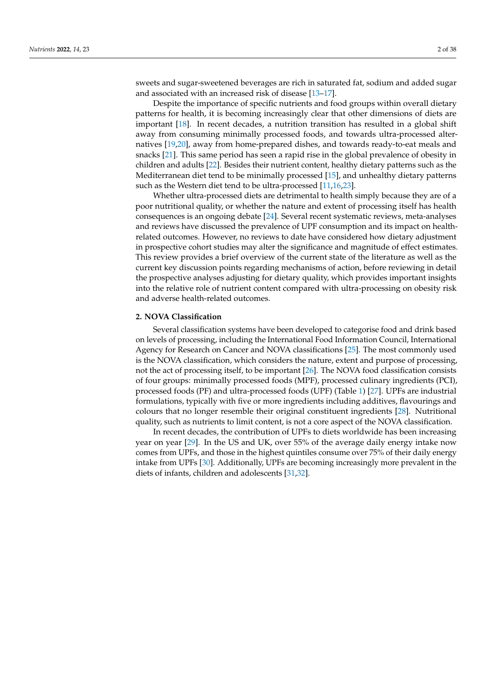sweets and sugar-sweetened beverages are rich in saturated fat, sodium and added sugar and associated with an increased risk of disease [\[13–](#page-30-7)[17\]](#page-30-8).

Despite the importance of specific nutrients and food groups within overall dietary patterns for health, it is becoming increasingly clear that other dimensions of diets are important [\[18\]](#page-30-9). In recent decades, a nutrition transition has resulted in a global shift away from consuming minimally processed foods, and towards ultra-processed alternatives [\[19](#page-30-10)[,20\]](#page-31-0), away from home-prepared dishes, and towards ready-to-eat meals and snacks [\[21\]](#page-31-1). This same period has seen a rapid rise in the global prevalence of obesity in children and adults [\[22\]](#page-31-2). Besides their nutrient content, healthy dietary patterns such as the Mediterranean diet tend to be minimally processed [\[15\]](#page-30-11), and unhealthy dietary patterns such as the Western diet tend to be ultra-processed [\[11](#page-30-12)[,16](#page-30-13)[,23\]](#page-31-3).

Whether ultra-processed diets are detrimental to health simply because they are of a poor nutritional quality, or whether the nature and extent of processing itself has health consequences is an ongoing debate [\[24\]](#page-31-4). Several recent systematic reviews, meta-analyses and reviews have discussed the prevalence of UPF consumption and its impact on healthrelated outcomes. However, no reviews to date have considered how dietary adjustment in prospective cohort studies may alter the significance and magnitude of effect estimates. This review provides a brief overview of the current state of the literature as well as the current key discussion points regarding mechanisms of action, before reviewing in detail the prospective analyses adjusting for dietary quality, which provides important insights into the relative role of nutrient content compared with ultra-processing on obesity risk and adverse health-related outcomes.

### **2. NOVA Classification**

Several classification systems have been developed to categorise food and drink based on levels of processing, including the International Food Information Council, International Agency for Research on Cancer and NOVA classifications [\[25\]](#page-31-5). The most commonly used is the NOVA classification, which considers the nature, extent and purpose of processing, not the act of processing itself, to be important [\[26\]](#page-31-6). The NOVA food classification consists of four groups: minimally processed foods (MPF), processed culinary ingredients (PCI), processed foods (PF) and ultra-processed foods (UPF) (Table [1\)](#page-2-0) [\[27\]](#page-31-7). UPFs are industrial formulations, typically with five or more ingredients including additives, flavourings and colours that no longer resemble their original constituent ingredients [\[28\]](#page-31-8). Nutritional quality, such as nutrients to limit content, is not a core aspect of the NOVA classification.

In recent decades, the contribution of UPFs to diets worldwide has been increasing year on year [\[29\]](#page-31-9). In the US and UK, over 55% of the average daily energy intake now comes from UPFs, and those in the highest quintiles consume over 75% of their daily energy intake from UPFs [\[30\]](#page-31-10). Additionally, UPFs are becoming increasingly more prevalent in the diets of infants, children and adolescents [\[31,](#page-31-11)[32\]](#page-31-12).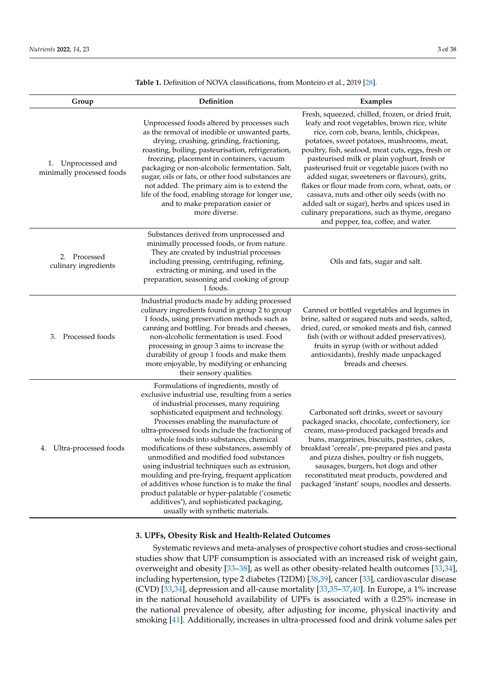| Group                                              | Definition                                                                                                                                                                                                                                                                                                                                                                                                                                                                                                                                                                                                                                                                                                       | Examples                                                                                                                                                                                                                                                                                                                                                                                                                                                                                                                                                                                                                                        |
|----------------------------------------------------|------------------------------------------------------------------------------------------------------------------------------------------------------------------------------------------------------------------------------------------------------------------------------------------------------------------------------------------------------------------------------------------------------------------------------------------------------------------------------------------------------------------------------------------------------------------------------------------------------------------------------------------------------------------------------------------------------------------|-------------------------------------------------------------------------------------------------------------------------------------------------------------------------------------------------------------------------------------------------------------------------------------------------------------------------------------------------------------------------------------------------------------------------------------------------------------------------------------------------------------------------------------------------------------------------------------------------------------------------------------------------|
| Unprocessed and<br>1.<br>minimally processed foods | Unprocessed foods altered by processes such<br>as the removal of inedible or unwanted parts,<br>drying, crushing, grinding, fractioning,<br>roasting, boiling, pasteurisation, refrigeration,<br>freezing, placement in containers, vacuum<br>packaging or non-alcoholic fermentation. Salt,<br>sugar, oils or fats, or other food substances are<br>not added. The primary aim is to extend the<br>life of the food, enabling storage for longer use,<br>and to make preparation easier or<br>more diverse.                                                                                                                                                                                                     | Fresh, squeezed, chilled, frozen, or dried fruit,<br>leafy and root vegetables, brown rice, white<br>rice, corn cob, beans, lentils, chickpeas,<br>potatoes, sweet potatoes, mushrooms, meat,<br>poultry, fish, seafood, meat cuts, eggs, fresh or<br>pasteurised milk or plain yoghurt, fresh or<br>pasteurised fruit or vegetable juices (with no<br>added sugar, sweeteners or flavours), grits,<br>flakes or flour made from corn, wheat, oats, or<br>cassava, nuts and other oily seeds (with no<br>added salt or sugar), herbs and spices used in<br>culinary preparations, such as thyme, oregano<br>and pepper, tea, coffee, and water. |
| 2. Processed<br>culinary ingredients               | Substances derived from unprocessed and<br>minimally processed foods, or from nature.<br>They are created by industrial processes<br>including pressing, centrifuging, refining,<br>extracting or mining, and used in the<br>preparation, seasoning and cooking of group<br>1 foods.                                                                                                                                                                                                                                                                                                                                                                                                                             | Oils and fats, sugar and salt.                                                                                                                                                                                                                                                                                                                                                                                                                                                                                                                                                                                                                  |
| Processed foods<br>3.                              | Industrial products made by adding processed<br>culinary ingredients found in group 2 to group<br>1 foods, using preservation methods such as<br>canning and bottling. For breads and cheeses,<br>non-alcoholic fermentation is used. Food<br>processing in group 3 aims to increase the<br>durability of group 1 foods and make them<br>more enjoyable, by modifying or enhancing<br>their sensory qualities.                                                                                                                                                                                                                                                                                                   | Canned or bottled vegetables and legumes in<br>brine, salted or sugared nuts and seeds, salted,<br>dried, cured, or smoked meats and fish, canned<br>fish (with or without added preservatives),<br>fruits in syrup (with or without added<br>antioxidants), freshly made unpackaged<br>breads and cheeses.                                                                                                                                                                                                                                                                                                                                     |
| Ultra-processed foods<br>4.                        | Formulations of ingredients, mostly of<br>exclusive industrial use, resulting from a series<br>of industrial processes, many requiring<br>sophisticated equipment and technology.<br>Processes enabling the manufacture of<br>ultra-processed foods include the fractioning of<br>whole foods into substances, chemical<br>modifications of these substances, assembly of<br>unmodified and modified food substances<br>using industrial techniques such as extrusion,<br>moulding and pre-frying, frequent application<br>of additives whose function is to make the final<br>product palatable or hyper-palatable ('cosmetic<br>additives'), and sophisticated packaging,<br>usually with synthetic materials. | Carbonated soft drinks, sweet or savoury<br>packaged snacks, chocolate, confectionery, ice<br>cream, mass-produced packaged breads and<br>buns, margarines, biscuits, pastries, cakes,<br>breakfast 'cereals', pre-prepared pies and pasta<br>and pizza dishes, poultry or fish nuggets,<br>sausages, burgers, hot dogs and other<br>reconstituted meat products, powdered and<br>packaged 'instant' soups, noodles and desserts.                                                                                                                                                                                                               |

<span id="page-2-0"></span>**Table 1.** Definition of NOVA classifications, from Monteiro et al., 2019 [\[28\]](#page-31-8).

# **3. UPFs, Obesity Risk and Health-Related Outcomes**

Systematic reviews and meta-analyses of prospective cohort studies and cross-sectional studies show that UPF consumption is associated with an increased risk of weight gain, overweight and obesity [\[33](#page-31-13)[–38\]](#page-31-14), as well as other obesity-related health outcomes [\[33,](#page-31-13)[34\]](#page-31-15), including hypertension, type 2 diabetes (T2DM) [\[38,](#page-31-14)[39\]](#page-31-16), cancer [\[33\]](#page-31-13), cardiovascular disease (CVD) [\[33](#page-31-13)[,34\]](#page-31-15), depression and all-cause mortality [\[33](#page-31-13)[,35–](#page-31-17)[37](#page-31-18)[,40\]](#page-31-19). In Europe, a 1% increase in the national household availability of UPFs is associated with a 0.25% increase in the national prevalence of obesity, after adjusting for income, physical inactivity and smoking [\[41\]](#page-31-20). Additionally, increases in ultra-processed food and drink volume sales per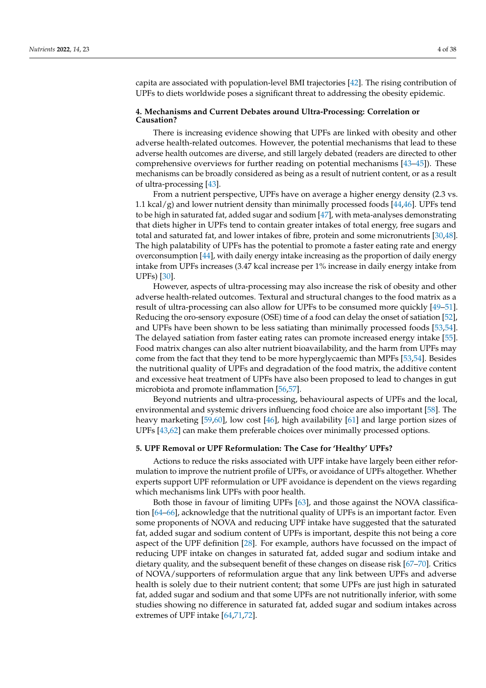capita are associated with population-level BMI trajectories [\[42\]](#page-31-21). The rising contribution of UPFs to diets worldwide poses a significant threat to addressing the obesity epidemic.

## **4. Mechanisms and Current Debates around Ultra-Processing: Correlation or Causation?**

There is increasing evidence showing that UPFs are linked with obesity and other adverse health-related outcomes. However, the potential mechanisms that lead to these adverse health outcomes are diverse, and still largely debated (readers are directed to other comprehensive overviews for further reading on potential mechanisms [\[43](#page-31-22)[–45\]](#page-31-23)). These mechanisms can be broadly considered as being as a result of nutrient content, or as a result of ultra-processing [\[43\]](#page-31-22).

From a nutrient perspective, UPFs have on average a higher energy density (2.3 vs. 1.1 kcal/g) and lower nutrient density than minimally processed foods  $[44,46]$  $[44,46]$ . UPFs tend to be high in saturated fat, added sugar and sodium [\[47\]](#page-32-1), with meta-analyses demonstrating that diets higher in UPFs tend to contain greater intakes of total energy, free sugars and total and saturated fat, and lower intakes of fibre, protein and some micronutrients [\[30](#page-31-10)[,48\]](#page-32-2). The high palatability of UPFs has the potential to promote a faster eating rate and energy overconsumption [\[44\]](#page-31-24), with daily energy intake increasing as the proportion of daily energy intake from UPFs increases (3.47 kcal increase per 1% increase in daily energy intake from UPFs) [\[30\]](#page-31-10).

However, aspects of ultra-processing may also increase the risk of obesity and other adverse health-related outcomes. Textural and structural changes to the food matrix as a result of ultra-processing can also allow for UPFs to be consumed more quickly [\[49](#page-32-3)[–51\]](#page-32-4). Reducing the oro-sensory exposure (OSE) time of a food can delay the onset of satiation [\[52\]](#page-32-5), and UPFs have been shown to be less satiating than minimally processed foods [\[53,](#page-32-6)[54\]](#page-32-7). The delayed satiation from faster eating rates can promote increased energy intake [\[55\]](#page-32-8). Food matrix changes can also alter nutrient bioavailability, and the harm from UPFs may come from the fact that they tend to be more hyperglycaemic than MPFs [\[53](#page-32-6)[,54\]](#page-32-7). Besides the nutritional quality of UPFs and degradation of the food matrix, the additive content and excessive heat treatment of UPFs have also been proposed to lead to changes in gut microbiota and promote inflammation [\[56,](#page-32-9)[57\]](#page-32-10).

Beyond nutrients and ultra-processing, behavioural aspects of UPFs and the local, environmental and systemic drivers influencing food choice are also important [\[58\]](#page-32-11). The heavy marketing [\[59](#page-32-12)[,60\]](#page-32-13), low cost [\[46\]](#page-32-0), high availability [\[61\]](#page-32-14) and large portion sizes of UPFs [\[43,](#page-31-22)[62\]](#page-32-15) can make them preferable choices over minimally processed options.

#### **5. UPF Removal or UPF Reformulation: The Case for 'Healthy' UPFs?**

Actions to reduce the risks associated with UPF intake have largely been either reformulation to improve the nutrient profile of UPFs, or avoidance of UPFs altogether. Whether experts support UPF reformulation or UPF avoidance is dependent on the views regarding which mechanisms link UPFs with poor health.

Both those in favour of limiting UPFs [\[63\]](#page-32-16), and those against the NOVA classification [\[64](#page-32-17)[–66\]](#page-32-18), acknowledge that the nutritional quality of UPFs is an important factor. Even some proponents of NOVA and reducing UPF intake have suggested that the saturated fat, added sugar and sodium content of UPFs is important, despite this not being a core aspect of the UPF definition [\[28\]](#page-31-8). For example, authors have focussed on the impact of reducing UPF intake on changes in saturated fat, added sugar and sodium intake and dietary quality, and the subsequent benefit of these changes on disease risk [\[67](#page-32-19)[–70\]](#page-32-20). Critics of NOVA/supporters of reformulation argue that any link between UPFs and adverse health is solely due to their nutrient content; that some UPFs are just high in saturated fat, added sugar and sodium and that some UPFs are not nutritionally inferior, with some studies showing no difference in saturated fat, added sugar and sodium intakes across extremes of UPF intake [\[64](#page-32-17)[,71](#page-32-21)[,72\]](#page-33-0).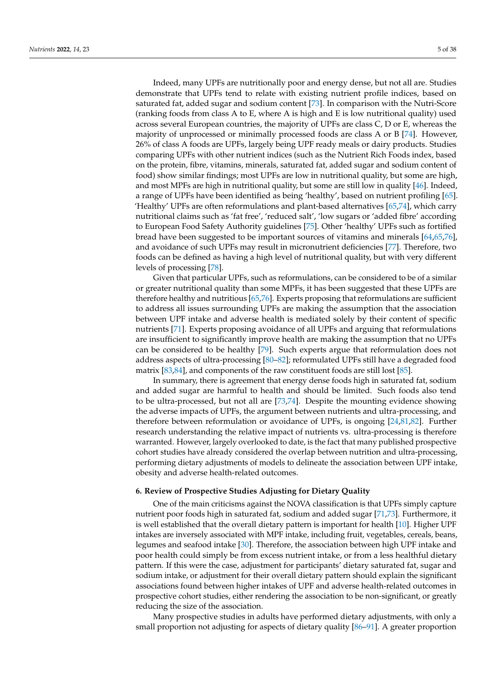Indeed, many UPFs are nutritionally poor and energy dense, but not all are. Studies demonstrate that UPFs tend to relate with existing nutrient profile indices, based on saturated fat, added sugar and sodium content [\[73\]](#page-33-1). In comparison with the Nutri-Score (ranking foods from class A to E, where A is high and E is low nutritional quality) used across several European countries, the majority of UPFs are class C, D or E, whereas the majority of unprocessed or minimally processed foods are class A or B [\[74\]](#page-33-2). However, 26% of class A foods are UPFs, largely being UPF ready meals or dairy products. Studies comparing UPFs with other nutrient indices (such as the Nutrient Rich Foods index, based on the protein, fibre, vitamins, minerals, saturated fat, added sugar and sodium content of food) show similar findings; most UPFs are low in nutritional quality, but some are high, and most MPFs are high in nutritional quality, but some are still low in quality [\[46\]](#page-32-0). Indeed, a range of UPFs have been identified as being 'healthy', based on nutrient profiling [\[65\]](#page-32-22). 'Healthy' UPFs are often reformulations and plant-based alternatives [\[65,](#page-32-22)[74\]](#page-33-2), which carry nutritional claims such as 'fat free', 'reduced salt', 'low sugars or 'added fibre' according to European Food Safety Authority guidelines [\[75\]](#page-33-3). Other 'healthy' UPFs such as fortified bread have been suggested to be important sources of vitamins and minerals [\[64,](#page-32-17)[65,](#page-32-22)[76\]](#page-33-4), and avoidance of such UPFs may result in micronutrient deficiencies [\[77\]](#page-33-5). Therefore, two foods can be defined as having a high level of nutritional quality, but with very different levels of processing [\[78\]](#page-33-6).

Given that particular UPFs, such as reformulations, can be considered to be of a similar or greater nutritional quality than some MPFs, it has been suggested that these UPFs are therefore healthy and nutritious [\[65](#page-32-22)[,76\]](#page-33-4). Experts proposing that reformulations are sufficient to address all issues surrounding UPFs are making the assumption that the association between UPF intake and adverse health is mediated solely by their content of specific nutrients [\[71\]](#page-32-21). Experts proposing avoidance of all UPFs and arguing that reformulations are insufficient to significantly improve health are making the assumption that no UPFs can be considered to be healthy [\[79\]](#page-33-7). Such experts argue that reformulation does not address aspects of ultra-processing [\[80](#page-33-8)[–82\]](#page-33-9); reformulated UPFs still have a degraded food matrix [\[83,](#page-33-10)[84\]](#page-33-11), and components of the raw constituent foods are still lost [\[85\]](#page-33-12).

In summary, there is agreement that energy dense foods high in saturated fat, sodium and added sugar are harmful to health and should be limited. Such foods also tend to be ultra-processed, but not all are [\[73](#page-33-1)[,74\]](#page-33-2). Despite the mounting evidence showing the adverse impacts of UPFs, the argument between nutrients and ultra-processing, and therefore between reformulation or avoidance of UPFs, is ongoing [\[24](#page-31-4)[,81](#page-33-13)[,82\]](#page-33-9). Further research understanding the relative impact of nutrients vs. ultra-processing is therefore warranted. However, largely overlooked to date, is the fact that many published prospective cohort studies have already considered the overlap between nutrition and ultra-processing, performing dietary adjustments of models to delineate the association between UPF intake, obesity and adverse health-related outcomes.

#### **6. Review of Prospective Studies Adjusting for Dietary Quality**

One of the main criticisms against the NOVA classification is that UPFs simply capture nutrient poor foods high in saturated fat, sodium and added sugar [\[71](#page-32-21)[,73\]](#page-33-1). Furthermore, it is well established that the overall dietary pattern is important for health [\[10\]](#page-30-14). Higher UPF intakes are inversely associated with MPF intake, including fruit, vegetables, cereals, beans, legumes and seafood intake [\[30\]](#page-31-10). Therefore, the association between high UPF intake and poor health could simply be from excess nutrient intake, or from a less healthful dietary pattern. If this were the case, adjustment for participants' dietary saturated fat, sugar and sodium intake, or adjustment for their overall dietary pattern should explain the significant associations found between higher intakes of UPF and adverse health-related outcomes in prospective cohort studies, either rendering the association to be non-significant, or greatly reducing the size of the association.

Many prospective studies in adults have performed dietary adjustments, with only a small proportion not adjusting for aspects of dietary quality [\[86](#page-33-14)[–91\]](#page-33-15). A greater proportion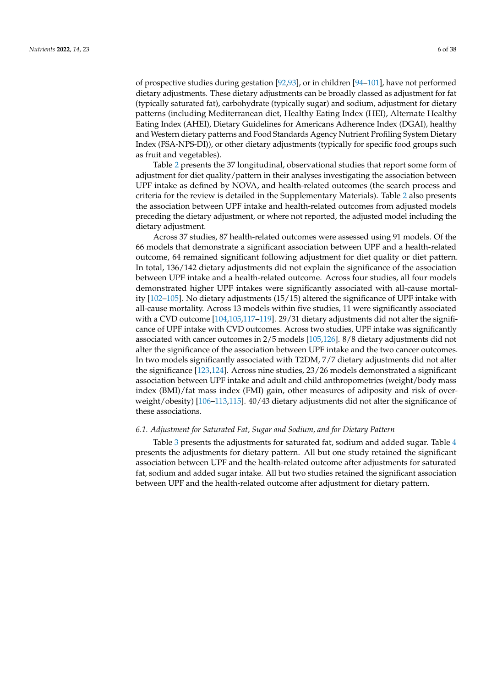of prospective studies during gestation [\[92,](#page-33-16)[93\]](#page-33-17), or in children [\[94](#page-33-18)[–101\]](#page-34-0), have not performed dietary adjustments. These dietary adjustments can be broadly classed as adjustment for fat (typically saturated fat), carbohydrate (typically sugar) and sodium, adjustment for dietary patterns (including Mediterranean diet, Healthy Eating Index (HEI), Alternate Healthy Eating Index (AHEI), Dietary Guidelines for Americans Adherence Index (DGAI), healthy and Western dietary patterns and Food Standards Agency Nutrient Profiling System Dietary Index (FSA-NPS-DI)), or other dietary adjustments (typically for specific food groups such as fruit and vegetables).

Table [2](#page-6-0) presents the 37 longitudinal, observational studies that report some form of adjustment for diet quality/pattern in their analyses investigating the association between UPF intake as defined by NOVA, and health-related outcomes (the search process and criteria for the review is detailed in the Supplementary Materials). Table [2](#page-6-0) also presents the association between UPF intake and health-related outcomes from adjusted models preceding the dietary adjustment, or where not reported, the adjusted model including the dietary adjustment.

Across 37 studies, 87 health-related outcomes were assessed using 91 models. Of the 66 models that demonstrate a significant association between UPF and a health-related outcome, 64 remained significant following adjustment for diet quality or diet pattern. In total, 136/142 dietary adjustments did not explain the significance of the association between UPF intake and a health-related outcome. Across four studies, all four models demonstrated higher UPF intakes were significantly associated with all-cause mortality [\[102](#page-34-1)[–105\]](#page-34-2). No dietary adjustments (15/15) altered the significance of UPF intake with all-cause mortality. Across 13 models within five studies, 11 were significantly associated with a CVD outcome [\[104,](#page-34-3)[105,](#page-34-2)117-[119\]](#page-35-0). 29/31 dietary adjustments did not alter the significance of UPF intake with CVD outcomes. Across two studies, UPF intake was significantly associated with cancer outcomes in 2/5 models [\[105](#page-34-2)[,126\]](#page-35-1). 8/8 dietary adjustments did not alter the significance of the association between UPF intake and the two cancer outcomes. In two models significantly associated with T2DM, 7/7 dietary adjustments did not alter the significance [\[123,](#page-35-2)[124\]](#page-35-3). Across nine studies, 23/26 models demonstrated a significant association between UPF intake and adult and child anthropometrics (weight/body mass index (BMI)/fat mass index (FMI) gain, other measures of adiposity and risk of overweight/obesity) [\[106](#page-34-5)[–113,](#page-34-6)[115\]](#page-34-7). 40/43 dietary adjustments did not alter the significance of these associations.

#### <span id="page-5-0"></span>*6.1. Adjustment for Saturated Fat, Sugar and Sodium, and for Dietary Pattern*

Table [3](#page-11-0) presents the adjustments for saturated fat, sodium and added sugar. Table [4](#page-12-0) presents the adjustments for dietary pattern. All but one study retained the significant association between UPF and the health-related outcome after adjustments for saturated fat, sodium and added sugar intake. All but two studies retained the significant association between UPF and the health-related outcome after adjustment for dietary pattern.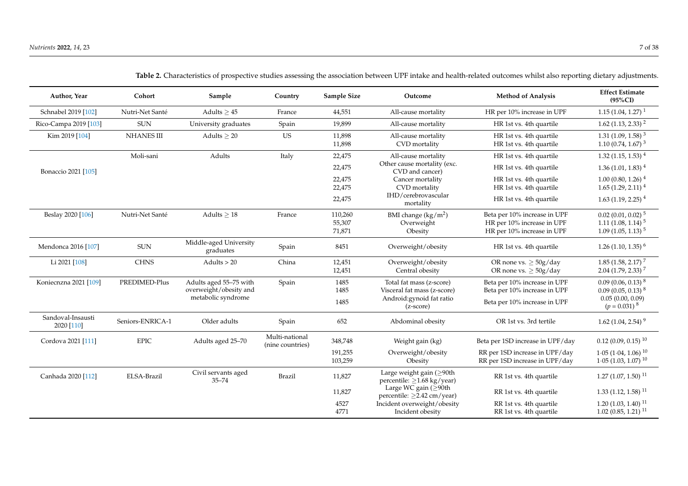<span id="page-6-0"></span>

| Author, Year                    | Cohort            | Sample                                                                 | Country                            | Sample Size                 | Outcome                                                                                                    | <b>Method of Analysis</b>                                                                    | <b>Effect Estimate</b><br>$(95\%CI)$                                                |
|---------------------------------|-------------------|------------------------------------------------------------------------|------------------------------------|-----------------------------|------------------------------------------------------------------------------------------------------------|----------------------------------------------------------------------------------------------|-------------------------------------------------------------------------------------|
| Schnabel 2019 [102]             | Nutri-Net Santé   | Adults $> 45$                                                          | France                             | 44,551                      | All-cause mortality                                                                                        | HR per 10% increase in UPF                                                                   | $1.15(1.04, 1.27)^{1}$                                                              |
| Rico-Campa 2019 [103]           | <b>SUN</b>        | University graduates                                                   | Spain                              | 19,899                      | All-cause mortality                                                                                        | HR 1st vs. 4th quartile                                                                      | $1.62$ (1.13, 2.33) <sup>2</sup>                                                    |
| Kim 2019 [104]                  | <b>NHANES III</b> | Adults $> 20$                                                          | <b>US</b>                          | 11,898<br>11,898            | All-cause mortality<br>CVD mortality                                                                       | HR 1st vs. 4th quartile<br>HR 1st vs. 4th quartile                                           | $1.31(1.09, 1.58)^3$<br>1.10 (0.74, 1.67) <sup>3</sup>                              |
|                                 | Moli-sani         | Adults                                                                 | Italy                              | 22,475                      | All-cause mortality                                                                                        | HR 1st vs. 4th quartile                                                                      | $1.32(1.15, 1.53)^{4}$                                                              |
| Bonaccio 2021 [105]             |                   |                                                                        |                                    | 22,475                      | Other cause mortality (exc.<br>CVD and cancer)                                                             | HR 1st vs. 4th quartile                                                                      | $1.36(1.01, 1.83)^{4}$                                                              |
|                                 |                   |                                                                        |                                    | 22,475<br>22,475            | Cancer mortality<br>CVD mortality                                                                          | HR 1st vs. 4th quartile<br>HR 1st vs. 4th quartile                                           | $1.00(0.80, 1.26)^4$<br>$1.65(1.29, 2.11)^4$                                        |
|                                 |                   |                                                                        |                                    | 22,475                      | IHD/cerebrovascular<br>mortality                                                                           | HR 1st vs. 4th quartile                                                                      | $1.63$ (1.19, 2.25) <sup>4</sup>                                                    |
| Beslay 2020 [106]               | Nutri-Net Santé   | Adults $> 18$                                                          | France                             | 110,260<br>55,307<br>71,871 | BMI change $(kg/m2)$<br>Overweight<br>Obesity                                                              | Beta per 10% increase in UPF<br>HR per 10% increase in UPF<br>HR per 10% increase in UPF     | $0.02$ (0.01, 0.02) <sup>5</sup><br>$1.11(1.08, 1.14)^5$<br>$1.09(1.05, 1.13)^5$    |
| Mendonca 2016 [107]             | <b>SUN</b>        | Middle-aged University<br>graduates                                    | Spain                              | 8451                        | Overweight/obesity                                                                                         | HR 1st vs. 4th quartile                                                                      | $1.26(1.10, 1.35)^6$                                                                |
| Li 2021 [108]                   | <b>CHNS</b>       | Adults $> 20$                                                          | China                              | 12,451<br>12,451            | Overweight/obesity<br>Central obesity                                                                      | OR none vs. $>$ 50g/day<br>OR none vs. $\geq$ 50g/day                                        | $1.85(1.58, 2.17)^{7}$<br>$2.04$ (1.79, 2.33) <sup>7</sup>                          |
| Koniecnzna 2021 [109]           | PREDIMED-Plus     | Adults aged 55-75 with<br>overweight/obesity and<br>metabolic syndrome | Spain                              | 1485<br>1485<br>1485        | Total fat mass (z-score)<br>Visceral fat mass (z-score)<br>Android: gynoid fat ratio<br>$(z\text{-score})$ | Beta per 10% increase in UPF<br>Beta per 10% increase in UPF<br>Beta per 10% increase in UPF | $0.09(0.06, 0.13)^8$<br>$0.09(0.05, 0.13)^8$<br>0.05(0.00, 0.09)<br>$(p = 0.031)^8$ |
| Sandoval-Insausti<br>2020 [110] | Seniors-ENRICA-1  | Older adults                                                           | Spain                              | 652                         | Abdominal obesity                                                                                          | OR 1st vs. 3rd tertile                                                                       | 1.62 (1.04, 2.54) <sup>9</sup>                                                      |
| Cordova 2021 [111]              | <b>EPIC</b>       | Adults aged 25-70                                                      | Multi-national<br>(nine countries) | 348,748                     | Weight gain (kg)                                                                                           | Beta per 1SD increase in UPF/day                                                             | $0.12(0.09, 0.15)^{10}$                                                             |
|                                 |                   |                                                                        |                                    | 191,255<br>103,259          | Overweight/obesity<br>Obesity                                                                              | RR per 1SD increase in UPF/day<br>RR per 1SD increase in UPF/day                             | $1.05(1.04, 1.06)^{10}$<br>$1.05$ (1.03, 1.07) <sup>10</sup>                        |
| Canhada 2020 [112]              | ELSA-Brazil       | Civil servants aged<br>$35 - 74$                                       | <b>Brazil</b>                      | 11,827                      | Large weight gain ( $\geq$ 90th<br>percentile: $\geq$ 1.68 kg/year)                                        | RR 1st vs. 4th quartile                                                                      | $1.27(1.07, 1.50)^{11}$                                                             |
|                                 |                   |                                                                        |                                    | 11,827                      | Large WC gain $(≥90th$<br>percentile: $\geq$ 2.42 cm/year)                                                 | RR 1st vs. 4th quartile                                                                      | $1.33(1.12, 1.58)^{11}$                                                             |
|                                 |                   |                                                                        |                                    | 4527<br>4771                | Incident overweight/obesity<br>Incident obesity                                                            | RR 1st vs. 4th quartile<br>RR 1st vs. 4th quartile                                           | $1.20(1.03, 1.40)^{11}$<br>$1.02(0.85, 1.21)^{11}$                                  |

**Table 2.** Characteristics of prospective studies assessing the association between UPF intake and health-related outcomes whilst also reporting dietary adjustments.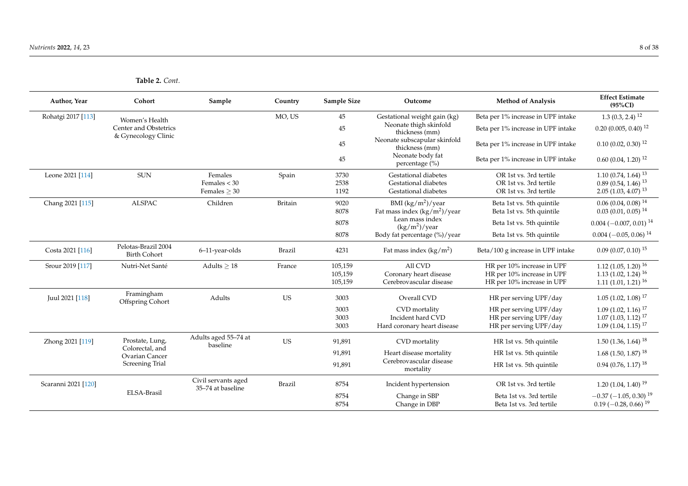**Table 2.** *Cont.*

| Author, Year        | Cohort                                       | Sample                                   | Country        | <b>Sample Size</b> | Outcome                                        | <b>Method of Analysis</b>          | <b>Effect Estimate</b><br>$(95\%CI)$    |
|---------------------|----------------------------------------------|------------------------------------------|----------------|--------------------|------------------------------------------------|------------------------------------|-----------------------------------------|
| Rohatgi 2017 [113]  | Women's Health                               |                                          | MO, US         | 45                 | Gestational weight gain (kg)                   | Beta per 1% increase in UPF intake | $1.3(0.3, 2.4)^{12}$                    |
|                     | Center and Obstetrics<br>& Gynecology Clinic |                                          |                | 45                 | Neonate thigh skinfold<br>thickness (mm)       | Beta per 1% increase in UPF intake | $0.20(0.005, 0.40)^{12}$                |
|                     |                                              |                                          |                | $45\,$             | Neonate subscapular skinfold<br>thickness (mm) | Beta per 1% increase in UPF intake | $0.10(0.02, 0.30)^{12}$                 |
|                     |                                              |                                          |                | 45                 | Neonate body fat<br>percentage (%)             | Beta per 1% increase in UPF intake | $0.60(0.04, 1.20)^{12}$                 |
| Leone 2021 [114]    | <b>SUN</b>                                   | Females                                  | Spain          | 3730               | Gestational diabetes                           | OR 1st vs. 3rd tertile             | $1.10(0.74, 1.64)^{13}$                 |
|                     |                                              | Females $<$ 30                           |                | 2538               | Gestational diabetes                           | OR 1st vs. 3rd tertile             | $0.89(0.54, 1.46)^{13}$                 |
|                     |                                              | Females $> 30$                           |                | 1192               | Gestational diabetes                           | OR 1st vs. 3rd tertile             | $2.05(1.03, 4.07)^{13}$                 |
| Chang 2021 [115]    | <b>ALSPAC</b>                                | Children                                 | <b>Britain</b> | 9020               | BMI $(kg/m^2)/year$                            | Beta 1st vs. 5th quintile          | $0.06(0.04, 0.08)^{14}$                 |
|                     |                                              |                                          |                | 8078               | Fat mass index $(kg/m^2)/year$                 | Beta 1st vs. 5th quintile          | $0.03(0.01, 0.05)^{14}$                 |
|                     |                                              |                                          |                | 8078               | Lean mass index<br>$(kg/m^2)/year$             | Beta 1st vs. 5th quintile          | $0.004 (-0.007, 0.01)^{14}$             |
|                     |                                              |                                          |                | 8078               | Body fat percentage (%)/year                   | Beta 1st vs. 5th quintile          | $0.004 (-0.05, 0.06)^{14}$              |
| Costa 2021 [116]    | Pelotas-Brazil 2004<br><b>Birth Cohort</b>   | 6-11-year-olds                           | Brazil         | 4231               | Fat mass index $(kg/m2)$                       | Beta/100 g increase in UPF intake  | $0.09(0.07, 0.10)^{15}$                 |
| Srour 2019 [117]    | Nutri-Net Santé                              | Adults $\geq 18$                         | France         | 105,159            | All CVD                                        | HR per 10% increase in UPF         | $1.12$ (1.05, 1.20) <sup>16</sup>       |
|                     |                                              |                                          |                | 105,159            | Coronary heart disease                         | HR per 10% increase in UPF         | $1.13(1.02, 1.24)^{16}$                 |
|                     |                                              |                                          |                | 105,159            | Cerebrovascular disease                        | HR per 10% increase in UPF         | $1.11(1.01, 1.21)^{16}$                 |
| Juul 2021 [118]     | Framingham<br>Offspring Cohort               | Adults                                   | <b>US</b>      | 3003               | Overall CVD                                    | HR per serving UPF/day             | $1.05$ (1.02, 1.08) <sup>17</sup>       |
|                     |                                              |                                          |                | 3003               | CVD mortality                                  | HR per serving UPF/day             | $1.09(1.02, 1.16)^{17}$                 |
|                     |                                              |                                          |                | 3003               | Incident hard CVD                              | HR per serving UPF/day             | $1.07(1.03, 1.12)^{17}$                 |
|                     |                                              |                                          |                | 3003               | Hard coronary heart disease                    | HR per serving UPF/day             | $1.09(1.04, 1.15)^{17}$                 |
| Zhong 2021 [119]    | Prostate, Lung,<br>Colorectal, and           | Adults aged 55-74 at<br>baseline         | <b>US</b>      | 91,891             | CVD mortality                                  | HR 1st vs. 5th quintile            | $1.50(1.36, 1.64)^{18}$                 |
|                     | Ovarian Cancer                               |                                          |                | 91,891             | Heart disease mortality                        | HR 1st vs. 5th quintile            | $1.68$ (1.50, 1.87) <sup>18</sup>       |
|                     | Screening Trial                              |                                          |                | 91,891             | Cerebrovascular disease<br>mortality           | HR 1st vs. 5th quintile            | $0.94(0.76, 1.17)^{18}$                 |
| Scaranni 2021 [120] |                                              | Civil servants aged<br>35-74 at baseline | Brazil         | 8754               | Incident hypertension                          | OR 1st vs. 3rd tertile             | $1.20(1.04, 1.40)^{19}$                 |
|                     | ELSA-Brasil                                  |                                          |                | 8754               | Change in SBP                                  | Beta 1st vs. 3rd tertile           | $-0.37$ ( $-1.05$ , 0.30) <sup>19</sup> |
|                     |                                              |                                          |                | 8754               | Change in DBP                                  | Beta 1st vs. 3rd tertile           | $0.19$ (-0.28, 0.66) <sup>19</sup>      |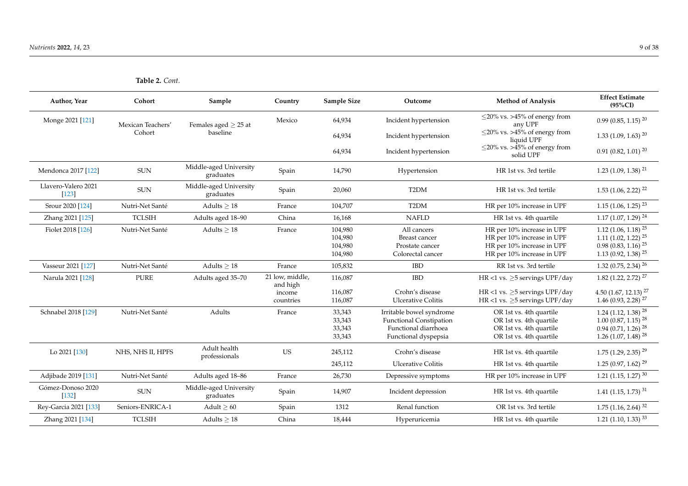**Table 2.** *Cont.*

| Author, Year                   | Cohort            | Sample                              | Country                     | <b>Sample Size</b>                       | Outcome                                                                                                    | <b>Method of Analysis</b>                                                                                            | <b>Effect Estimate</b><br>$(95\%CI)$                                                                                         |
|--------------------------------|-------------------|-------------------------------------|-----------------------------|------------------------------------------|------------------------------------------------------------------------------------------------------------|----------------------------------------------------------------------------------------------------------------------|------------------------------------------------------------------------------------------------------------------------------|
| Monge 2021 [121]               | Mexican Teachers' | Females aged $> 25$ at              | Mexico                      | 64,934                                   | Incident hypertension                                                                                      | $\leq$ 20% vs. >45% of energy from<br>any UPF                                                                        | $0.99(0.85, 1.15)^{20}$                                                                                                      |
|                                | Cohort            | baseline                            |                             | 64,934                                   | Incident hypertension                                                                                      | $\leq$ 20% vs. >45% of energy from<br>liquid UPF                                                                     | $1.33(1.09, 1.63)^{20}$                                                                                                      |
|                                |                   |                                     |                             | 64,934                                   | Incident hypertension                                                                                      | $\leq$ 20% vs. >45% of energy from<br>solid UPF                                                                      | $0.91(0.82, 1.01)^{20}$                                                                                                      |
| Mendonca 2017 [122]            | <b>SUN</b>        | Middle-aged University<br>graduates | Spain                       | 14,790                                   | Hypertension                                                                                               | HR 1st vs. 3rd tertile                                                                                               | $1.23$ (1.09, 1.38) <sup>21</sup>                                                                                            |
| Llavero-Valero 2021<br>$[123]$ | $\rm SUN$         | Middle-aged University<br>graduates | Spain                       | 20,060                                   | T <sub>2</sub> DM                                                                                          | HR 1st vs. 3rd tertile                                                                                               | $1.53$ (1.06, 2.22) <sup>22</sup>                                                                                            |
| Srour 2020 [124]               | Nutri-Net Santé   | Adults $\geq 18$                    | France                      | 104,707                                  | T <sub>2</sub> DM                                                                                          | HR per 10% increase in UPF                                                                                           | $1.15$ (1.06, 1.25) <sup>23</sup>                                                                                            |
| Zhang 2021 [125]               | <b>TCLSIH</b>     | Adults aged 18-90                   | China                       | 16,168                                   | <b>NAFLD</b>                                                                                               | HR 1st vs. 4th quartile                                                                                              | $1.17$ (1.07, 1.29) <sup>24</sup>                                                                                            |
| Fiolet 2018 [126]              | Nutri-Net Santé   | Adults $> 18$                       | France                      | 104,980<br>104,980<br>104,980<br>104,980 | All cancers<br>Breast cancer<br>Prostate cancer<br>Colorectal cancer                                       | HR per 10% increase in UPF<br>HR per 10% increase in UPF<br>HR per 10% increase in UPF<br>HR per 10% increase in UPF | 1.12 (1.06, 1.18) $25$<br>1.11 $(1.02, 1.22)^{25}$<br>$0.98(0.83, 1.16)^{25}$<br>1.13 (0.92, 1.38) $25$                      |
| Vasseur 2021 [127]             | Nutri-Net Santé   | Adults $> 18$                       | France                      | 105,832                                  | <b>IBD</b>                                                                                                 | RR 1st vs. 3rd tertile                                                                                               | $1.32$ (0.75, 2.34) <sup>26</sup>                                                                                            |
| Narula 2021 [128]              | <b>PURE</b>       | Adults aged 35-70                   | 21 low, middle,<br>and high | 116,087<br>116,087                       | <b>IBD</b><br>Crohn's disease                                                                              | HR <1 vs. $\geq$ 5 servings UPF/day                                                                                  | 1.82 (1.22, 2.72) <sup>27</sup>                                                                                              |
|                                |                   |                                     | income<br>countries         | 116,087                                  | <b>Ulcerative Colitis</b>                                                                                  | HR <1 vs. $>5$ servings UPF/day<br>HR <1 vs. $\geq$ 5 servings UPF/day                                               | 4.50 $(1.67, 12.13)^{27}$<br>$1.46(0.93, 2.28)^{27}$                                                                         |
| Schnabel 2018 [129]            | Nutri-Net Santé   | Adults                              | France                      | 33,343<br>33,343<br>33,343<br>33,343     | Irritable bowel syndrome<br><b>Functional Constipation</b><br>Functional diarrhoea<br>Functional dyspepsia | OR 1st vs. 4th quartile<br>OR 1st vs. 4th quartile<br>OR 1st vs. 4th quartile<br>OR 1st vs. 4th quartile             | 1.24 (1.12, 1.38) <sup>28</sup><br>$1.00$ (0.87, 1.15) <sup>28</sup><br>$0.94(0.71, 1.26)^{28}$<br>1.26 (1.07, 1.48) $^{28}$ |
| Lo 2021 [130]                  | NHS, NHS II, HPFS | Adult health<br>professionals       | <b>US</b>                   | 245,112                                  | Crohn's disease                                                                                            | HR 1st vs. 4th quartile                                                                                              | $1.75$ (1.29, 2.35) <sup>29</sup>                                                                                            |
|                                |                   |                                     |                             | 245,112                                  | <b>Ulcerative Colitis</b>                                                                                  | HR 1st vs. 4th quartile                                                                                              | $1.25(0.97, 1.62)^{29}$                                                                                                      |
| Adjibade 2019 [131]            | Nutri-Net Santé   | Adults aged 18-86                   | France                      | 26,730                                   | Depressive symptoms                                                                                        | HR per 10% increase in UPF                                                                                           | 1.21 (1.15, 1.27) $30$                                                                                                       |
| Gómez-Donoso 2020<br>$[132]$   | <b>SUN</b>        | Middle-aged University<br>graduates | Spain                       | 14,907                                   | Incident depression                                                                                        | HR 1st vs. 4th quartile                                                                                              | 1.41 (1.15, 1.73) <sup>31</sup>                                                                                              |
| Rey-Garcia 2021 [133]          | Seniors-ENRICA-1  | Adult $\geq 60$                     | Spain                       | 1312                                     | Renal function                                                                                             | OR 1st vs. 3rd tertile                                                                                               | $1.75$ (1.16, 2.64) <sup>32</sup>                                                                                            |
| Zhang 2021 [134]               | <b>TCLSIH</b>     | Adults $> 18$                       | China                       | 18,444                                   | Hyperuricemia                                                                                              | HR 1st vs. 4th quartile                                                                                              | 1.21 (1.10, 1.33) $33$                                                                                                       |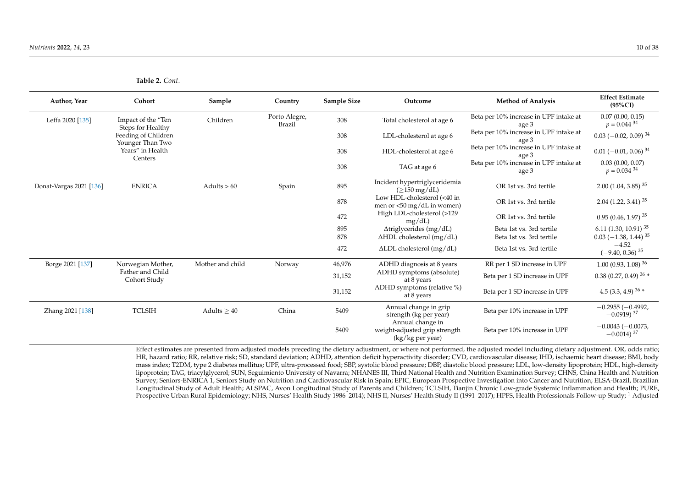| <b>Author, Year</b>     | Cohort                                  | Sample           | Country                        | Sample Size | Outcome                                                             | <b>Method of Analysis</b>                       | <b>Effect Estimate</b><br>$(95\%CI)$            |
|-------------------------|-----------------------------------------|------------------|--------------------------------|-------------|---------------------------------------------------------------------|-------------------------------------------------|-------------------------------------------------|
| Leffa 2020 [135]        | Impact of the "Ten<br>Steps for Healthy | Children         | Porto Alegre,<br><b>Brazil</b> | 308         | Total cholesterol at age 6                                          | Beta per 10% increase in UPF intake at<br>age 3 | 0.07(0.00, 0.15)<br>$p = 0.044^{34}$            |
|                         | Feeding of Children<br>Younger Than Two |                  |                                | 308         | LDL-cholesterol at age 6                                            | Beta per 10% increase in UPF intake at<br>age 3 | $0.03$ (-0.02, 0.09) <sup>34</sup>              |
|                         | Years" in Health<br>Centers             |                  |                                | 308         | HDL-cholesterol at age 6                                            | Beta per 10% increase in UPF intake at<br>age 3 | $0.01$ (-0.01, 0.06) <sup>34</sup>              |
|                         |                                         |                  |                                | 308         | TAG at age 6                                                        | Beta per 10% increase in UPF intake at<br>age 3 | 0.03(0.00, 0.07)<br>$p = 0.034^{34}$            |
| Donat-Vargas 2021 [136] | <b>ENRICA</b>                           | Adults $> 60$    | Spain                          | 895         | Incident hypertriglyceridemia<br>$(>150 \,\mathrm{mg/dL})$          | OR 1st vs. 3rd tertile                          | $2.00(1.04, 3.85)^{35}$                         |
|                         |                                         |                  |                                | 878         | Low HDL-cholesterol (<40 in<br>men or <50 mg/dL in women)           | OR 1st vs. 3rd tertile                          | $2.04$ (1.22, 3.41) <sup>35</sup>               |
|                         |                                         |                  |                                | 472         | High LDL-cholesterol (>129<br>mg/dL                                 | OR 1st vs. 3rd tertile                          | $0.95(0.46, 1.97)^{35}$                         |
|                         |                                         |                  |                                | 895         | $\Delta$ triglycerides (mg/dL)                                      | Beta 1st vs. 3rd tertile                        | 6.11 (1.30, 10.91) $35$                         |
|                         |                                         |                  |                                | 878         | $\Delta HDL$ cholesterol (mg/dL)                                    | Beta 1st vs. 3rd tertile                        | $0.03$ (-1.38, 1.44) <sup>35</sup>              |
|                         |                                         |                  |                                | 472         | $\Delta$ LDL cholesterol (mg/dL)                                    | Beta 1st vs. 3rd tertile                        | $-4.52$<br>$(-9.40, 0.36)^{35}$                 |
| Borge 2021 [137]        | Norwegian Mother,                       | Mother and child | Norway                         | 46,976      | ADHD diagnosis at 8 years                                           | RR per 1 SD increase in UPF                     | $1.00(0.93, 1.08)^{36}$                         |
|                         | Father and Child<br>Cohort Study        |                  |                                | 31,152      | ADHD symptoms (absolute)<br>at 8 years                              | Beta per 1 SD increase in UPF                   | 0.38 (0.27, 0.49) $36 *$                        |
|                         |                                         |                  |                                | 31,152      | ADHD symptoms (relative %)<br>at 8 years                            | Beta per 1 SD increase in UPF                   | 4.5 (3.3, 4.9) $36 *$                           |
| Zhang 2021 [138]        | <b>TCLSIH</b>                           | Adults $> 40$    | China                          | 5409        | Annual change in grip<br>strength (kg per year)<br>Annual change in | Beta per 10% increase in UPF                    | $-0.2955(-0.4992,$<br>$-0.0919$ <sup>37</sup>   |
|                         |                                         |                  |                                | 5409        | weight-adjusted grip strength<br>(kg/kg per year)                   | Beta per 10% increase in UPF                    | $-0.0043(-0.0073,$<br>$-0.0014$ ) <sup>37</sup> |

**Table 2.** *Cont.*

Effect estimates are presented from adjusted models preceding the dietary adjustment, or where not performed, the adjusted model including dietary adjustment. OR, odds ratio; HR, hazard ratio; RR, relative risk; SD, standard deviation; ADHD, attention deficit hyperactivity disorder; CVD, cardiovascular disease; IHD, ischaemic heart disease; BMI, body mass index; T2DM, type 2 diabetes mellitus; UPF, ultra-processed food; SBP, systolic blood pressure; DBP, diastolic blood pressure; LDL, low-density lipoprotein; HDL, high-density lipoprotein; TAG, triacylglycerol; SUN, Seguimiento University of Navarra; NHANES III, Third National Health and Nutrition Examination Survey; CHNS, China Health and Nutrition Survey; Seniors-ENRICA 1, Seniors Study on Nutrition and Cardiovascular Risk in Spain; EPIC, European Prospective Investigation into Cancer and Nutrition; ELSA-Brazil, Brazilian Longitudinal Study of Adult Health; ALSPAC, Avon Longitudinal Study of Parents and Children; TCLSIH, Tianjin Chronic Low-grade Systemic Inflammation and Health; PURE, Prospective Urban Rural Epidemiology; NHS, Nurses' Health Study 1986–2014); NHS II, Nurses' Health Study II (1991–2017); HPFS, Health Professionals Follow-up Study; <sup>1</sup> Adjusted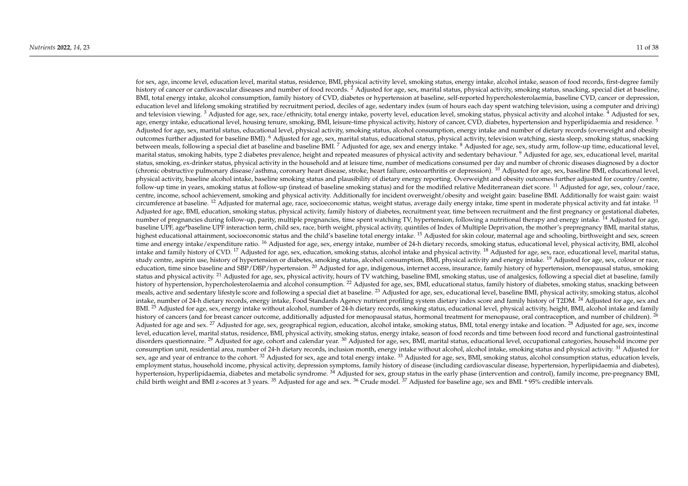for sex, age, income level, education level, marital status, residence, BMI, physical activity level, smoking status, energy intake, alcohol intake, season of food records, first-degree family history of cancer or cardiovascular diseases and number of food records. <sup>2</sup> Adjusted for age, sex, marital status, physical activity, smoking status, snacking, special diet at baseline, BMI, total energy intake, alcohol consumption, family history of CVD, diabetes or hypertension at baseline, self-reported hypercholesterolaemia, baseline CVD, cancer or depression, education level and lifelong smoking stratified by recruitment period, deciles of age, sedentary index (sum of hours each day spent watching television, using a computer and driving) and television viewing.<sup>3</sup> Adjusted for age, sex, race/ethnicity, total energy intake, poverty level, education level, smoking status, physical activity and alcohol intake.<sup>4</sup> Adjusted for sex, age, energy intake, educational level, housing tenure, smoking, BMI, leisure-time physical activity, history of cancer, CVD, diabetes, hypertension and hyperlipidaemia and residence. <sup>5</sup> Adjusted for age, sex, marital status, educational level, physical activity, smoking status, alcohol consumption, energy intake and number of dietary records (overweight and obesity outcomes further adjusted for baseline BMI). <sup>6</sup> Adjusted for age, sex, marital status, educational status, physical activity, television watching, siesta sleep, smoking status, snacking between meals, following a special diet at baseline and baseline BMI. <sup>7</sup> Adjusted for age, sex and energy intake. <sup>8</sup> Adjusted for age, sex, study arm, follow-up time, educational level, marital status, smoking habits, type 2 diabetes prevalence, height and repeated measures of physical activity and sedentary behaviour. <sup>9</sup> Adjusted for age, sex, educational level, marital status, smoking, ex-drinker status, physical activity in the household and at leisure time, number of medications consumed per day and number of chronic diseases diagnosed by a doctor (chronic obstructive pulmonary disease/asthma, coronary heart disease, stroke, heart failure, osteoarthritis or depression). <sup>10</sup> Adjusted for age, sex, baseline BMI, educational level, physical activity, baseline alcohol intake, baseline smoking status and plausibility of dietary energy reporting. Overweight and obesity outcomes further adjusted for country/centre, follow-up time in years, smoking status at follow-up (instead of baseline smoking status) and for the modified relative Mediterranean diet score. <sup>11</sup> Adjusted for age, sex, colour/race, centre, income, school achievement, smoking and physical activity. Additionally for incident overweight/obesity and weight gain: baseline BMI. Additionally for waist gain: waist circumference at baseline. <sup>12</sup> Adjusted for maternal age, race, socioeconomic status, weight status, average daily energy intake, time spent in moderate physical activity and fat intake. <sup>13</sup> Adjusted for age, BMI, education, smoking status, physical activity, family history of diabetes, recruitment year, time between recruitment and the first pregnancy or gestational diabetes, number of pregnancies during follow-up, parity, multiple pregnancies, time spent watching TV, hypertension, following a nutritional therapy and energy intake. <sup>14</sup> Adjusted for age, baseline UPF, age\*baseline UPF interaction term, child sex, race, birth weight, physical activity, quintiles of Index of Multiple Deprivation, the mother's prepregnancy BMI, marital status, highest educational attainment, socioeconomic status and the child's baseline total energy intake. <sup>15</sup> Adjusted for skin colour, maternal age and schooling, birthweight and sex, screen time and energy intake/expenditure ratio. <sup>16</sup> Adjusted for age, sex, energy intake, number of 24-h dietary records, smoking status, educational level, physical activity, BMI, alcohol intake and family history of CVD.<sup>17</sup> Adjusted for age, sex, education, smoking status, alcohol intake and physical activity.<sup>18</sup> Adjusted for age, sex, race, educational level, marital status, study centre, aspirin use, history of hypertension or diabetes, smoking status, alcohol consumption, BMI, physical activity and energy intake. <sup>19</sup> Adjusted for age, sex, colour or race, education, time since baseline and SBP/DBP/hypertension.  $^{20}$  Adjusted for age, indigenous, internet access, insurance, family history of hypertension, menopausal status, smoking status and physical activity. <sup>21</sup> Adjusted for age, sex, physical activity, hours of TV watching, baseline BMI, smoking status, use of analgesics, following a special diet at baseline, family history of hypertension, hypercholesterolaemia and alcohol consumption, <sup>22</sup> Adjusted for age, sex, BMI, educational status, family history of diabetes, smoking status, snacking between meals, active and sedentary lifestyle score and following a special diet at baseline. <sup>23</sup> Adjusted for age, sex, educational level, baseline BMI, physical activity, smoking status, alcohol intake, number of 24-h dietary records, energy intake, Food Standards Agency nutrient profiling system dietary index score and family history of T2DM. <sup>24</sup> Adjusted for age, sex and BMI. <sup>25</sup> Adjusted for age, sex, energy intake without alcohol, number of 24-h dietary records, smoking status, educational level, physical activity, height, BMI, alcohol intake and family history of cancers (and for breast cancer outcome, additionally adjusted for menopausal status, hormonal treatment for menopause, oral contraception, and number of children). <sup>26</sup> Adjusted for age and sex. <sup>27</sup> Adjusted for age, sex, geographical region, education, alcohol intake, smoking status, BMI, total energy intake and location. <sup>28</sup> Adjusted for age, sex, income level, education level, marital status, residence, BMI, physical activity, smoking status, energy intake, season of food records and time between food record and functional gastrointestinal disorders questionnaire. <sup>29</sup> Adjusted for age, cohort and calendar year. <sup>30</sup> Adjusted for age, sex, BMI, marital status, educational level, occupational categories, household income per consumption unit, residential area, number of 24-h dietary records, inclusion month, energy intake without alcohol, alcohol intake, smoking status and physical activity.<sup>31</sup> Adjusted for sex, age and year of entrance to the cohort.<sup>32</sup> Adjusted for sex, age and total energy intake.<sup>33</sup> Adjusted for age, sex, BMI, smoking status, alcohol consumption status, education levels, employment status, household income, physical activity, depression symptoms, family history of disease (including cardiovascular disease, hypertension, hyperlipidaemia and diabetes), hypertension, hyperlipidaemia, diabetes and metabolic syndrome. <sup>34</sup> Adjusted for sex, group status in the early phase (intervention and control), family income, pre-pregnancy BMI, child birth weight and BMI z-scores at 3 years. <sup>35</sup> Adjusted for age and sex. <sup>36</sup> Crude model. <sup>37</sup> Adjusted for baseline age, sex and BMI. \* 95% credible intervals.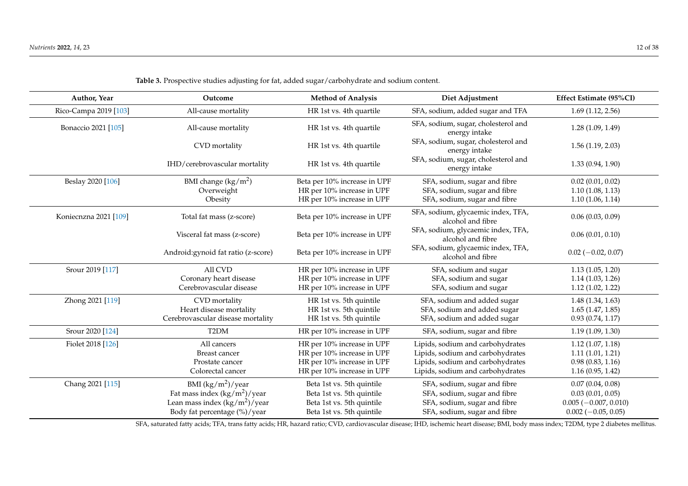| Author, Year          | Outcome                             | <b>Method of Analysis</b>    | Diet Adjustment                                         | Effect Estimate (95%CI) |
|-----------------------|-------------------------------------|------------------------------|---------------------------------------------------------|-------------------------|
| Rico-Campa 2019 [103] | All-cause mortality                 | HR 1st vs. 4th quartile      | SFA, sodium, added sugar and TFA                        | 1.69(1.12, 2.56)        |
| Bonaccio 2021 [105]   | All-cause mortality                 | HR 1st vs. 4th quartile      | SFA, sodium, sugar, cholesterol and<br>energy intake    | 1.28(1.09, 1.49)        |
|                       | CVD mortality                       | HR 1st vs. 4th quartile      | SFA, sodium, sugar, cholesterol and<br>energy intake    | 1.56(1.19, 2.03)        |
|                       | IHD/cerebrovascular mortality       | HR 1st vs. 4th quartile      | SFA, sodium, sugar, cholesterol and<br>energy intake    | 1.33(0.94, 1.90)        |
| Beslay 2020 [106]     | BMI change $(kg/m2)$                | Beta per 10% increase in UPF | SFA, sodium, sugar and fibre                            | 0.02(0.01, 0.02)        |
|                       | Overweight                          | HR per 10% increase in UPF   | SFA, sodium, sugar and fibre                            | 1.10(1.08, 1.13)        |
|                       | Obesity                             | HR per 10% increase in UPF   | SFA, sodium, sugar and fibre                            | 1.10(1.06, 1.14)        |
| Koniecnzna 2021 [109] | Total fat mass (z-score)            | Beta per 10% increase in UPF | SFA, sodium, glycaemic index, TFA,<br>alcohol and fibre | 0.06(0.03, 0.09)        |
|                       | Visceral fat mass (z-score)         | Beta per 10% increase in UPF | SFA, sodium, glycaemic index, TFA,<br>alcohol and fibre | 0.06(0.01, 0.10)        |
|                       | Android: gynoid fat ratio (z-score) | Beta per 10% increase in UPF | SFA, sodium, glycaemic index, TFA,<br>alcohol and fibre | $0.02 (-0.02, 0.07)$    |
| Srour 2019 [117]      | All CVD                             | HR per 10% increase in UPF   | SFA, sodium and sugar                                   | 1.13(1.05, 1.20)        |
|                       | Coronary heart disease              | HR per 10% increase in UPF   | SFA, sodium and sugar                                   | 1.14(1.03, 1.26)        |
|                       | Cerebrovascular disease             | HR per 10% increase in UPF   | SFA, sodium and sugar                                   | 1.12(1.02, 1.22)        |
| Zhong 2021 [119]      | CVD mortality                       | HR 1st vs. 5th quintile      | SFA, sodium and added sugar                             | 1.48(1.34, 1.63)        |
|                       | Heart disease mortality             | HR 1st vs. 5th quintile      | SFA, sodium and added sugar                             | 1.65(1.47, 1.85)        |
|                       | Cerebrovascular disease mortality   | HR 1st vs. 5th quintile      | SFA, sodium and added sugar                             | 0.93(0.74, 1.17)        |
| Srour 2020 [124]      | T <sub>2</sub> DM                   | HR per 10% increase in UPF   | SFA, sodium, sugar and fibre                            | 1.19(1.09, 1.30)        |
| Fiolet 2018 [126]     | All cancers                         | HR per 10% increase in UPF   | Lipids, sodium and carbohydrates                        | 1.12(1.07, 1.18)        |
|                       | <b>Breast cancer</b>                | HR per 10% increase in UPF   | Lipids, sodium and carbohydrates                        | 1.11(1.01, 1.21)        |
|                       | Prostate cancer                     | HR per 10% increase in UPF   | Lipids, sodium and carbohydrates                        | 0.98(0.83, 1.16)        |
|                       | Colorectal cancer                   | HR per 10% increase in UPF   | Lipids, sodium and carbohydrates                        | 1.16(0.95, 1.42)        |
| Chang 2021 [115]      | BMI $(kg/m^2)$ /year                | Beta 1st vs. 5th quintile    | SFA, sodium, sugar and fibre                            | 0.07(0.04, 0.08)        |
|                       | Fat mass index $(kg/m^2)/year$      | Beta 1st vs. 5th quintile    | SFA, sodium, sugar and fibre                            | 0.03(0.01, 0.05)        |
|                       | Lean mass index $(kg/m^2)/year$     | Beta 1st vs. 5th quintile    | SFA, sodium, sugar and fibre                            | $0.005 (-0.007, 0.010)$ |
|                       | Body fat percentage (%)/year        | Beta 1st vs. 5th quintile    | SFA, sodium, sugar and fibre                            | $0.002 (-0.05, 0.05)$   |

**Table 3.** Prospective studies adjusting for fat, added sugar/carbohydrate and sodium content.

<span id="page-11-0"></span>SFA, saturated fatty acids; TFA, trans fatty acids; HR, hazard ratio; CVD, cardiovascular disease; IHD, ischemic heart disease; BMI, body mass index; T2DM, type 2 diabetes mellitus.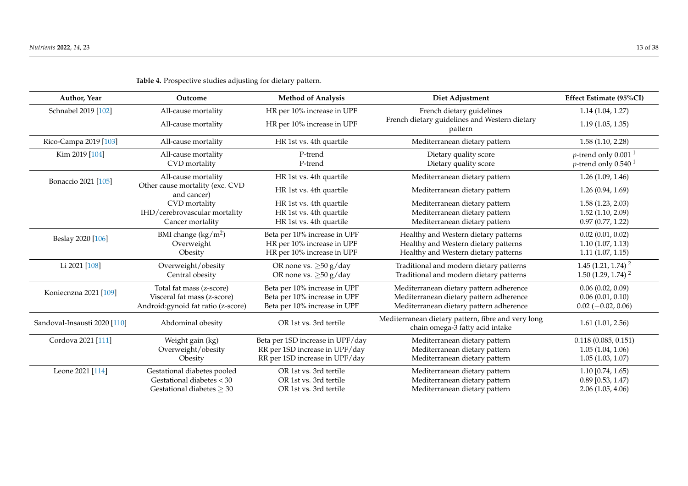<span id="page-12-0"></span>

| Author, Year                 | Outcome                                        | <b>Method of Analysis</b>        | Diet Adjustment                                                                       | Effect Estimate (95%CI)                                          |
|------------------------------|------------------------------------------------|----------------------------------|---------------------------------------------------------------------------------------|------------------------------------------------------------------|
| Schnabel 2019 [102]          | All-cause mortality                            | HR per 10% increase in UPF       | French dietary guidelines                                                             | 1.14(1.04, 1.27)                                                 |
|                              | All-cause mortality                            | HR per 10% increase in UPF       | French dietary guidelines and Western dietary<br>pattern                              | 1.19(1.05, 1.35)                                                 |
| Rico-Campa 2019 [103]        | All-cause mortality                            | HR 1st vs. 4th quartile          | Mediterranean dietary pattern                                                         | 1.58(1.10, 2.28)                                                 |
| Kim 2019 [104]               | All-cause mortality<br>CVD mortality           | P-trend<br>P-trend               | Dietary quality score<br>Dietary quality score                                        | <i>p</i> -trend only 0.001 $^1$<br><i>p</i> -trend only $0.5401$ |
| Bonaccio 2021 [105]          | All-cause mortality                            | HR 1st vs. 4th quartile          | Mediterranean dietary pattern                                                         | 1.26(1.09, 1.46)                                                 |
|                              | Other cause mortality (exc. CVD<br>and cancer) | HR 1st vs. 4th quartile          | Mediterranean dietary pattern                                                         | 1.26(0.94, 1.69)                                                 |
|                              | CVD mortality                                  | HR 1st vs. 4th quartile          | Mediterranean dietary pattern                                                         | 1.58(1.23, 2.03)                                                 |
|                              | IHD/cerebrovascular mortality                  | HR 1st vs. 4th quartile          | Mediterranean dietary pattern                                                         | 1.52(1.10, 2.09)                                                 |
|                              | Cancer mortality                               | HR 1st vs. 4th quartile          | Mediterranean dietary pattern                                                         | 0.97(0.77, 1.22)                                                 |
|                              | BMI change $(kg/m2)$                           | Beta per 10% increase in UPF     | Healthy and Western dietary patterns                                                  | 0.02(0.01, 0.02)                                                 |
| Beslay 2020 [106]            | Overweight                                     | HR per 10% increase in UPF       | Healthy and Western dietary patterns                                                  | 1.10(1.07, 1.13)                                                 |
|                              | Obesity                                        | HR per 10% increase in UPF       | Healthy and Western dietary patterns                                                  | 1.11(1.07, 1.15)                                                 |
| Li 2021 [108]                | Overweight/obesity                             | OR none vs. $\geq 50$ g/day      | Traditional and modern dietary patterns                                               | $1.45(1.21, 1.74)^2$                                             |
|                              | Central obesity                                | OR none vs. $\geq 50$ g/day      | Traditional and modern dietary patterns                                               | $1.50(1.29, 1.74)^2$                                             |
| Koniecnzna 2021 [109]        | Total fat mass (z-score)                       | Beta per 10% increase in UPF     | Mediterranean dietary pattern adherence                                               | 0.06(0.02, 0.09)                                                 |
|                              | Visceral fat mass (z-score)                    | Beta per 10% increase in UPF     | Mediterranean dietary pattern adherence                                               | 0.06(0.01, 0.10)                                                 |
|                              | Android: gynoid fat ratio (z-score)            | Beta per 10% increase in UPF     | Mediterranean dietary pattern adherence                                               | $0.02 (-0.02, 0.06)$                                             |
| Sandoval-Insausti 2020 [110] | Abdominal obesity                              | OR 1st vs. 3rd tertile           | Mediterranean dietary pattern, fibre and very long<br>chain omega-3 fatty acid intake | 1.61(1.01, 2.56)                                                 |
| Cordova 2021 [111]           | Weight gain (kg)                               | Beta per 1SD increase in UPF/day | Mediterranean dietary pattern                                                         | 0.118(0.085, 0.151)                                              |
|                              | Overweight/obesity                             | RR per 1SD increase in UPF/day   | Mediterranean dietary pattern                                                         | 1.05(1.04, 1.06)                                                 |
|                              | Obesity                                        | RR per 1SD increase in UPF/day   | Mediterranean dietary pattern                                                         | 1.05(1.03, 1.07)                                                 |
| Leone 2021 [114]             | Gestational diabetes pooled                    | OR 1st vs. 3rd tertile           | Mediterranean dietary pattern                                                         | $1.10$ [0.74, 1.65)                                              |
|                              | Gestational diabetes $<$ 30                    | OR 1st vs. 3rd tertile           | Mediterranean dietary pattern                                                         | $0.89$ [0.53, 1.47)                                              |
|                              | Gestational diabetes $\geq 30$                 | OR 1st vs. 3rd tertile           | Mediterranean dietary pattern                                                         | 2.06(1.05, 4.06)                                                 |

**Table 4.** Prospective studies adjusting for dietary pattern.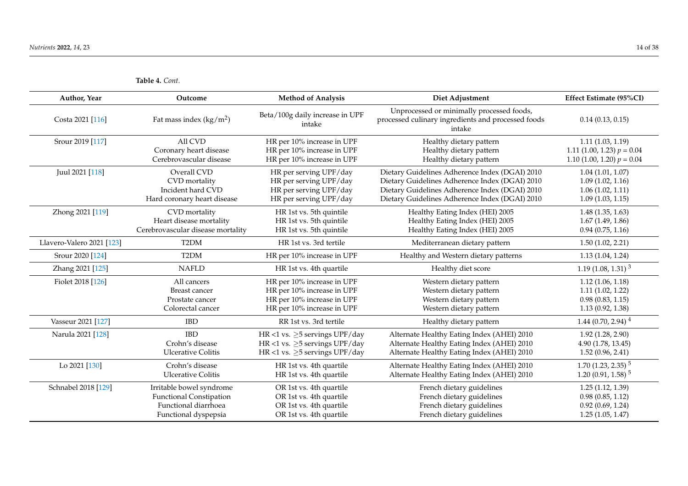**Table 4.** *Cont.*

*Nutrients* **2022**, *14*, 23 14 of 38

| Author, Year              | Outcome                           | <b>Method of Analysis</b>                 | Diet Adjustment                                                                                           | Effect Estimate (95%CI)          |
|---------------------------|-----------------------------------|-------------------------------------------|-----------------------------------------------------------------------------------------------------------|----------------------------------|
| Costa 2021 [116]          | Fat mass index $(kg/m^2)$         | Beta/100g daily increase in UPF<br>intake | Unprocessed or minimally processed foods,<br>processed culinary ingredients and processed foods<br>intake | 0.14(0.13, 0.15)                 |
| Srour 2019 [117]          | All CVD                           | HR per 10% increase in UPF                | Healthy dietary pattern                                                                                   | 1.11(1.03, 1.19)                 |
|                           | Coronary heart disease            | HR per 10% increase in UPF                | Healthy dietary pattern                                                                                   | 1.11 (1.00, 1.23) $p = 0.04$     |
|                           | Cerebrovascular disease           | HR per 10% increase in UPF                | Healthy dietary pattern                                                                                   | 1.10 (1.00, 1.20) $p = 0.04$     |
| Juul 2021 [118]           | Overall CVD                       | HR per serving UPF/day                    | Dietary Guidelines Adherence Index (DGAI) 2010                                                            | 1.04(1.01, 1.07)                 |
|                           | CVD mortality                     | HR per serving UPF/day                    | Dietary Guidelines Adherence Index (DGAI) 2010                                                            | 1.09(1.02, 1.16)                 |
|                           | Incident hard CVD                 | HR per serving UPF/day                    | Dietary Guidelines Adherence Index (DGAI) 2010                                                            | 1.06(1.02, 1.11)                 |
|                           | Hard coronary heart disease       | HR per serving UPF/day                    | Dietary Guidelines Adherence Index (DGAI) 2010                                                            | 1.09(1.03, 1.15)                 |
| Zhong 2021 [119]          | CVD mortality                     | HR 1st vs. 5th quintile                   | Healthy Eating Index (HEI) 2005                                                                           | 1.48(1.35, 1.63)                 |
|                           | Heart disease mortality           | HR 1st vs. 5th quintile                   | Healthy Eating Index (HEI) 2005                                                                           | 1.67(1.49, 1.86)                 |
|                           | Cerebrovascular disease mortality | HR 1st vs. 5th quintile                   | Healthy Eating Index (HEI) 2005                                                                           | 0.94(0.75, 1.16)                 |
| Llavero-Valero 2021 [123] | T2DM                              | HR 1st vs. 3rd tertile                    | Mediterranean dietary pattern                                                                             | 1.50(1.02, 2.21)                 |
| Srour 2020 [124]          | T <sub>2</sub> DM                 | HR per 10% increase in UPF                | Healthy and Western dietary patterns                                                                      | 1.13(1.04, 1.24)                 |
| Zhang 2021 [125]          | <b>NAFLD</b>                      | HR 1st vs. 4th quartile                   | Healthy diet score                                                                                        | 1.19 $(1.08, 1.31)^3$            |
| Fiolet 2018 [126]         | All cancers                       | HR per 10% increase in UPF                | Western dietary pattern                                                                                   | 1.12(1.06, 1.18)                 |
|                           | <b>Breast cancer</b>              | HR per 10% increase in UPF                | Western dietary pattern                                                                                   | 1.11(1.02, 1.22)                 |
|                           | Prostate cancer                   | HR per 10% increase in UPF                | Western dietary pattern                                                                                   | 0.98(0.83, 1.15)                 |
|                           | Colorectal cancer                 | HR per 10% increase in UPF                | Western dietary pattern                                                                                   | 1.13(0.92, 1.38)                 |
| Vasseur 2021 [127]        | <b>IBD</b>                        | RR 1st vs. 3rd tertile                    | Healthy dietary pattern                                                                                   | $1.44(0.70, 2.94)^4$             |
| Narula 2021 [128]         | <b>IBD</b>                        | HR <1 vs. $\geq$ 5 servings UPF/day       | Alternate Healthy Eating Index (AHEI) 2010                                                                | 1.92(1.28, 2.90)                 |
|                           | Crohn's disease                   | HR <1 vs. $\geq$ 5 servings UPF/day       | Alternate Healthy Eating Index (AHEI) 2010                                                                | 4.90 (1.78, 13.45)               |
|                           | <b>Ulcerative Colitis</b>         | HR <1 vs. $\geq$ 5 servings UPF/day       | Alternate Healthy Eating Index (AHEI) 2010                                                                | 1.52(0.96, 2.41)                 |
| Lo 2021 [130]             | Crohn's disease                   | HR 1st vs. 4th quartile                   | Alternate Healthy Eating Index (AHEI) 2010                                                                | $1.70$ (1.23, 2.35) <sup>5</sup> |
|                           | <b>Ulcerative Colitis</b>         | HR 1st vs. 4th quartile                   | Alternate Healthy Eating Index (AHEI) 2010                                                                | $1.20(0.91, 1.58)^5$             |
| Schnabel 2018 [129]       | Irritable bowel syndrome          | OR 1st vs. 4th quartile                   | French dietary guidelines                                                                                 | 1.25(1.12, 1.39)                 |
|                           | <b>Functional Constipation</b>    | OR 1st vs. 4th quartile                   | French dietary guidelines                                                                                 | 0.98(0.85, 1.12)                 |
|                           | Functional diarrhoea              | OR 1st vs. 4th quartile                   | French dietary guidelines                                                                                 | 0.92(0.69, 1.24)                 |
|                           | Functional dyspepsia              | OR 1st vs. 4th quartile                   | French dietary guidelines                                                                                 | 1.25(1.05, 1.47)                 |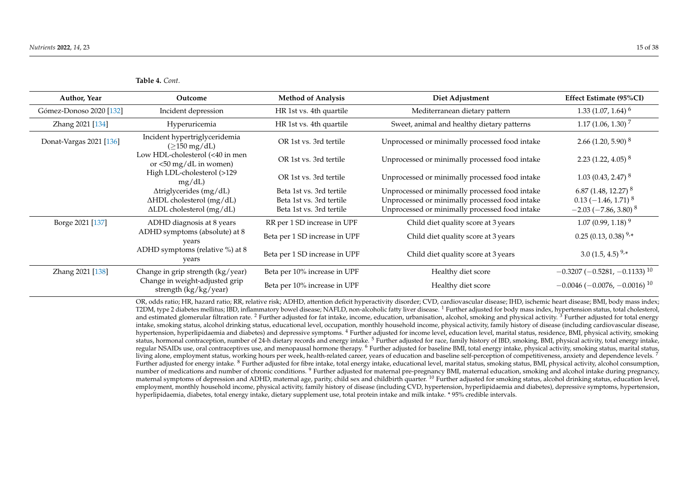| Table 4. Cont. |  |
|----------------|--|
|----------------|--|

| Author, Year            | Outcome                                                                            | <b>Method of Analysis</b>     | Diet Adjustment                                | Effect Estimate (95%CI)                           |
|-------------------------|------------------------------------------------------------------------------------|-------------------------------|------------------------------------------------|---------------------------------------------------|
| Gómez-Donoso 2020 [132] | Incident depression                                                                | HR 1st vs. 4th quartile       | Mediterranean dietary pattern                  | $1.33(1.07, 1.64)^6$                              |
| Zhang 2021 [134]        | Hyperuricemia                                                                      | HR 1st vs. 4th quartile       | Sweet, animal and healthy dietary patterns     | $1.17(1.06, 1.30)^{7}$                            |
| Donat-Vargas 2021 [136] | Incident hypertriglyceridemia<br>$(\geq 150 \text{ mg/dL})$                        | OR 1st vs. 3rd tertile        | Unprocessed or minimally processed food intake | 2.66 $(1.20, 5.90)^8$                             |
|                         | Low HDL-cholesterol (<40 in men<br>or $\langle 50 \text{ mg/dL} \rangle$ in women) | OR 1st vs. 3rd tertile        | Unprocessed or minimally processed food intake | 2.23 $(1.22, 4.05)^8$                             |
|                         | High LDL-cholesterol (>129<br>mg/dL                                                | OR 1st vs. 3rd tertile        | Unprocessed or minimally processed food intake | $1.03(0.43, 2.47)^{8}$                            |
|                         | Atriglycerides (mg/dL)                                                             | Beta 1st vs. 3rd tertile      | Unprocessed or minimally processed food intake | 6.87 (1.48, 12.27) $^8$                           |
|                         | $\Delta HDL$ cholesterol (mg/dL)                                                   | Beta 1st vs. 3rd tertile      | Unprocessed or minimally processed food intake | $0.13$ (-1.46, 1.71) <sup>8</sup>                 |
|                         | ΔLDL cholesterol (mg/dL)                                                           | Beta 1st vs. 3rd tertile      | Unprocessed or minimally processed food intake | $-2.03$ ( $-7.86$ , 3.80) <sup>8</sup>            |
| Borge 2021 [137]        | ADHD diagnosis at 8 years                                                          | RR per 1 SD increase in UPF   | Child diet quality score at 3 years            | $1.07(0.99, 1.18)^9$                              |
|                         | ADHD symptoms (absolute) at 8<br>vears                                             | Beta per 1 SD increase in UPF | Child diet quality score at 3 years            | $0.25(0.13, 0.38)^{9,*}$                          |
|                         | ADHD symptoms (relative %) at 8<br>years                                           | Beta per 1 SD increase in UPF | Child diet quality score at 3 years            | 3.0 $(1.5, 4.5)^{9,*}$                            |
| Zhang 2021 [138]        | Change in grip strength (kg/year)                                                  | Beta per 10% increase in UPF  | Healthy diet score                             | $-0.3207(-0.5281,-0.1133)^{10}$                   |
|                         | Change in weight-adjusted grip<br>strength (kg/kg/year)                            | Beta per 10% increase in UPF  | Healthy diet score                             | $-0.0046$ ( $-0.0076$ , $-0.0016$ ) <sup>10</sup> |

OR, odds ratio; HR, hazard ratio; RR, relative risk; ADHD, attention deficit hyperactivity disorder; CVD, cardiovascular disease; IHD, ischemic heart disease; BMI, body mass index; T2DM, type 2 diabetes mellitus; IBD, inflammatory bowel disease; NAFLD, non-alcoholic fatty liver disease. <sup>1</sup> Further adjusted for body mass index, hypertension status, total cholesterol, and estimated glomerular filtration rate. <sup>2</sup> Further adjusted for fat intake, income, education, urbanisation, alcohol, smoking and physical activity. <sup>3</sup> Further adjusted for total energy intake, smoking status, alcohol drinking status, educational level, occupation, monthly household income, physical activity, family history of disease (including cardiovascular disease, hypertension, hyperlipidaemia and diabetes) and depressive symptoms. <sup>4</sup> Further adjusted for income level, education level, marital status, residence, BMI, physical activity, smoking status, hormonal contraception, number of 24-h dietary records and energy intake.<sup>5</sup> Further adjusted for race, family history of IBD, smoking, BMI, physical activity, total energy intake, regular NSAIDs use, oral contraceptives use, and menopausal hormone therapy. <sup>6</sup> Further adjusted for baseline BMI, total energy intake, physical activity, smoking status, marital status, living alone, employment status, working hours per week, health-related career, years of education and baseline self-perception of competitiveness, anxiety and dependence levels.<sup>7</sup> Further adjusted for energy intake. <sup>8</sup> Further adjusted for fibre intake, total energy intake, educational level, marital status, smoking status, BMI, physical activity, alcohol consumption, number of medications and number of chronic conditions.<sup>9</sup> Further adjusted for maternal pre-pregnancy BMI, maternal education, smoking and alcohol intake during pregnancy, maternal symptoms of depression and ADHD, maternal age, parity, child sex and childbirth quarter. <sup>10</sup> Further adjusted for smoking status, alcohol drinking status, education level, employment, monthly household income, physical activity, family history of disease (including CVD, hypertension, hyperlipidaemia and diabetes), depressive symptoms, hypertension, hyperlipidaemia, diabetes, total energy intake, dietary supplement use, total protein intake and milk intake. \* 95% credible intervals.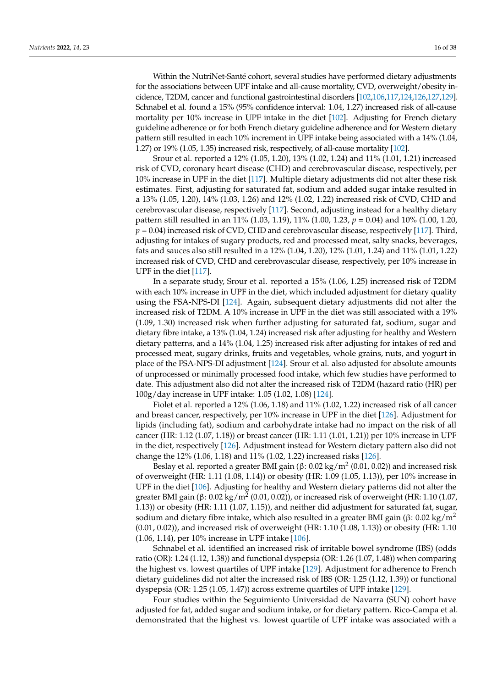Within the NutriNet-Santé cohort, several studies have performed dietary adjustments for the associations between UPF intake and all-cause mortality, CVD, overweight/obesity incidence, T2DM, cancer and functional gastrointestinal disorders [\[102](#page-34-1)[,106,](#page-34-5)[117](#page-34-4)[,124](#page-35-3)[,126,](#page-35-1)[127,](#page-35-24)[129\]](#page-35-25). Schnabel et al. found a 15% (95% confidence interval: 1.04, 1.27) increased risk of all-cause mortality per 10% increase in UPF intake in the diet [\[102\]](#page-34-1). Adjusting for French dietary guideline adherence or for both French dietary guideline adherence and for Western dietary pattern still resulted in each 10% increment in UPF intake being associated with a 14% (1.04, 1.27) or 19% (1.05, 1.35) increased risk, respectively, of all-cause mortality [\[102\]](#page-34-1).

Srour et al. reported a 12% (1.05, 1.20), 13% (1.02, 1.24) and 11% (1.01, 1.21) increased risk of CVD, coronary heart disease (CHD) and cerebrovascular disease, respectively, per 10% increase in UPF in the diet [\[117\]](#page-34-4). Multiple dietary adjustments did not alter these risk estimates. First, adjusting for saturated fat, sodium and added sugar intake resulted in a 13% (1.05, 1.20), 14% (1.03, 1.26) and 12% (1.02, 1.22) increased risk of CVD, CHD and cerebrovascular disease, respectively [\[117\]](#page-34-4). Second, adjusting instead for a healthy dietary pattern still resulted in an 11% (1.03, 1.19), 11% (1.00, 1.23, *p* = 0.04) and 10% (1.00, 1.20, *p* = 0.04) increased risk of CVD, CHD and cerebrovascular disease, respectively [\[117\]](#page-34-4). Third, adjusting for intakes of sugary products, red and processed meat, salty snacks, beverages, fats and sauces also still resulted in a 12% (1.04, 1.20), 12% (1.01, 1.24) and 11% (1.01, 1.22) increased risk of CVD, CHD and cerebrovascular disease, respectively, per 10% increase in UPF in the diet [\[117\]](#page-34-4).

In a separate study, Srour et al. reported a 15% (1.06, 1.25) increased risk of T2DM with each 10% increase in UPF in the diet, which included adjustment for dietary quality using the FSA-NPS-DI [\[124\]](#page-35-3). Again, subsequent dietary adjustments did not alter the increased risk of T2DM. A 10% increase in UPF in the diet was still associated with a 19% (1.09, 1.30) increased risk when further adjusting for saturated fat, sodium, sugar and dietary fibre intake, a 13% (1.04, 1.24) increased risk after adjusting for healthy and Western dietary patterns, and a 14% (1.04, 1.25) increased risk after adjusting for intakes of red and processed meat, sugary drinks, fruits and vegetables, whole grains, nuts, and yogurt in place of the FSA-NPS-DI adjustment [\[124\]](#page-35-3). Srour et al. also adjusted for absolute amounts of unprocessed or minimally processed food intake, which few studies have performed to date. This adjustment also did not alter the increased risk of T2DM (hazard ratio (HR) per 100g/day increase in UPF intake: 1.05 (1.02, 1.08) [\[124\]](#page-35-3).

Fiolet et al. reported a 12% (1.06, 1.18) and 11% (1.02, 1.22) increased risk of all cancer and breast cancer, respectively, per 10% increase in UPF in the diet [\[126\]](#page-35-1). Adjustment for lipids (including fat), sodium and carbohydrate intake had no impact on the risk of all cancer (HR: 1.12 (1.07, 1.18)) or breast cancer (HR: 1.11 (1.01, 1.21)) per 10% increase in UPF in the diet, respectively [\[126\]](#page-35-1). Adjustment instead for Western dietary pattern also did not change the 12% (1.06, 1.18) and 11% (1.02, 1.22) increased risks [\[126\]](#page-35-1).

Beslay et al. reported a greater BMI gain ( $\beta$ : 0.02 kg/m<sup>2</sup> (0.01, 0.02)) and increased risk of overweight (HR: 1.11 (1.08, 1.14)) or obesity (HR: 1.09 (1.05, 1.13)), per 10% increase in UPF in the diet [\[106\]](#page-34-5). Adjusting for healthy and Western dietary patterns did not alter the greater BMI gain (β: 0.02 kg/m<sup>2</sup> (0.01, 0.02)), or increased risk of overweight (HR: 1.10 (1.07, 1.13)) or obesity (HR: 1.11 (1.07, 1.15)), and neither did adjustment for saturated fat, sugar, sodium and dietary fibre intake, which also resulted in a greater BMI gain (β: 0.02 kg/m<sup>2</sup> (0.01, 0.02)), and increased risk of overweight (HR: 1.10 (1.08, 1.13)) or obesity (HR: 1.10 (1.06, 1.14), per 10% increase in UPF intake [\[106\]](#page-34-5).

Schnabel et al. identified an increased risk of irritable bowel syndrome (IBS) (odds ratio (OR): 1.24 (1.12, 1.38)) and functional dyspepsia (OR: 1.26 (1.07, 1.48)) when comparing the highest vs. lowest quartiles of UPF intake [\[129\]](#page-35-25). Adjustment for adherence to French dietary guidelines did not alter the increased risk of IBS (OR: 1.25 (1.12, 1.39)) or functional dyspepsia (OR: 1.25 (1.05, 1.47)) across extreme quartiles of UPF intake [\[129\]](#page-35-25).

Four studies within the Seguimiento Universidad de Navarra (SUN) cohort have adjusted for fat, added sugar and sodium intake, or for dietary pattern. Rico-Campa et al. demonstrated that the highest vs. lowest quartile of UPF intake was associated with a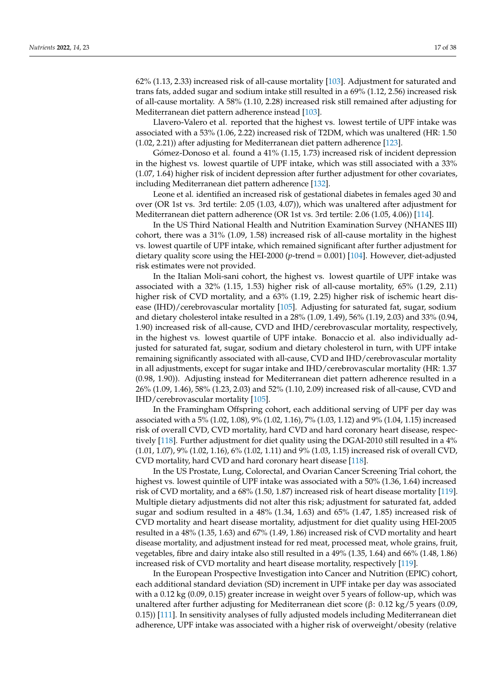62% (1.13, 2.33) increased risk of all-cause mortality [\[103\]](#page-34-24). Adjustment for saturated and trans fats, added sugar and sodium intake still resulted in a 69% (1.12, 2.56) increased risk of all-cause mortality. A 58% (1.10, 2.28) increased risk still remained after adjusting for Mediterranean diet pattern adherence instead [\[103\]](#page-34-24).

Llavero-Valero et al. reported that the highest vs. lowest tertile of UPF intake was associated with a 53% (1.06, 2.22) increased risk of T2DM, which was unaltered (HR: 1.50 (1.02, 2.21)) after adjusting for Mediterranean diet pattern adherence [\[123\]](#page-35-2).

Gómez-Donoso et al. found a 41% (1.15, 1.73) increased risk of incident depression in the highest vs. lowest quartile of UPF intake, which was still associated with a 33% (1.07, 1.64) higher risk of incident depression after further adjustment for other covariates, including Mediterranean diet pattern adherence [\[132\]](#page-35-26).

Leone et al. identified an increased risk of gestational diabetes in females aged 30 and over (OR 1st vs. 3rd tertile: 2.05 (1.03, 4.07)), which was unaltered after adjustment for Mediterranean diet pattern adherence (OR 1st vs. 3rd tertile: 2.06 (1.05, 4.06)) [\[114\]](#page-34-25).

In the US Third National Health and Nutrition Examination Survey (NHANES III) cohort, there was a 31% (1.09, 1.58) increased risk of all-cause mortality in the highest vs. lowest quartile of UPF intake, which remained significant after further adjustment for dietary quality score using the HEI-2000 (*p*-trend = 0.001) [\[104\]](#page-34-3). However, diet-adjusted risk estimates were not provided.

In the Italian Moli-sani cohort, the highest vs. lowest quartile of UPF intake was associated with a 32% (1.15, 1.53) higher risk of all-cause mortality, 65% (1.29, 2.11) higher risk of CVD mortality, and a 63% (1.19, 2.25) higher risk of ischemic heart disease (IHD)/cerebrovascular mortality [\[105\]](#page-34-2). Adjusting for saturated fat, sugar, sodium and dietary cholesterol intake resulted in a 28% (1.09, 1.49), 56% (1.19, 2.03) and 33% (0.94, 1.90) increased risk of all-cause, CVD and IHD/cerebrovascular mortality, respectively, in the highest vs. lowest quartile of UPF intake. Bonaccio et al. also individually adjusted for saturated fat, sugar, sodium and dietary cholesterol in turn, with UPF intake remaining significantly associated with all-cause, CVD and IHD/cerebrovascular mortality in all adjustments, except for sugar intake and IHD/cerebrovascular mortality (HR: 1.37 (0.98, 1.90)). Adjusting instead for Mediterranean diet pattern adherence resulted in a 26% (1.09, 1.46), 58% (1.23, 2.03) and 52% (1.10, 2.09) increased risk of all-cause, CVD and IHD/cerebrovascular mortality [\[105\]](#page-34-2).

In the Framingham Offspring cohort, each additional serving of UPF per day was associated with a 5% (1.02, 1.08), 9% (1.02, 1.16), 7% (1.03, 1.12) and 9% (1.04, 1.15) increased risk of overall CVD, CVD mortality, hard CVD and hard coronary heart disease, respectively [\[118\]](#page-35-27). Further adjustment for diet quality using the DGAI-2010 still resulted in a 4% (1.01, 1.07), 9% (1.02, 1.16), 6% (1.02, 1.11) and 9% (1.03, 1.15) increased risk of overall CVD, CVD mortality, hard CVD and hard coronary heart disease [\[118\]](#page-35-27).

In the US Prostate, Lung, Colorectal, and Ovarian Cancer Screening Trial cohort, the highest vs. lowest quintile of UPF intake was associated with a 50% (1.36, 1.64) increased risk of CVD mortality, and a 68% (1.50, 1.87) increased risk of heart disease mortality [\[119\]](#page-35-0). Multiple dietary adjustments did not alter this risk; adjustment for saturated fat, added sugar and sodium resulted in a 48% (1.34, 1.63) and 65% (1.47, 1.85) increased risk of CVD mortality and heart disease mortality, adjustment for diet quality using HEI-2005 resulted in a 48% (1.35, 1.63) and 67% (1.49, 1.86) increased risk of CVD mortality and heart disease mortality, and adjustment instead for red meat, processed meat, whole grains, fruit, vegetables, fibre and dairy intake also still resulted in a 49% (1.35, 1.64) and 66% (1.48, 1.86) increased risk of CVD mortality and heart disease mortality, respectively [\[119\]](#page-35-0).

In the European Prospective Investigation into Cancer and Nutrition (EPIC) cohort, each additional standard deviation (SD) increment in UPF intake per day was associated with a 0.12 kg (0.09, 0.15) greater increase in weight over 5 years of follow-up, which was unaltered after further adjusting for Mediterranean diet score (β: 0.12 kg/5 years (0.09, 0.15)) [\[111\]](#page-34-26). In sensitivity analyses of fully adjusted models including Mediterranean diet adherence, UPF intake was associated with a higher risk of overweight/obesity (relative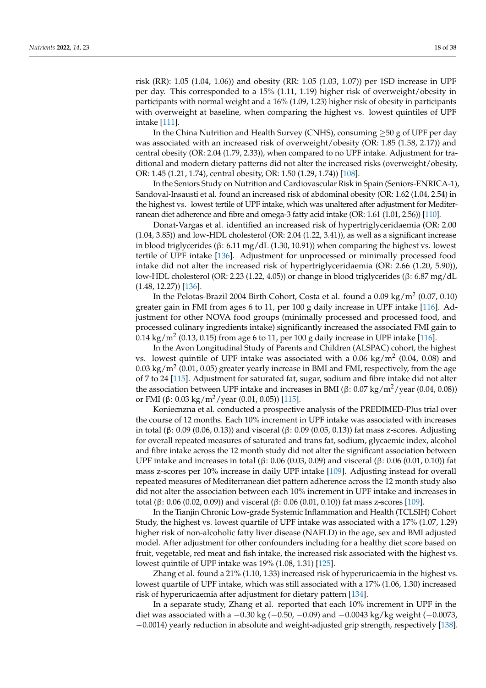risk (RR): 1.05 (1.04, 1.06)) and obesity (RR: 1.05 (1.03, 1.07)) per 1SD increase in UPF per day. This corresponded to a 15% (1.11, 1.19) higher risk of overweight/obesity in participants with normal weight and a 16% (1.09, 1.23) higher risk of obesity in participants with overweight at baseline, when comparing the highest vs. lowest quintiles of UPF intake [\[111\]](#page-34-26).

In the China Nutrition and Health Survey (CNHS), consuming  $\geq$ 50 g of UPF per day was associated with an increased risk of overweight/obesity (OR: 1.85 (1.58, 2.17)) and central obesity (OR: 2.04 (1.79, 2.33)), when compared to no UPF intake. Adjustment for traditional and modern dietary patterns did not alter the increased risks (overweight/obesity, OR: 1.45 (1.21, 1.74), central obesity, OR: 1.50 (1.29, 1.74)) [\[108\]](#page-34-27).

In the Seniors Study on Nutrition and Cardiovascular Risk in Spain (Seniors-ENRICA-1), Sandoval-Insausti et al. found an increased risk of abdominal obesity (OR: 1.62 (1.04, 2.54) in the highest vs. lowest tertile of UPF intake, which was unaltered after adjustment for Mediterranean diet adherence and fibre and omega-3 fatty acid intake (OR: 1.61 (1.01, 2.56)) [\[110\]](#page-34-28).

Donat-Vargas et al. identified an increased risk of hypertriglyceridaemia (OR: 2.00 (1.04, 3.85)) and low-HDL cholesterol (OR: 2.04 (1.22, 3.41)), as well as a significant increase in blood triglycerides (β: 6.11 mg/dL (1.30, 10.91)) when comparing the highest vs. lowest tertile of UPF intake [\[136\]](#page-35-28). Adjustment for unprocessed or minimally processed food intake did not alter the increased risk of hypertriglyceridaemia (OR: 2.66 (1.20, 5.90)), low-HDL cholesterol (OR: 2.23 (1.22, 4.05)) or change in blood triglycerides (β: 6.87 mg/dL  $(1.48, 12.27)$  [\[136\]](#page-35-28).

In the Pelotas-Brazil 2004 Birth Cohort, Costa et al. found a  $0.09 \text{ kg/m}^2$  (0.07, 0.10) greater gain in FMI from ages 6 to 11, per 100 g daily increase in UPF intake [\[116\]](#page-34-29). Adjustment for other NOVA food groups (minimally processed and processed food, and processed culinary ingredients intake) significantly increased the associated FMI gain to  $0.14~\mathrm{kg/m^2}$  (0.13, 0.15) from age 6 to 11, per 100 g daily increase in UPF intake [\[116\]](#page-34-29).

In the Avon Longitudinal Study of Parents and Children (ALSPAC) cohort, the highest vs. lowest quintile of UPF intake was associated with a  $0.06 \text{ kg/m}^2$  (0.04, 0.08) and  $0.03~\mathrm{kg/m^2}$  (0.01, 0.05) greater yearly increase in BMI and FMI, respectively, from the age of 7 to 24 [\[115\]](#page-34-7). Adjustment for saturated fat, sugar, sodium and fibre intake did not alter the association between UPF intake and increases in BMI (β: 0.07 kg/m<sup>2</sup>/year (0.04, 0.08)) or FMI (β: 0.03 kg/m<sup>2</sup>/year (0.01, 0.05)) [\[115\]](#page-34-7).

Koniecnzna et al. conducted a prospective analysis of the PREDIMED-Plus trial over the course of 12 months. Each 10% increment in UPF intake was associated with increases in total (β: 0.09 (0.06, 0.13)) and visceral (β: 0.09 (0.05, 0.13)) fat mass z-scores. Adjusting for overall repeated measures of saturated and trans fat, sodium, glycaemic index, alcohol and fibre intake across the 12 month study did not alter the significant association between UPF intake and increases in total (β: 0.06 (0.03, 0.09) and visceral (β: 0.06 (0.01, 0.10)) fat mass z-scores per 10% increase in daily UPF intake [\[109\]](#page-34-30). Adjusting instead for overall repeated measures of Mediterranean diet pattern adherence across the 12 month study also did not alter the association between each 10% increment in UPF intake and increases in total (β: 0.06 (0.02, 0.09)) and visceral (β: 0.06 (0.01, 0.10)) fat mass z-scores [\[109\]](#page-34-30).

In the Tianjin Chronic Low-grade Systemic Inflammation and Health (TCLSIH) Cohort Study, the highest vs. lowest quartile of UPF intake was associated with a 17% (1.07, 1.29) higher risk of non-alcoholic fatty liver disease (NAFLD) in the age, sex and BMI adjusted model. After adjustment for other confounders including for a healthy diet score based on fruit, vegetable, red meat and fish intake, the increased risk associated with the highest vs. lowest quintile of UPF intake was 19% (1.08, 1.31) [\[125\]](#page-35-29).

Zhang et al. found a 21% (1.10, 1.33) increased risk of hyperuricaemia in the highest vs. lowest quartile of UPF intake, which was still associated with a 17% (1.06, 1.30) increased risk of hyperuricaemia after adjustment for dietary pattern [\[134\]](#page-35-30).

In a separate study, Zhang et al. reported that each 10% increment in UPF in the diet was associated with a  $-0.30$  kg ( $-0.50$ ,  $-0.09$ ) and  $-0.0043$  kg/kg weight ( $-0.0073$ , −0.0014) yearly reduction in absolute and weight-adjusted grip strength, respectively [\[138\]](#page-36-1).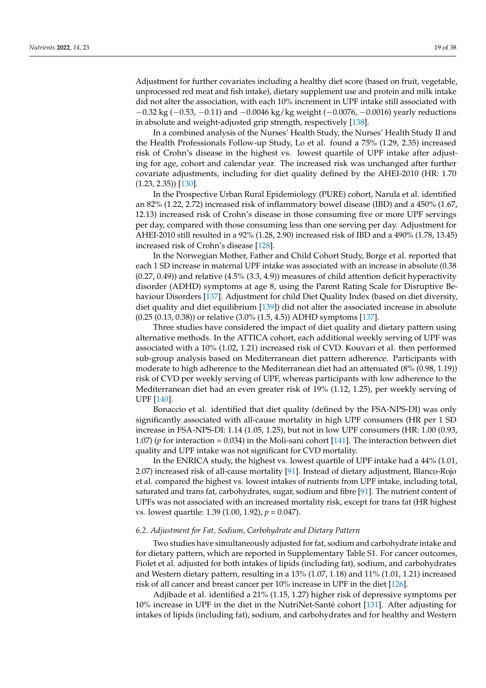Adjustment for further covariates including a healthy diet score (based on fruit, vegetable, unprocessed red meat and fish intake), dietary supplement use and protein and milk intake did not alter the association, with each 10% increment in UPF intake still associated with −0.32 kg (−0.53, −0.11) and −0.0046 kg/kg weight (−0.0076, −0.0016) yearly reductions in absolute and weight-adjusted grip strength, respectively [\[138\]](#page-36-1).

In a combined analysis of the Nurses' Health Study, the Nurses' Health Study II and the Health Professionals Follow-up Study, Lo et al. found a 75% (1.29, 2.35) increased risk of Crohn's disease in the highest vs. lowest quartile of UPF intake after adjusting for age, cohort and calendar year. The increased risk was unchanged after further covariate adjustments, including for diet quality defined by the AHEI-2010 (HR: 1.70 (1.23, 2.35)) [\[130\]](#page-35-31).

In the Prospective Urban Rural Epidemiology (PURE) cohort, Narula et al. identified an 82% (1.22, 2.72) increased risk of inflammatory bowel disease (IBD) and a 450% (1.67, 12.13) increased risk of Crohn's disease in those consuming five or more UPF servings per day, compared with those consuming less than one serving per day. Adjustment for AHEI-2010 still resulted in a 92% (1.28, 2.90) increased risk of IBD and a 490% (1.78, 13.45) increased risk of Crohn's disease [\[128\]](#page-35-32).

In the Norwegian Mother, Father and Child Cohort Study, Borge et al. reported that each 1 SD increase in maternal UPF intake was associated with an increase in absolute (0.38  $(0.27, 0.49)$ ) and relative  $(4.5\%$   $(3.3, 4.9)$ ) measures of child attention deficit hyperactivity disorder (ADHD) symptoms at age 8, using the Parent Rating Scale for Disruptive Behaviour Disorders [\[137\]](#page-35-33). Adjustment for child Diet Quality Index (based on diet diversity, diet quality and diet equilibrium [\[139\]](#page-36-2)) did not alter the associated increase in absolute (0.25 (0.13, 0.38)) or relative (3.0% (1.5, 4.5)) ADHD symptoms [\[137\]](#page-35-33).

Three studies have considered the impact of diet quality and dietary pattern using alternative methods. In the ATTICA cohort, each additional weekly serving of UPF was associated with a 10% (1.02, 1.21) increased risk of CVD. Kouvari et al. then performed sub-group analysis based on Mediterranean diet pattern adherence. Participants with moderate to high adherence to the Mediterranean diet had an attenuated (8% (0.98, 1.19)) risk of CVD per weekly serving of UPF, whereas participants with low adherence to the Mediterranean diet had an even greater risk of 19% (1.12, 1.25), per weekly serving of UPF [\[140\]](#page-36-3).

Bonaccio et al. identified that diet quality (defined by the FSA-NPS-DI) was only significantly associated with all-cause mortality in high UPF consumers (HR per 1 SD increase in FSA-NPS-DI: 1.14 (1.05, 1.25), but not in low UPF consumers (HR: 1.00 (0.93, 1.07) (*p* for interaction = 0.034) in the Moli-sani cohort [\[141\]](#page-36-4). The interaction between diet quality and UPF intake was not significant for CVD mortality.

In the ENRICA study, the highest vs. lowest quartile of UPF intake had a 44% (1.01, 2.07) increased risk of all-cause mortality [\[91\]](#page-33-15). Instead of dietary adjustment, Blanco-Rojo et al. compared the highest vs. lowest intakes of nutrients from UPF intake, including total, saturated and trans fat, carbohydrates, sugar, sodium and fibre [\[91\]](#page-33-15). The nutrient content of UPFs was not associated with an increased mortality risk, except for trans fat (HR highest vs. lowest quartile: 1.39 (1.00, 1.92), *p* = 0.047).

#### *6.2. Adjustment for Fat, Sodium, Carbohydrate and Dietary Pattern*

Two studies have simultaneously adjusted for fat, sodium and carbohydrate intake and for dietary pattern, which are reported in Supplementary Table S1. For cancer outcomes, Fiolet et al. adjusted for both intakes of lipids (including fat), sodium, and carbohydrates and Western dietary pattern, resulting in a 13% (1.07, 1.18) and 11% (1.01, 1.21) increased risk of all cancer and breast cancer per 10% increase in UPF in the diet [\[126\]](#page-35-1).

Adjibade et al. identified a 21% (1.15, 1.27) higher risk of depressive symptoms per 10% increase in UPF in the diet in the NutriNet-Santé cohort [\[131\]](#page-35-34). After adjusting for intakes of lipids (including fat), sodium, and carbohydrates and for healthy and Western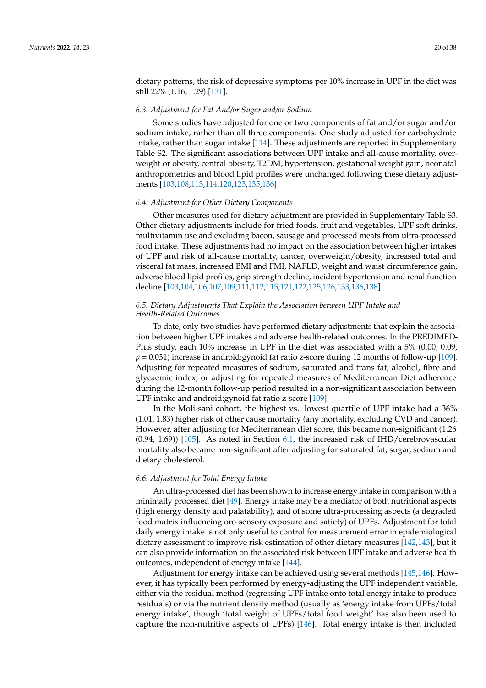dietary patterns, the risk of depressive symptoms per 10% increase in UPF in the diet was still 22% (1.16, 1.29) [\[131\]](#page-35-34).

#### *6.3. Adjustment for Fat And/or Sugar and/or Sodium*

Some studies have adjusted for one or two components of fat and/or sugar and/or sodium intake, rather than all three components. One study adjusted for carbohydrate intake, rather than sugar intake [\[114\]](#page-34-25). These adjustments are reported in Supplementary Table S2. The significant associations between UPF intake and all-cause mortality, overweight or obesity, central obesity, T2DM, hypertension, gestational weight gain, neonatal anthropometrics and blood lipid profiles were unchanged following these dietary adjustments [\[103](#page-34-24)[,108](#page-34-27)[,113](#page-34-6)[,114](#page-34-25)[,120,](#page-35-35)[123,](#page-35-2)[135,](#page-35-36)[136\]](#page-35-28).

#### *6.4. Adjustment for Other Dietary Components*

Other measures used for dietary adjustment are provided in Supplementary Table S3. Other dietary adjustments include for fried foods, fruit and vegetables, UPF soft drinks, multivitamin use and excluding bacon, sausage and processed meats from ultra-processed food intake. These adjustments had no impact on the association between higher intakes of UPF and risk of all-cause mortality, cancer, overweight/obesity, increased total and visceral fat mass, increased BMI and FMI, NAFLD, weight and waist circumference gain, adverse blood lipid profiles, grip strength decline, incident hypertension and renal function decline [\[103](#page-34-24)[,104,](#page-34-3)[106,](#page-34-5)[107,](#page-34-31)[109,](#page-34-30)[111](#page-34-26)[,112](#page-34-32)[,115](#page-34-7)[,121](#page-35-37)[,122,](#page-35-38)[125,](#page-35-29)[126,](#page-35-1)[133,](#page-35-39)[136](#page-35-28)[,138\]](#page-36-1).

# *6.5. Dietary Adjustments That Explain the Association between UPF Intake and Health-Related Outcomes*

To date, only two studies have performed dietary adjustments that explain the association between higher UPF intakes and adverse health-related outcomes. In the PREDIMED-Plus study, each 10% increase in UPF in the diet was associated with a 5% (0.00, 0.09,  $p = 0.031$ ) increase in android:gynoid fat ratio z-score during 12 months of follow-up [\[109\]](#page-34-30). Adjusting for repeated measures of sodium, saturated and trans fat, alcohol, fibre and glycaemic index, or adjusting for repeated measures of Mediterranean Diet adherence during the 12-month follow-up period resulted in a non-significant association between UPF intake and android:gynoid fat ratio z-score [\[109\]](#page-34-30).

In the Moli-sani cohort, the highest vs. lowest quartile of UPF intake had a 36% (1.01, 1.83) higher risk of other cause mortality (any mortality, excluding CVD and cancer). However, after adjusting for Mediterranean diet score, this became non-significant (1.26 (0.94, 1.69)) [\[105\]](#page-34-2). As noted in Section [6.1,](#page-5-0) the increased risk of IHD/cerebrovascular mortality also became non-significant after adjusting for saturated fat, sugar, sodium and dietary cholesterol.

#### *6.6. Adjustment for Total Energy Intake*

An ultra-processed diet has been shown to increase energy intake in comparison with a minimally processed diet [\[49\]](#page-32-3). Energy intake may be a mediator of both nutritional aspects (high energy density and palatability), and of some ultra-processing aspects (a degraded food matrix influencing oro-sensory exposure and satiety) of UPFs. Adjustment for total daily energy intake is not only useful to control for measurement error in epidemiological dietary assessment to improve risk estimation of other dietary measures [\[142,](#page-36-5)[143\]](#page-36-6), but it can also provide information on the associated risk between UPF intake and adverse health outcomes, independent of energy intake [\[144\]](#page-36-7).

Adjustment for energy intake can be achieved using several methods [\[145,](#page-36-8)[146\]](#page-36-9). However, it has typically been performed by energy-adjusting the UPF independent variable, either via the residual method (regressing UPF intake onto total energy intake to produce residuals) or via the nutrient density method (usually as 'energy intake from UPFs/total energy intake', though 'total weight of UPFs/total food weight' has also been used to capture the non-nutritive aspects of UPFs) [\[146\]](#page-36-9). Total energy intake is then included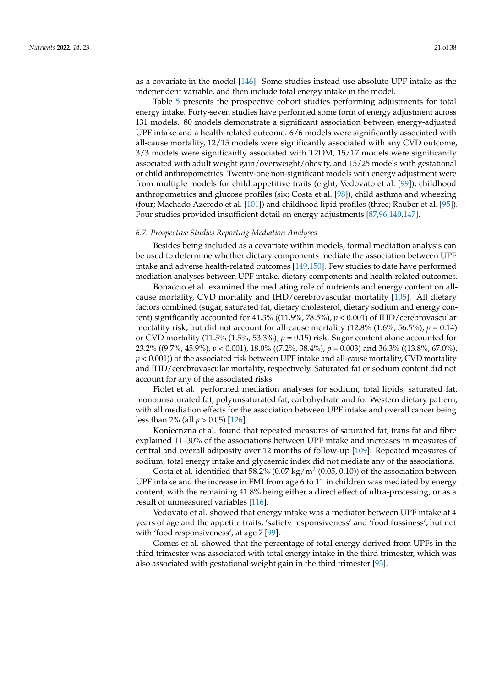as a covariate in the model [\[146\]](#page-36-9). Some studies instead use absolute UPF intake as the independent variable, and then include total energy intake in the model.

Table [5](#page-21-0) presents the prospective cohort studies performing adjustments for total energy intake. Forty-seven studies have performed some form of energy adjustment across 131 models. 80 models demonstrate a significant association between energy-adjusted UPF intake and a health-related outcome. 6/6 models were significantly associated with all-cause mortality, 12/15 models were significantly associated with any CVD outcome, 3/3 models were significantly associated with T2DM, 15/17 models were significantly associated with adult weight gain/overweight/obesity, and 15/25 models with gestational or child anthropometrics. Twenty-one non-significant models with energy adjustment were from multiple models for child appetitive traits (eight; Vedovato et al. [\[99\]](#page-34-33)), childhood anthropometrics and glucose profiles (six; Costa et al. [\[98\]](#page-34-34)), child asthma and wheezing (four; Machado Azeredo et al. [\[101\]](#page-34-0)) and childhood lipid profiles (three; Rauber et al. [\[95\]](#page-33-19)). Four studies provided insufficient detail on energy adjustments [\[87](#page-33-20)[,96](#page-33-21)[,140](#page-36-3)[,147\]](#page-36-10).

#### *6.7. Prospective Studies Reporting Mediation Analyses*

Besides being included as a covariate within models, formal mediation analysis can be used to determine whether dietary components mediate the association between UPF intake and adverse health-related outcomes [\[149,](#page-36-11)[150\]](#page-36-12). Few studies to date have performed mediation analyses between UPF intake, dietary components and health-related outcomes.

Bonaccio et al. examined the mediating role of nutrients and energy content on allcause mortality, CVD mortality and IHD/cerebrovascular mortality [\[105\]](#page-34-2). All dietary factors combined (sugar, saturated fat, dietary cholesterol, dietary sodium and energy content) significantly accounted for 41.3% ((11.9%, 78.5%), *p* < 0.001) of IHD/cerebrovascular mortality risk, but did not account for all-cause mortality  $(12.8\% \, (1.6\%, 56.5\%), p = 0.14)$ or CVD mortality  $(11.5\% (1.5\%, 53.3\%), p = 0.15)$  risk. Sugar content alone accounted for 23.2% ((9.7%, 45.9%), *p* < 0.001), 18.0% ((7.2%, 38.4%), *p* = 0.003) and 36.3% ((13.8%, 67.0%),  $p < 0.001$ ) of the associated risk between UPF intake and all-cause mortality, CVD mortality and IHD/cerebrovascular mortality, respectively. Saturated fat or sodium content did not account for any of the associated risks.

Fiolet et al. performed mediation analyses for sodium, total lipids, saturated fat, monounsaturated fat, polyunsaturated fat, carbohydrate and for Western dietary pattern, with all mediation effects for the association between UPF intake and overall cancer being less than 2% (all *p* > 0.05) [\[126\]](#page-35-1).

Koniecnzna et al. found that repeated measures of saturated fat, trans fat and fibre explained 11–30% of the associations between UPF intake and increases in measures of central and overall adiposity over 12 months of follow-up [\[109\]](#page-34-30). Repeated measures of sodium, total energy intake and glycaemic index did not mediate any of the associations.

Costa et al. identified that 58.2% (0.07 kg/m<sup>2</sup> (0.05, 0.10)) of the association between UPF intake and the increase in FMI from age 6 to 11 in children was mediated by energy content, with the remaining 41.8% being either a direct effect of ultra-processing, or as a result of unmeasured variables [\[116\]](#page-34-29).

Vedovato et al. showed that energy intake was a mediator between UPF intake at 4 years of age and the appetite traits, 'satiety responsiveness' and 'food fussiness', but not with 'food responsiveness', at age 7 [\[99\]](#page-34-33).

Gomes et al. showed that the percentage of total energy derived from UPFs in the third trimester was associated with total energy intake in the third trimester, which was also associated with gestational weight gain in the third trimester [\[93\]](#page-33-17).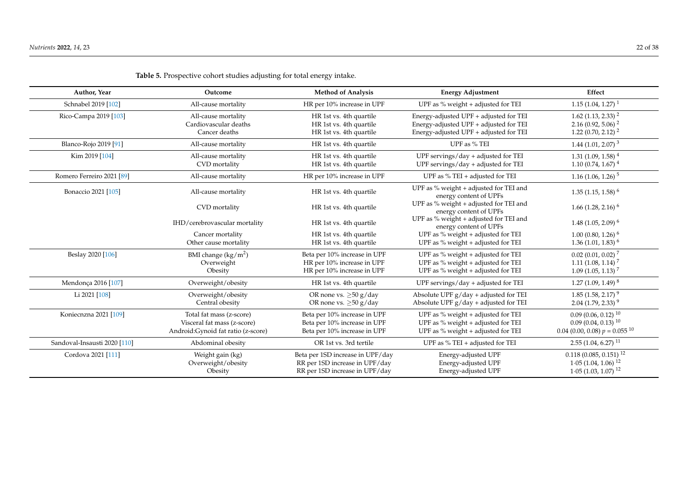<span id="page-21-0"></span>

| Author, Year                 | Outcome                                                                                        | <b>Method of Analysis</b>                                                                            | <b>Energy Adjustment</b>                                                                                                   | Effect                                                                                                         |
|------------------------------|------------------------------------------------------------------------------------------------|------------------------------------------------------------------------------------------------------|----------------------------------------------------------------------------------------------------------------------------|----------------------------------------------------------------------------------------------------------------|
| Schnabel 2019 [102]          | All-cause mortality                                                                            | HR per 10% increase in UPF                                                                           | UPF as % weight + adjusted for TEI                                                                                         | $1.15(1.04, 1.27)^{1}$                                                                                         |
| Rico-Campa 2019 [103]        | All-cause mortality<br>Cardiovascular deaths<br>Cancer deaths                                  | HR 1st vs. 4th quartile<br>HR 1st vs. 4th quartile<br>HR 1st vs. 4th quartile                        | Energy-adjusted UPF + adjusted for TEI<br>Energy-adjusted UPF + adjusted for TEI<br>Energy-adjusted UPF + adjusted for TEI | $1.62$ (1.13, 2.33) <sup>2</sup><br>2.16 (0.92, 5.06) <sup>2</sup><br>1.22 (0.70, 2.12) <sup>2</sup>           |
| Blanco-Rojo 2019 [91]        | All-cause mortality                                                                            | HR 1st vs. 4th quartile                                                                              | UPF as % TEI                                                                                                               | $1.44$ (1.01, 2.07) <sup>3</sup>                                                                               |
| Kim 2019 [104]               | All-cause mortality<br>CVD mortality                                                           | HR 1st vs. 4th quartile<br>HR 1st vs. 4th quartile                                                   | UPF servings/day + adjusted for TEI<br>UPF servings/day + adjusted for TEI                                                 | $1.31(1.09, 1.58)^{4}$<br>$1.10(0.74, 1.67)^{4}$                                                               |
| Romero Ferreiro 2021 [89]    | All-cause mortality                                                                            | HR per 10% increase in UPF                                                                           | UPF as % TEI + adjusted for TEI                                                                                            | 1.16 $(1.06, 1.26)^5$                                                                                          |
| Bonaccio 2021 [105]          | All-cause mortality                                                                            | HR 1st vs. 4th quartile                                                                              | UPF as % weight + adjusted for TEI and<br>energy content of UPFs                                                           | $1.35(1.15, 1.58)^6$                                                                                           |
|                              | CVD mortality                                                                                  | HR 1st vs. 4th quartile                                                                              | UPF as % weight + adjusted for TEI and<br>energy content of UPFs                                                           | $1.66$ (1.28, 2.16) <sup>6</sup>                                                                               |
|                              | IHD/cerebrovascular mortality                                                                  | HR 1st vs. 4th quartile                                                                              | UPF as % weight + adjusted for TEI and<br>energy content of UPFs                                                           | $1.48(1.05, 2.09)^6$                                                                                           |
|                              | Cancer mortality<br>Other cause mortality                                                      | HR 1st vs. 4th quartile<br>HR 1st vs. 4th quartile                                                   | UPF as % weight + adjusted for TEI<br>UPF as % weight + adjusted for TEI                                                   | $1.00(0.80, 1.26)^6$<br>$1.36(1.01, 1.83)^6$                                                                   |
| Beslay 2020 [106]            | BMI change $(kg/m^2)$<br>Overweight<br>Obesity                                                 | Beta per 10% increase in UPF<br>HR per 10% increase in UPF<br>HR per 10% increase in UPF             | UPF as $%$ weight + adjusted for TEI<br>UPF as $%$ weight + adjusted for TEI<br>UPF as $%$ weight + adjusted for TEI       | $0.02$ (0.01, 0.02) <sup>7</sup><br>$1.11$ (1.08, 1.14) <sup>7</sup><br>$1.09$ (1.05, 1.13) <sup>7</sup>       |
| Mendonça 2016 [107]          | Overweight/obesity                                                                             | HR 1st vs. 4th quartile                                                                              | UPF servings/day $+$ adjusted for TEI                                                                                      | $1.27(1.09, 1.49)^{8}$                                                                                         |
| Li 2021 [108]                | Overweight/obesity<br>Central obesity                                                          | OR none vs. $\geq 50$ g/day<br>OR none vs. $\geq 50$ g/day                                           | Absolute UPF $g$ /day + adjusted for TEI<br>Absolute UPF $g$ /day + adjusted for TEI                                       | $1.85(1.58, 2.17)^9$<br>$2.04$ (1.79, 2.33) <sup>9</sup>                                                       |
| Koniecnzna 2021 [109]        | Total fat mass (z-score)<br>Visceral fat mass (z-score)<br>Android: Gynoid fat ratio (z-score) | Beta per 10% increase in UPF<br>Beta per 10% increase in UPF<br>Beta per 10% increase in UPF         | UPF as $%$ weight + adjusted for TEI<br>UPF as % weight + adjusted for TEI<br>UPF as % weight + adjusted for TEI           | $0.09(0.06, 0.12)^{10}$<br>$0.09(0.04, 0.13)^{10}$<br>$0.04$ (0.00, 0.08) $p = 0.055$ <sup>10</sup>            |
| Sandoval-Insausti 2020 [110] | Abdominal obesity                                                                              | OR 1st vs. 3rd tertile                                                                               | UPF as $%$ TEI + adjusted for TEI                                                                                          | $2.55(1.04, 6.27)^{11}$                                                                                        |
| Cordova 2021 [111]           | Weight gain (kg)<br>Overweight/obesity<br>Obesity                                              | Beta per 1SD increase in UPF/day<br>RR per 1SD increase in UPF/day<br>RR per 1SD increase in UPF/day | Energy-adjusted UPF<br>Energy-adjusted UPF<br>Energy-adjusted UPF                                                          | $0.118$ (0.085, 0.151) <sup>12</sup><br>$1.05$ (1.04, 1.06) <sup>12</sup><br>$1.05$ (1.03, 1.07) <sup>12</sup> |

**Table 5.** Prospective cohort studies adjusting for total energy intake.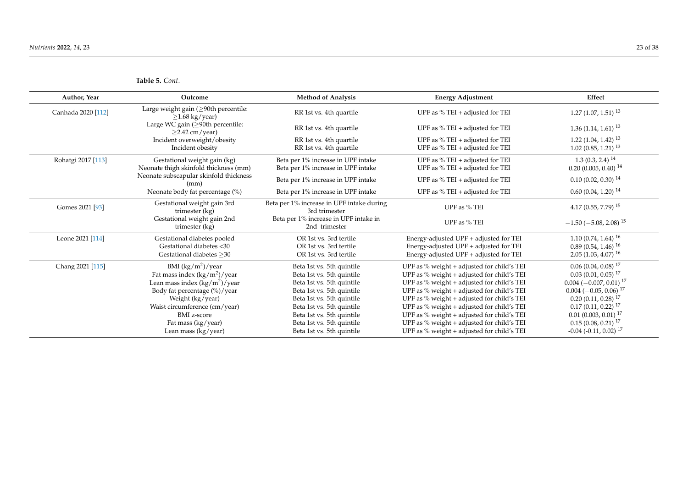**Table 5.** *Cont.*

| Author, Year       | Outcome                                                         | <b>Method of Analysis</b>                                  | <b>Energy Adjustment</b>                   | Effect                                  |
|--------------------|-----------------------------------------------------------------|------------------------------------------------------------|--------------------------------------------|-----------------------------------------|
| Canhada 2020 [112] | Large weight gain (≥90th percentile:<br>$\geq$ 1.68 kg/year)    | RR 1st vs. 4th quartile                                    | UPF as % TEI + adjusted for TEI            | $1.27(1.07, 1.51)^{13}$                 |
|                    | Large WC gain ( $\geq$ 90th percentile:<br>$\geq$ 2.42 cm/year) | RR 1st vs. 4th quartile                                    | UPF as $%$ TEI + adjusted for TEI          | $1.36(1.14, 1.61)^{13}$                 |
|                    | Incident overweight/obesity                                     | RR 1st vs. 4th quartile                                    | UPF as $%$ TEI + adjusted for TEI          | $1.22(1.04, 1.42)^{13}$                 |
|                    | Incident obesity                                                | RR 1st vs. 4th quartile                                    | UPF as % TEI + adjusted for TEI            | $1.02(0.85, 1.21)^{13}$                 |
| Rohatgi 2017 [113] | Gestational weight gain (kg)                                    | Beta per 1% increase in UPF intake                         | UPF as % TEI + adjusted for TEI            | $1.3(0.3, 2.4)^{14}$                    |
|                    | Neonate thigh skinfold thickness (mm)                           | Beta per 1% increase in UPF intake                         | UPF as % TEI + adjusted for TEI            | $0.20(0.005, 0.40)^{14}$                |
|                    | Neonate subscapular skinfold thickness<br>(mm)                  | Beta per 1% increase in UPF intake                         | UPF as $%$ TEI + adjusted for TEI          | $0.10(0.02, 0.30)^{14}$                 |
|                    | Neonate body fat percentage (%)                                 | Beta per 1% increase in UPF intake                         | UPF as % TEI + adjusted for TEI            | $0.60(0.04, 1.20)^{14}$                 |
| Gomes 2021 [93]    | Gestational weight gain 3rd<br>trimester (kg)                   | Beta per 1% increase in UPF intake during<br>3rd trimester | UPF as % TEI                               | 4.17 (0.55, 7.79) $^{15}$               |
|                    | Gestational weight gain 2nd<br>trimester (kg)                   | Beta per 1% increase in UPF intake in<br>2nd trimester     | UPF as % TEI                               | $-1.50$ ( $-5.08$ , 2.08) <sup>15</sup> |
| Leone 2021 [114]   | Gestational diabetes pooled                                     | OR 1st vs. 3rd tertile                                     | Energy-adjusted UPF + adjusted for TEI     | $1.10(0.74, 1.64)^{16}$                 |
|                    | Gestational diabetes <30                                        | OR 1st vs. 3rd tertile                                     | Energy-adjusted UPF + adjusted for TEI     | $0.89(0.54, 1.46)^{16}$                 |
|                    | Gestational diabetes > 30                                       | OR 1st vs. 3rd tertile                                     | Energy-adjusted UPF + adjusted for TEI     | $2.05(1.03, 4.07)^{16}$                 |
| Chang 2021 [115]   | BMI $(kg/m^2)$ /year                                            | Beta 1st vs. 5th quintile                                  | UPF as % weight + adjusted for child's TEI | $0.06(0.04, 0.08)^{17}$                 |
|                    | Fat mass index $(kg/m^2)/year$                                  | Beta 1st vs. 5th quintile                                  | UPF as % weight + adjusted for child's TEI | $0.03(0.01, 0.05)^{17}$                 |
|                    | Lean mass index $(kg/m^2)/year$                                 | Beta 1st vs. 5th quintile                                  | UPF as % weight + adjusted for child's TEI | $0.004$ $(-0.007,\,0.01)^{\,17}$        |
|                    | Body fat percentage (%)/year                                    | Beta 1st vs. 5th quintile                                  | UPF as % weight + adjusted for child's TEI | $0.004 (-0.05, 0.06)^{17}$              |
|                    | Weight (kg/year)                                                | Beta 1st vs. 5th quintile                                  | UPF as % weight + adjusted for child's TEI | $0.20(0.11, 0.28)^{17}$                 |
|                    | Waist circumference (cm/year)                                   | Beta 1st vs. 5th quintile                                  | UPF as % weight + adjusted for child's TEI | $0.17(0.11, 0.22)^{17}$                 |
|                    | <b>BMI</b> z-score                                              | Beta 1st vs. 5th quintile                                  | UPF as % weight + adjusted for child's TEI | $0.01$ (0.003, 0.01) <sup>17</sup>      |
|                    | Fat mass (kg/year)                                              | Beta 1st vs. 5th quintile                                  | UPF as % weight + adjusted for child's TEI | $0.15(0.08, 0.21)^{17}$                 |
|                    | Lean mass (kg/year)                                             | Beta 1st vs. 5th quintile                                  | UPF as % weight + adjusted for child's TEI | $-0.04$ ( $-0.11$ , $0.02$ ) $^{17}$    |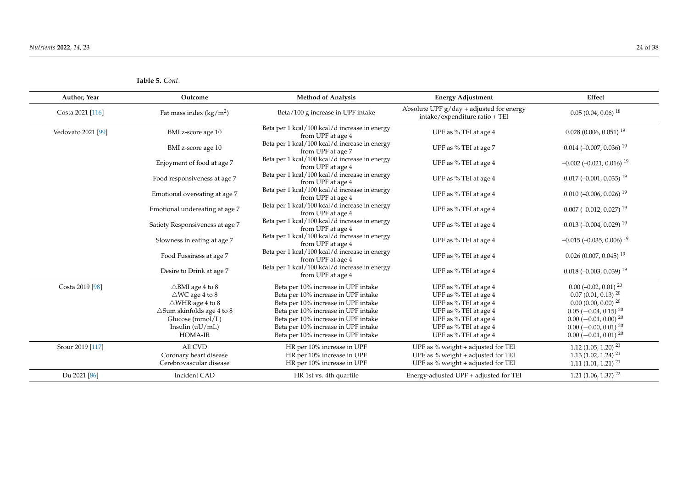| Author, Year       | Outcome                              | <b>Method of Analysis</b>                                          | <b>Energy Adjustment</b>                                                      | Effect                                     |
|--------------------|--------------------------------------|--------------------------------------------------------------------|-------------------------------------------------------------------------------|--------------------------------------------|
| Costa 2021 [116]   | Fat mass index $(kg/m2)$             | Beta/100 g increase in UPF intake                                  | Absolute UPF $g$ /day + adjusted for energy<br>intake/expenditure ratio + TEI | $0.05(0.04, 0.06)^{18}$                    |
| Vedovato 2021 [99] | BMI z-score age 10                   | Beta per 1 kcal/100 kcal/d increase in energy<br>from UPF at age 4 | UPF as % TEI at age 4                                                         | $0.028$ (0.006, 0.051) <sup>19</sup>       |
|                    | BMI z-score age 10                   | Beta per 1 kcal/100 kcal/d increase in energy<br>from UPF at age 7 | UPF as % TEI at age 7                                                         | $0.014 (-0.007, 0.036)^{19}$               |
|                    | Enjoyment of food at age 7           | Beta per 1 kcal/100 kcal/d increase in energy<br>from UPF at age 4 | UPF as % TEI at age 4                                                         | $-0.002$ $(-0.021, 0.016)$ <sup>19</sup>   |
|                    | Food responsiveness at age 7         | Beta per 1 kcal/100 kcal/d increase in energy<br>from UPF at age 4 | UPF as % TEI at age 4                                                         | $0.017$ (-0.001, 0.035) <sup>19</sup>      |
|                    | Emotional overeating at age 7        | Beta per 1 kcal/100 kcal/d increase in energy<br>from UPF at age 4 | UPF as % TEI at age 4                                                         | $0.010 (-0.006, 0.026)^{19}$               |
|                    | Emotional undereating at age 7       | Beta per 1 kcal/100 kcal/d increase in energy<br>from UPF at age 4 | UPF as % TEI at age 4                                                         | $0.007$ (-0.012, 0.027) <sup>19</sup>      |
|                    | Satiety Responsiveness at age 7      | Beta per 1 kcal/100 kcal/d increase in energy<br>from UPF at age 4 | UPF as % TEI at age 4                                                         | $0.013$ (-0.004, 0.029) <sup>19</sup>      |
|                    | Slowness in eating at age 7          | Beta per 1 kcal/100 kcal/d increase in energy<br>from UPF at age 4 | UPF as % TEI at age 4                                                         | $-0.015$ ( $-0.035$ , 0.006) <sup>19</sup> |
|                    | Food Fussiness at age 7              | Beta per 1 kcal/100 kcal/d increase in energy<br>from UPF at age 4 | UPF as % TEI at age 4                                                         | $0.026$ (0.007, 0.045) <sup>19</sup>       |
|                    | Desire to Drink at age 7             | Beta per 1 kcal/100 kcal/d increase in energy<br>from UPF at age 4 | UPF as % TEI at age 4                                                         | $0.018 (-0.003, 0.039)$ <sup>19</sup>      |
| Costa 2019 [98]    | $\triangle$ BMI age 4 to 8           | Beta per 10% increase in UPF intake                                | UPF as % TEI at age 4                                                         | $0.00$ (-0.02, 0.01) $^{20}$               |
|                    | $\triangle$ WC age 4 to 8            | Beta per 10% increase in UPF intake                                | UPF as % TEI at age 4                                                         | $0.07(0.01, 0.13)^{20}$                    |
|                    | $\triangle$ WHR age 4 to 8           | Beta per 10% increase in UPF intake                                | UPF as % TEI at age 4                                                         | $0.00$ $(0.00, 0.00)$ $^{20}$              |
|                    | $\triangle$ Sum skinfolds age 4 to 8 | Beta per 10% increase in UPF intake                                | UPF as % TEI at age 4                                                         | $0.05$ (-0.04, 0.15) <sup>20</sup>         |
|                    | Glucose $(mmol/L)$                   | Beta per 10% increase in UPF intake                                | UPF as % TEI at age 4                                                         | $0.00 (-0.01, 0.00)^{20}$                  |
|                    | Insulin $(uU/mL)$                    | Beta per 10% increase in UPF intake                                | UPF as % TEI at age 4                                                         | $0.00 (-0.00, 0.01)^{20}$                  |
|                    | <b>HOMA-IR</b>                       | Beta per 10% increase in UPF intake                                | UPF as % TEI at age 4                                                         | $0.00 (-0.01, 0.01)^{20}$                  |
| Srour 2019 [117]   | All CVD                              | HR per 10% increase in UPF                                         | UPF as % weight + adjusted for TEI                                            | $1.12$ (1.05, 1.20) <sup>21</sup>          |
|                    | Coronary heart disease               | HR per 10% increase in UPF                                         | UPF as % weight + adjusted for TEI                                            | 1.13 (1.02, 1.24) <sup>21</sup>            |
|                    | Cerebrovascular disease              | HR per 10% increase in UPF                                         | UPF as % weight + adjusted for TEI                                            | $1.11(1.01, 1.21)^{21}$                    |
| Du 2021 [86]       | Incident CAD                         | HR 1st vs. 4th quartile                                            | Energy-adjusted UPF + adjusted for TEI                                        | $1.21$ (1.06, 1.37) <sup>22</sup>          |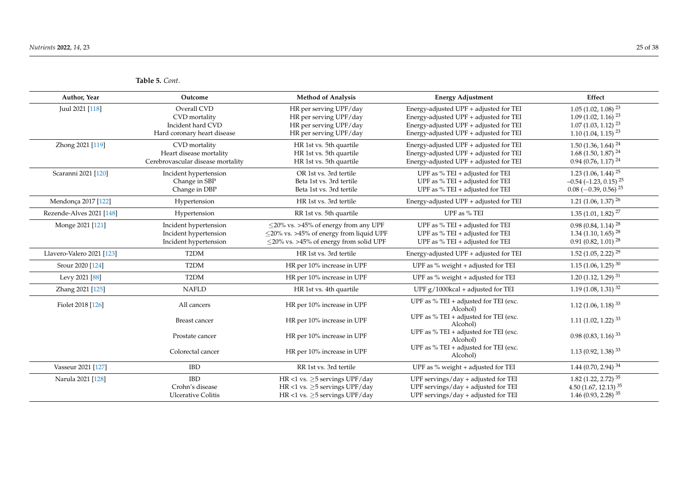**Table 5.** *Cont.*

| Author, Year              | Outcome                                                                          | <b>Method of Analysis</b>                                                                                                                   | <b>Energy Adjustment</b>                                                                                                                                             | Effect                                                                                                      |
|---------------------------|----------------------------------------------------------------------------------|---------------------------------------------------------------------------------------------------------------------------------------------|----------------------------------------------------------------------------------------------------------------------------------------------------------------------|-------------------------------------------------------------------------------------------------------------|
| Juul 2021 [118]           | Overall CVD<br>CVD mortality<br>Incident hard CVD<br>Hard coronary heart disease | HR per serving UPF/day<br>HR per serving UPF/day<br>HR per serving UPF/day<br>HR per serving UPF/day                                        | Energy-adjusted UPF + adjusted for TEI<br>Energy-adjusted UPF + adjusted for TEI<br>Energy-adjusted UPF + adjusted for TEI<br>Energy-adjusted UPF + adjusted for TEI | $1.05(1.02, 1.08)^{23}$<br>$1.09(1.02, 1.16)^{23}$<br>$1.07(1.03, 1.12)^{23}$<br>$1.10(1.04, 1.15)^{23}$    |
| Zhong 2021 [119]          | CVD mortality<br>Heart disease mortality<br>Cerebrovascular disease mortality    | HR 1st vs. 5th quartile<br>HR 1st vs. 5th quartile<br>HR 1st vs. 5th quartile                                                               | Energy-adjusted UPF + adjusted for TEI<br>Energy-adjusted UPF + adjusted for TEI<br>Energy-adjusted UPF + adjusted for TEI                                           | $1.50$ (1.36, 1.64) <sup>24</sup><br>$1.68$ (1.50, 1.87) <sup>24</sup><br>$0.94$ (0.76, 1.17) <sup>24</sup> |
| Scaranni 2021 [120]       | Incident hypertension<br>Change in SBP<br>Change in DBP                          | OR 1st vs. 3rd tertile<br>Beta 1st vs. 3rd tertile<br>Beta 1st vs. 3rd tertile                                                              | UPF as $%$ TEI + adjusted for TEI<br>UPF as $%$ TEI + adjusted for TEI<br>UPF as $%$ TEI + adjusted for TEI                                                          | $1.23(1.06, 1.44)^{25}$<br>$-0.54$ ( $-1.23$ , 0.15) <sup>25</sup><br>$0.08$ (-0.39, 0.56) <sup>25</sup>    |
| Mendonça 2017 [122]       | Hypertension                                                                     | HR 1st vs. 3rd tertile                                                                                                                      | Energy-adjusted UPF + adjusted for TEI                                                                                                                               | 1.21 $(1.06, 1.37)$ <sup>26</sup>                                                                           |
| Rezende-Alves 2021 [148]  | Hypertension                                                                     | RR 1st vs. 5th quartile                                                                                                                     | UPF as % TEI                                                                                                                                                         | $1.35(1.01, 1.82)^{27}$                                                                                     |
| Monge 2021 [121]          | Incident hypertension<br>Incident hypertension<br>Incident hypertension          | $\leq$ 20% vs. >45% of energy from any UPF<br>$\leq$ 20% vs. >45% of energy from liquid UPF<br>$\leq$ 20% vs. >45% of energy from solid UPF | UPF as $%$ TEI + adjusted for TEI<br>UPF as $%$ TEI + adjusted for TEI<br>UPF as $%$ TEI + adjusted for TEI                                                          | $0.98(0.84, 1.14)^{28}$<br>$1.34$ (1.10, 1.65) <sup>28</sup><br>$0.91(0.82, 1.01)^{28}$                     |
| Llavero-Valero 2021 [123] | T <sub>2</sub> DM                                                                | HR 1st vs. 3rd tertile                                                                                                                      | Energy-adjusted UPF + adjusted for TEI                                                                                                                               | $1.52$ (1.05, 2.22) <sup>29</sup>                                                                           |
| Srour 2020 [124]          | T <sub>2</sub> DM                                                                | HR per 10% increase in UPF                                                                                                                  | UPF as % weight + adjusted for TEI                                                                                                                                   | $1.15$ (1.06, 1.25) <sup>30</sup>                                                                           |
| Levy 2021 [88]            | T <sub>2</sub> DM                                                                | HR per 10% increase in UPF                                                                                                                  | UPF as $%$ weight + adjusted for TEI                                                                                                                                 | $1.20(1.12, 1.29)^{31}$                                                                                     |
| Zhang 2021 [125]          | <b>NAFLD</b>                                                                     | HR 1st vs. 4th quartile                                                                                                                     | UPF $g/1000$ kcal + adjusted for TEI                                                                                                                                 | $1.19(1.08, 1.31)^{32}$                                                                                     |
| Fiolet 2018 [126]         | All cancers                                                                      | HR per 10% increase in UPF                                                                                                                  | UPF as $%$ TEI + adjusted for TEI (exc.<br>Alcohol)                                                                                                                  | 1.12 $(1.06, 1.18)^{33}$                                                                                    |
|                           | <b>Breast cancer</b>                                                             | HR per 10% increase in UPF                                                                                                                  | UPF as $%$ TEI + adjusted for TEI (exc.<br>Alcohol)                                                                                                                  | $1.11$ (1.02, 1.22) <sup>33</sup>                                                                           |
|                           | Prostate cancer                                                                  | HR per 10% increase in UPF                                                                                                                  | UPF as $%$ TEI + adjusted for TEI (exc.<br>Alcohol)                                                                                                                  | $0.98(0.83, 1.16)^{33}$                                                                                     |
|                           | Colorectal cancer                                                                | HR per 10% increase in UPF                                                                                                                  | UPF as % TEI + adjusted for TEI (exc.<br>Alcohol)                                                                                                                    | $1.13(0.92, 1.38)^{33}$                                                                                     |
| Vasseur 2021 [127]        | <b>IBD</b>                                                                       | RR 1st vs. 3rd tertile                                                                                                                      | UPF as $%$ weight + adjusted for TEI                                                                                                                                 | 1.44 (0.70, 2.94) $34$                                                                                      |
| Narula 2021 [128]         | <b>IBD</b><br>Crohn's disease<br><b>Ulcerative Colitis</b>                       | HR <1 vs. $\geq$ 5 servings UPF/day<br>HR <1 vs. $>5$ servings UPF/day<br>HR <1 vs. $\geq$ 5 servings UPF/day                               | UPF servings/day + adjusted for TEI<br>UPF servings/day + adjusted for TEI<br>UPF servings/day + adjusted for TEI                                                    | $1.82$ (1.22, 2.72) <sup>35</sup><br>4.50 $(1.67, 12.13)^{35}$<br>1.46 $(0.93, 2.28)$ 35                    |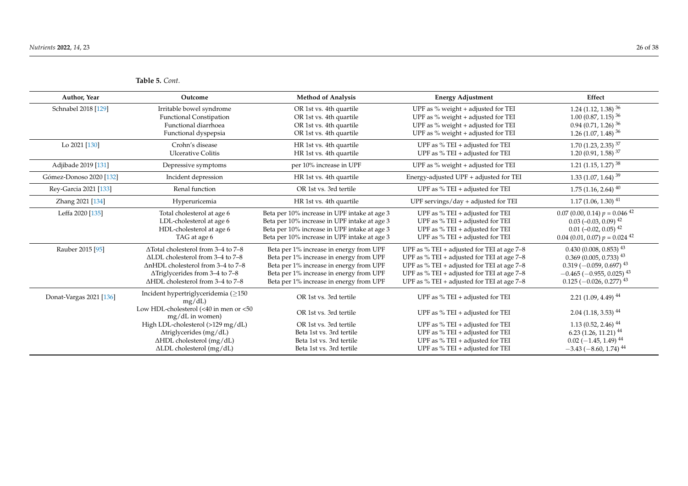| Author, Year            | Outcome                                                                                                                                                                                                           | <b>Method of Analysis</b>                                                                                                                                                                                           | <b>Energy Adjustment</b>                                                                                                                                                                                                                     | Effect                                                                                                                                                                          |
|-------------------------|-------------------------------------------------------------------------------------------------------------------------------------------------------------------------------------------------------------------|---------------------------------------------------------------------------------------------------------------------------------------------------------------------------------------------------------------------|----------------------------------------------------------------------------------------------------------------------------------------------------------------------------------------------------------------------------------------------|---------------------------------------------------------------------------------------------------------------------------------------------------------------------------------|
| Schnabel 2018 [129]     | Irritable bowel syndrome<br><b>Functional Constipation</b><br>Functional diarrhoea<br>Functional dyspepsia                                                                                                        | OR 1st vs. 4th quartile<br>OR 1st vs. 4th quartile<br>OR 1st vs. 4th quartile<br>OR 1st vs. 4th quartile                                                                                                            | UPF as $%$ weight + adjusted for TEI<br>UPF as $%$ weight + adjusted for TEI<br>UPF as % weight + adjusted for TEI<br>UPF as % weight + adjusted for TEI                                                                                     | 1.24 (1.12, 1.38) $36$<br>$1.00(0.87, 1.15)^{36}$<br>$0.94$ (0.71, 1.26) <sup>36</sup><br>1.26 (1.07, 1.48) $36$                                                                |
| Lo 2021 [130]           | Crohn's disease<br><b>Ulcerative Colitis</b>                                                                                                                                                                      | HR 1st vs. 4th quartile<br>HR 1st vs. 4th quartile                                                                                                                                                                  | UPF as $%$ TEI + adjusted for TEI<br>UPF as % TEI + adjusted for TEI                                                                                                                                                                         | $1.70$ (1.23, 2.35) <sup>37</sup><br>$1.20(0.91, 1.58)^{37}$                                                                                                                    |
| Adjibade 2019 [131]     | Depressive symptoms                                                                                                                                                                                               | per 10% increase in UPF                                                                                                                                                                                             | UPF as % weight + adjusted for TEI                                                                                                                                                                                                           | 1.21 (1.15, 1.27) $38$                                                                                                                                                          |
| Gómez-Donoso 2020 [132] | Incident depression                                                                                                                                                                                               | HR 1st vs. 4th quartile                                                                                                                                                                                             | Energy-adjusted UPF + adjusted for TEI                                                                                                                                                                                                       | $1.33$ (1.07, 1.64) <sup>39</sup>                                                                                                                                               |
| Rey-Garcia 2021 [133]   | Renal function                                                                                                                                                                                                    | OR 1st vs. 3rd tertile                                                                                                                                                                                              | UPF as $%$ TEI + adjusted for TEI                                                                                                                                                                                                            | $1.75$ (1.16, 2.64) <sup>40</sup>                                                                                                                                               |
| Zhang 2021 [134]        | Hyperuricemia                                                                                                                                                                                                     | HR 1st vs. 4th quartile                                                                                                                                                                                             | UPF servings/day $+$ adjusted for TEI                                                                                                                                                                                                        | $1.17(1.06, 1.30)^{41}$                                                                                                                                                         |
| Leffa 2020 [135]        | Total cholesterol at age 6<br>LDL-cholesterol at age 6<br>HDL-cholesterol at age 6<br>TAG at age 6                                                                                                                | Beta per 10% increase in UPF intake at age 3<br>Beta per 10% increase in UPF intake at age 3<br>Beta per 10% increase in UPF intake at age 3<br>Beta per 10% increase in UPF intake at age 3                        | UPF as $%$ TEI + adjusted for TEI<br>UPF as $%$ TEI + adjusted for TEI<br>UPF as $%$ TEI + adjusted for TEI<br>UPF as % TEI + adjusted for TEI                                                                                               | $0.07$ (0.00, 0.14) $p = 0.046$ <sup>42</sup><br>$0.03$ (-0.03, 0.09) <sup>42</sup><br>$0.01$ (-0.02, 0.05) <sup>42</sup><br>$0.04$ (0.01, 0.07) $p = 0.024$ <sup>42</sup>      |
| Rauber 2015 [95]        | $\Delta$ Total cholesterol from 3-4 to 7-8<br>ALDL cholesterol from 3-4 to 7-8<br>$\Delta$ nHDL cholesterol from 3–4 to 7–8<br>$\Delta$ Triglycerides from 3–4 to 7–8<br>$\Delta$ HDL cholesterol from 3–4 to 7–8 | Beta per 1% increase in energy from UPF<br>Beta per 1% increase in energy from UPF<br>Beta per 1% increase in energy from UPF<br>Beta per 1% increase in energy from UPF<br>Beta per 1% increase in energy from UPF | UPF as % TEI + adjusted for TEI at age $7-8$<br>UPF as % TEI + adjusted for TEI at age $7-8$<br>UPF as % TEI + adjusted for TEI at age $7-8$<br>UPF as % TEI + adjusted for TEI at age $7-8$<br>UPF as % TEI + adjusted for TEI at age $7-8$ | $0.430(0.008, 0.853)^{43}$<br>$0.369$ (0.005, 0.733) <sup>43</sup><br>$0.319(-0.059, 0.697)^{43}$<br>$-0.465$ ( $-0.955$ , 0.025) <sup>43</sup><br>$0.125 (-0.026, 0.277)^{43}$ |
| Donat-Vargas 2021 [136] | Incident hypertriglyceridemia (≥150<br>mg/dL<br>Low HDL-cholesterol (<40 in men or <50                                                                                                                            | OR 1st vs. 3rd tertile                                                                                                                                                                                              | UPF as % TEI + adjusted for TEI                                                                                                                                                                                                              | $2.21(1.09, 4.49)^{44}$                                                                                                                                                         |
|                         | mg/dL in women)                                                                                                                                                                                                   | OR 1st vs. 3rd tertile                                                                                                                                                                                              | UPF as $%$ TEI + adjusted for TEI                                                                                                                                                                                                            | $2.04$ (1.18, 3.53) <sup>44</sup>                                                                                                                                               |
|                         | High LDL-cholesterol (>129 mg/dL)                                                                                                                                                                                 | OR 1st vs. 3rd tertile                                                                                                                                                                                              | UPF as $%$ TEI + adjusted for TEI                                                                                                                                                                                                            | $1.13(0.52, 2.46)^{44}$                                                                                                                                                         |
|                         | Atriglycerides (mg/dL)<br>ΔHDL cholesterol (mg/dL)                                                                                                                                                                | Beta 1st vs. 3rd tertile<br>Beta 1st vs. 3rd tertile                                                                                                                                                                | UPF as % TEI + adjusted for TEI<br>UPF as % TEI + adjusted for TEI                                                                                                                                                                           | $6.23(1.26, 11.21)^{44}$<br>$0.02$ (-1.45, 1.49) <sup>44</sup>                                                                                                                  |
|                         | ALDL cholesterol (mg/dL)                                                                                                                                                                                          | Beta 1st vs. 3rd tertile                                                                                                                                                                                            | UPF as $%$ TEI + adjusted for TEI                                                                                                                                                                                                            | $-3.43$ ( $-8.60$ , 1.74) <sup>44</sup>                                                                                                                                         |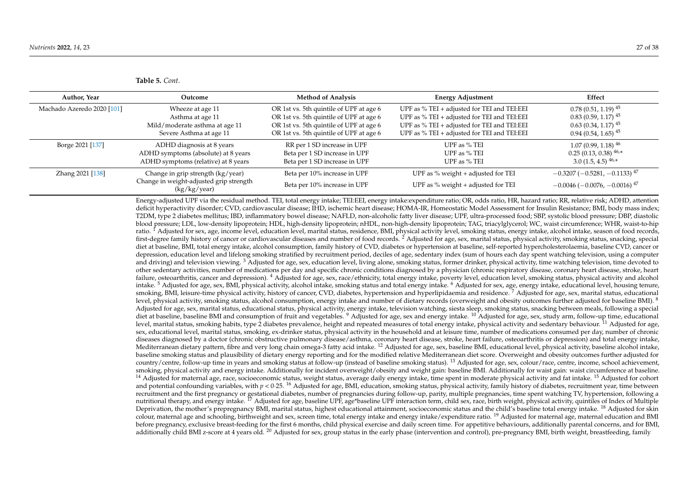| Author, Year               | Outcome                                                                                      | <b>Method of Analysis</b>                                    | <b>Energy Adjustment</b>                                                   | Effect                                                                                                 |
|----------------------------|----------------------------------------------------------------------------------------------|--------------------------------------------------------------|----------------------------------------------------------------------------|--------------------------------------------------------------------------------------------------------|
| Machado Azeredo 2020 [101] | Wheeze at age 11                                                                             | OR 1st vs. 5th quintile of UPF at age 6                      | UPF as $%$ TEI + adjusted for TEI and TEI:EEI                              | $0.78(0.51, 1.19)^{45}$                                                                                |
|                            | Asthma at age 11                                                                             | OR 1st vs. 5th quintile of UPF at age 6                      | UPF as $%$ TEI + adjusted for TEI and TEI:EEI                              | $0.83(0.59, 1.17)^{45}$                                                                                |
|                            | Mild/moderate asthma at age 11                                                               | OR 1st vs. 5th quintile of UPF at age 6                      | UPF as $%$ TEI + adjusted for TEI and TEI:EEI                              | $0.63(0.34, 1.17)^{45}$                                                                                |
|                            | Severe Asthma at age 11                                                                      | OR 1st vs. 5th quintile of UPF at age 6                      | UPF as % TEI + adjusted for TEI and TEI:EEI                                | $0.94(0.54, 1.65)^{45}$                                                                                |
| Borge 2021 [137]           | ADHD diagnosis at 8 years                                                                    | RR per 1 SD increase in UPF                                  | UPF as % TEI                                                               | $1.07(0.99, 1.18)^{46}$                                                                                |
|                            | ADHD symptoms (absolute) at 8 years                                                          | Beta per 1 SD increase in UPF                                | UPF as % TEI                                                               | $0.25(0.13, 0.38)^{46,*}$                                                                              |
|                            | ADHD symptoms (relative) at 8 years                                                          | Beta per 1 SD increase in UPF                                | UPF as % TEI                                                               | 3.0 $(1.5, 4.5)$ $46,*$                                                                                |
| Zhang 2021 [138]           | Change in grip strength (kg/year)<br>Change in weight-adjusted grip strength<br>(kg/kg/year) | Beta per 10% increase in UPF<br>Beta per 10% increase in UPF | UPF as $%$ weight + adjusted for TEI<br>UPF as % weight + adjusted for TEI | $-0.3207$ ( $-0.5281$ , $-0.1133$ ) <sup>47</sup><br>$-0.0046$ ( $-0.0076$ , $-0.0016$ ) <sup>47</sup> |

Energy-adjusted UPF via the residual method. TEI, total energy intake; TEI:EEI, energy intake:expenditure ratio; OR, odds ratio, HR, hazard ratio; RR, relative risk; ADHD, attention deficit hyperactivity disorder; CVD, cardiovascular disease; IHD, ischemic heart disease; HOMA-IR, Homeostatic Model Assessment for Insulin Resistance; BMI, body mass index; T2DM, type 2 diabetes mellitus; IBD, inflammatory bowel disease; NAFLD, non-alcoholic fatty liver disease; UPF, ultra-processed food; SBP, systolic blood pressure; DBP, diastolic blood pressure; LDL, low-density lipoprotein; HDL, high-density lipoprotein; nHDL, non-high-density lipoprotein; TAG, triacylglycerol; WC, waist circumference; WHR, waist-to-hip ratio. <sup>I</sup> Adjusted for sex, age, income level, education level, marital status, residence, BMI, physical activity level, smoking status, energy intake, alcohol intake, season of food records, first-degree family history of cancer or cardiovascular diseases and number of food records. <sup>2</sup> Adjusted for age, sex, marital status, physical activity, smoking status, snacking, special diet at baseline, BMI, total energy intake, alcohol consumption, family history of CVD, diabetes or hypertension at baseline, self-reported hypercholesterolaemia, baseline CVD, cancer or depression, education level and lifelong smoking stratified by recruitment period, deciles of age, sedentary index (sum of hours each day spent watching television, using a computer and driving) and television viewing. <sup>3</sup> Adjusted for age, sex, education level, living alone, smoking status, former drinker, physical activity, time watching television, time devoted to other sedentary activities, number of medications per day and specific chronic conditions diagnosed by a physician (chronic respiratory disease, coronary heart disease, stroke, heart failure, osteoarthritis, cancer and depression). <sup>4</sup> Adjusted for age, sex, race/ethnicity, total energy intake, poverty level, education level, smoking status, physical activity and alcohol intake. <sup>5</sup> Adjusted for age, sex, BMI, physical activity, alcohol intake, smoking status and total energy intake. <sup>6</sup> Adjusted for sex, age, energy intake, educational level, housing tenure, smoking, BMI, leisure-time physical activity, history of cancer, CVD, diabetes, hypertension and hyperlipidaemia and residence.<sup>7</sup> Adjusted for age, sex, marital status, educational level, physical activity, smoking status, alcohol consumption, energy intake and number of dietary records (overweight and obesity outcomes further adjusted for baseline BMI). <sup>8</sup> Adjusted for age, sex, marital status, educational status, physical activity, energy intake, television watching, siesta sleep, smoking status, snacking between meals, following a special diet at baseline, baseline BMI and consumption of fruit and vegetables. <sup>9</sup> Adjusted for age, sex and energy intake. <sup>10</sup> Adjusted for age, sex, study arm, follow-up time, educational level, marital status, smoking habits, type 2 diabetes prevalence, height and repeated measures of total energy intake, physical activity and sedentary behaviour. <sup>11</sup> Adjusted for age, sex, educational level, marital status, smoking, ex-drinker status, physical activity in the household and at leisure time, number of medications consumed per day, number of chronic diseases diagnosed by a doctor (chronic obstructive pulmonary disease/asthma, coronary heart disease, stroke, heart failure, osteoarthritis or depression) and total energy intake, Mediterranean dietary pattern, fibre and very long chain omega-3 fatty acid intake. <sup>12</sup> Adjusted for age, sex, baseline BMI, educational level, physical activity, baseline alcohol intake, baseline smoking status and plausibility of dietary energy reporting and for the modified relative Mediterranean diet score. Overweight and obesity outcomes further adjusted for country/centre, follow-up time in years and smoking status at follow-up (instead of baseline smoking status). <sup>13</sup> Adjusted for age, sex, colour/race, centre, income, school achievement, smoking, physical activity and energy intake. Additionally for incident overweight/obesity and weight gain: baseline BMI. Additionally for waist gain: waist circumference at baseline. <sup>14</sup> Adjusted for maternal age, race, socioeconomic status, weight status, average daily energy intake, time spent in moderate physical activity and fat intake. <sup>15</sup> Adjusted for cohort and potential confounding variables, with  $p < 0.25$ . <sup>16</sup> Adjusted for age, BMI, education, smoking status, physical activity, family history of diabetes, recruitment year, time between recruitment and the first pregnancy or gestational diabetes, number of pregnancies during follow-up, parity, multiple pregnancies, time spent watching TV, hypertension, following a nutritional therapy, and energy intake. <sup>17</sup> Adjusted for age, baseline UPF, age\*baseline UPF interaction term, child sex, race, birth weight, physical activity, quintiles of Index of Multiple Deprivation, the mother's prepregnancy BMI, marital status, highest educational attainment, socioeconomic status and the child's baseline total energy intake. <sup>18</sup> Adjusted for skin colour, maternal age and schooling, birthweight and sex, screen time, total energy intake and energy intake/expenditure ratio.<sup>19</sup> Adjusted for maternal age, maternal education and BMI before pregnancy, exclusive breast-feeding for the first 6 months, child physical exercise and daily screen time. For appetitive behaviours, additionally parental concerns, and for BMI, additionally child BMI z-score at 4 years old. <sup>20</sup> Adjusted for sex, group status in the early phase (intervention and control), pre-pregnancy BMI, birth weight, breastfeeding, family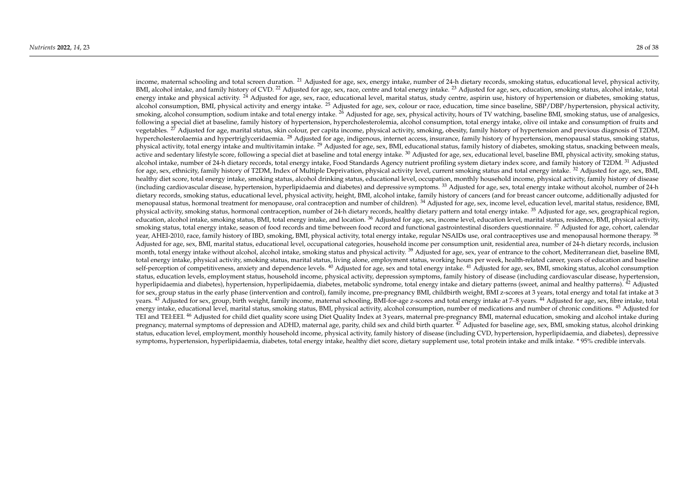income, maternal schooling and total screen duration. <sup>21</sup> Adjusted for age, sex, energy intake, number of 24-h dietary records, smoking status, educational level, physical activity, BMI, alcohol intake, and family history of CVD.<sup>22</sup> Adjusted for age, sex, race, centre and total energy intake.<sup>23</sup> Adjusted for age, sex, education, smoking status, alcohol intake, total energy intake and physical activity. <sup>24</sup> Adjusted for age, sex, race, educational level, marital status, study centre, aspirin use, history of hypertension or diabetes, smoking status, alcohol consumption, BMI, physical activity and energy intake. <sup>25</sup> Adjusted for age, sex, colour or race, education, time since baseline, SBP/DBP/hypertension, physical activity, smoking, alcohol consumption, sodium intake and total energy intake. <sup>26</sup> Adjusted for age, sex, physical activity, hours of TV watching, baseline BMI, smoking status, use of analgesics, following a special diet at baseline, family history of hypertension, hypercholesterolemia, alcohol consumption, total energy intake, olive oil intake and consumption of fruits and vegetables. <sup>27</sup> Adjusted for age, marital status, skin colour, per capita income, physical activity, smoking, obesity, family history of hypertension and previous diagnosis of T2DM, hypercholesterolaemia and hypertriglyceridaemia. <sup>28</sup> Adjusted for age, indigenous, internet access, insurance, family history of hypertension, menopausal status, smoking status, physical activity, total energy intake and multivitamin intake. <sup>29</sup> Adjusted for age, sex, BMI, educational status, family history of diabetes, smoking status, snacking between meals, active and sedentary lifestyle score, following a special diet at baseline and total energy intake.  $30$  Adjusted for age, sex, educational level, baseline BMI, physical activity, smoking status, alcohol intake, number of 24-h dietary records, total energy intake, Food Standards Agency nutrient profiling system dietary index score, and family history of T2DM. <sup>31</sup> Adjusted for age, sex, ethnicity, family history of T2DM, Index of Multiple Deprivation, physical activity level, current smoking status and total energy intake.<sup>32</sup> Adjusted for age, sex, BMI, healthy diet score, total energy intake, smoking status, alcohol drinking status, educational level, occupation, monthly household income, physical activity, family history of disease (including cardiovascular disease, hypertension, hyperlipidaemia and diabetes) and depressive symptoms. <sup>33</sup> Adjusted for age, sex, total energy intake without alcohol, number of 24-h dietary records, smoking status, educational level, physical activity, height, BMI, alcohol intake, family history of cancers (and for breast cancer outcome, additionally adjusted for menopausal status, hormonal treatment for menopause, oral contraception and number of children). <sup>34</sup> Adjusted for age, sex, income level, education level, marital status, residence, BMI, physical activity, smoking status, hormonal contraception, number of 24-h dietary records, healthy dietary pattern and total energy intake. <sup>35</sup> Adjusted for age, sex, geographical region, education, alcohol intake, smoking status, BMI, total energy intake, and location.  $36$  Adjusted for age, sex, income level, education level, marital status, residence, BMI, physical activity, smoking status, total energy intake, season of food records and time between food record and functional gastrointestinal disorders questionnaire. <sup>37</sup> Adjusted for age, cohort, calendar year, AHEI-2010, race, family history of IBD, smoking, BMI, physical activity, total energy intake, regular NSAIDs use, oral contraceptives use and menopausal hormone therapy. <sup>38</sup> Adjusted for age, sex, BMI, marital status, educational level, occupational categories, household income per consumption unit, residential area, number of 24-h dietary records, inclusion month, total energy intake without alcohol, alcohol intake, smoking status and physical activity. <sup>39</sup> Adjusted for age, sex, year of entrance to the cohort, Mediterranean diet, baseline BMI, total energy intake, physical activity, smoking status, marital status, living alone, employment status, working hours per week, health-related career, years of education and baseline self-perception of competitiveness, anxiety and dependence levels. <sup>40</sup> Adjusted for age, sex and total energy intake. <sup>41</sup> Adjusted for age, sex, BMI, smoking status, alcohol consumption status, education levels, employment status, household income, physical activity, depression symptoms, family history of disease (including cardiovascular disease, hypertension, hyperlipidaemia and diabetes), hypertension, hyperlipidaemia, diabetes, metabolic syndrome, total energy intake and dietary patterns (sweet, animal and healthy patterns). <sup>42</sup> Adjusted for sex, group status in the early phase (intervention and control), family income, pre-pregnancy BMI, childbirth weight, BMI z-scores at 3 years, total energy and total fat intake at 3 years. <sup>43</sup> Adjusted for sex, group, birth weight, family income, maternal schooling, BMI-for-age z-scores and total energy intake at 7–8 years. <sup>44</sup> Adjusted for age, sex, fibre intake, total energy intake, educational level, marital status, smoking status, BMI, physical activity, alcohol consumption, number of medications and number of chronic conditions. <sup>45</sup> Adjusted for TEI and TEI:EEI.<sup>46</sup> Adjusted for child diet quality score using Diet Quality Index at 3 years, maternal pre-pregnancy BMI, maternal education, smoking and alcohol intake during pregnancy, maternal symptoms of depression and ADHD, maternal age, parity, child sex and child birth quarter. <sup>47</sup> Adjusted for baseline age, sex, BMI, smoking status, alcohol drinking status, education level, employment, monthly household income, physical activity, family history of disease (including CVD, hypertension, hyperlipidaemia, and diabetes), depressive symptoms, hypertension, hyperlipidaemia, diabetes, total energy intake, healthy diet score, dietary supplement use, total protein intake and milk intake. \* 95% credible intervals.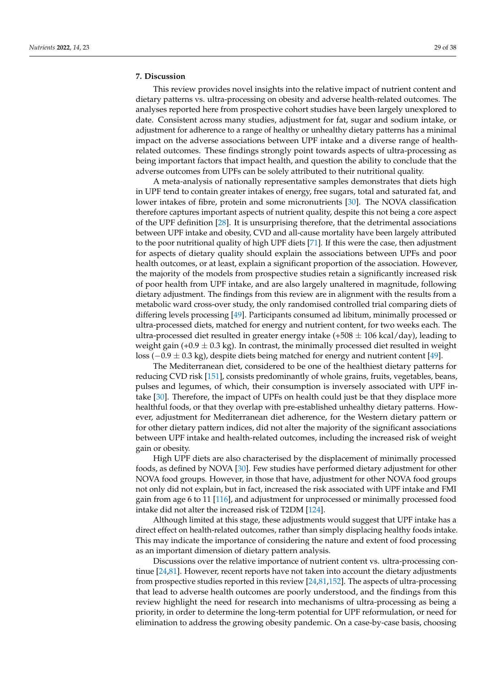# **7. Discussion**

This review provides novel insights into the relative impact of nutrient content and dietary patterns vs. ultra-processing on obesity and adverse health-related outcomes. The analyses reported here from prospective cohort studies have been largely unexplored to date. Consistent across many studies, adjustment for fat, sugar and sodium intake, or adjustment for adherence to a range of healthy or unhealthy dietary patterns has a minimal impact on the adverse associations between UPF intake and a diverse range of healthrelated outcomes. These findings strongly point towards aspects of ultra-processing as being important factors that impact health, and question the ability to conclude that the adverse outcomes from UPFs can be solely attributed to their nutritional quality.

A meta-analysis of nationally representative samples demonstrates that diets high in UPF tend to contain greater intakes of energy, free sugars, total and saturated fat, and lower intakes of fibre, protein and some micronutrients [\[30\]](#page-31-10). The NOVA classification therefore captures important aspects of nutrient quality, despite this not being a core aspect of the UPF definition [\[28\]](#page-31-8). It is unsurprising therefore, that the detrimental associations between UPF intake and obesity, CVD and all-cause mortality have been largely attributed to the poor nutritional quality of high UPF diets [\[71\]](#page-32-21). If this were the case, then adjustment for aspects of dietary quality should explain the associations between UPFs and poor health outcomes, or at least, explain a significant proportion of the association. However, the majority of the models from prospective studies retain a significantly increased risk of poor health from UPF intake, and are also largely unaltered in magnitude, following dietary adjustment. The findings from this review are in alignment with the results from a metabolic ward cross-over study, the only randomised controlled trial comparing diets of differing levels processing [\[49\]](#page-32-3). Participants consumed ad libitum, minimally processed or ultra-processed diets, matched for energy and nutrient content, for two weeks each. The ultra-processed diet resulted in greater energy intake  $(+508 \pm 106 \text{ kcal/day})$ , leading to weight gain (+0.9  $\pm$  0.3 kg). In contrast, the minimally processed diet resulted in weight loss (−0.9 ± 0.3 kg), despite diets being matched for energy and nutrient content [\[49\]](#page-32-3).

The Mediterranean diet, considered to be one of the healthiest dietary patterns for reducing CVD risk [\[151\]](#page-36-14), consists predominantly of whole grains, fruits, vegetables, beans, pulses and legumes, of which, their consumption is inversely associated with UPF intake [\[30\]](#page-31-10). Therefore, the impact of UPFs on health could just be that they displace more healthful foods, or that they overlap with pre-established unhealthy dietary patterns. However, adjustment for Mediterranean diet adherence, for the Western dietary pattern or for other dietary pattern indices, did not alter the majority of the significant associations between UPF intake and health-related outcomes, including the increased risk of weight gain or obesity.

High UPF diets are also characterised by the displacement of minimally processed foods, as defined by NOVA [\[30\]](#page-31-10). Few studies have performed dietary adjustment for other NOVA food groups. However, in those that have, adjustment for other NOVA food groups not only did not explain, but in fact, increased the risk associated with UPF intake and FMI gain from age 6 to 11 [\[116\]](#page-34-29), and adjustment for unprocessed or minimally processed food intake did not alter the increased risk of T2DM [\[124\]](#page-35-3).

Although limited at this stage, these adjustments would suggest that UPF intake has a direct effect on health-related outcomes, rather than simply displacing healthy foods intake. This may indicate the importance of considering the nature and extent of food processing as an important dimension of dietary pattern analysis.

Discussions over the relative importance of nutrient content vs. ultra-processing continue [\[24,](#page-31-4)[81\]](#page-33-13). However, recent reports have not taken into account the dietary adjustments from prospective studies reported in this review [\[24](#page-31-4)[,81](#page-33-13)[,152\]](#page-36-15). The aspects of ultra-processing that lead to adverse health outcomes are poorly understood, and the findings from this review highlight the need for research into mechanisms of ultra-processing as being a priority, in order to determine the long-term potential for UPF reformulation, or need for elimination to address the growing obesity pandemic. On a case-by-case basis, choosing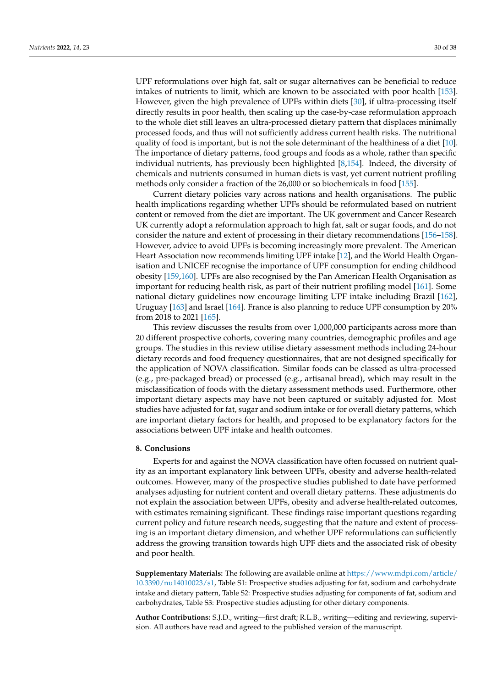UPF reformulations over high fat, salt or sugar alternatives can be beneficial to reduce intakes of nutrients to limit, which are known to be associated with poor health [\[153\]](#page-36-16). However, given the high prevalence of UPFs within diets [\[30\]](#page-31-10), if ultra-processing itself directly results in poor health, then scaling up the case-by-case reformulation approach to the whole diet still leaves an ultra-processed dietary pattern that displaces minimally processed foods, and thus will not sufficiently address current health risks. The nutritional quality of food is important, but is not the sole determinant of the healthiness of a diet [\[10\]](#page-30-14). The importance of dietary patterns, food groups and foods as a whole, rather than specific individual nutrients, has previously been highlighted [\[8,](#page-30-15)[154\]](#page-36-17). Indeed, the diversity of chemicals and nutrients consumed in human diets is vast, yet current nutrient profiling methods only consider a fraction of the 26,000 or so biochemicals in food [\[155\]](#page-36-18).

Current dietary policies vary across nations and health organisations. The public health implications regarding whether UPFs should be reformulated based on nutrient content or removed from the diet are important. The UK government and Cancer Research UK currently adopt a reformulation approach to high fat, salt or sugar foods, and do not consider the nature and extent of processing in their dietary recommendations [\[156](#page-36-19)[–158\]](#page-36-20). However, advice to avoid UPFs is becoming increasingly more prevalent. The American Heart Association now recommends limiting UPF intake [\[12\]](#page-30-16), and the World Health Organisation and UNICEF recognise the importance of UPF consumption for ending childhood obesity [\[159](#page-36-21)[,160\]](#page-36-22). UPFs are also recognised by the Pan American Health Organisation as important for reducing health risk, as part of their nutrient profiling model [\[161\]](#page-36-23). Some national dietary guidelines now encourage limiting UPF intake including Brazil [\[162\]](#page-37-0), Uruguay [\[163\]](#page-37-1) and Israel [\[164\]](#page-37-2). France is also planning to reduce UPF consumption by 20% from 2018 to 2021 [\[165\]](#page-37-3).

This review discusses the results from over 1,000,000 participants across more than 20 different prospective cohorts, covering many countries, demographic profiles and age groups. The studies in this review utilise dietary assessment methods including 24-hour dietary records and food frequency questionnaires, that are not designed specifically for the application of NOVA classification. Similar foods can be classed as ultra-processed (e.g., pre-packaged bread) or processed (e.g., artisanal bread), which may result in the misclassification of foods with the dietary assessment methods used. Furthermore, other important dietary aspects may have not been captured or suitably adjusted for. Most studies have adjusted for fat, sugar and sodium intake or for overall dietary patterns, which are important dietary factors for health, and proposed to be explanatory factors for the associations between UPF intake and health outcomes.

#### **8. Conclusions**

Experts for and against the NOVA classification have often focussed on nutrient quality as an important explanatory link between UPFs, obesity and adverse health-related outcomes. However, many of the prospective studies published to date have performed analyses adjusting for nutrient content and overall dietary patterns. These adjustments do not explain the association between UPFs, obesity and adverse health-related outcomes, with estimates remaining significant. These findings raise important questions regarding current policy and future research needs, suggesting that the nature and extent of processing is an important dietary dimension, and whether UPF reformulations can sufficiently address the growing transition towards high UPF diets and the associated risk of obesity and poor health.

**Supplementary Materials:** The following are available online at [https://www.mdpi.com/article/](https://www.mdpi.com/article/10.3390/nu14010023/s1) [10.3390/nu14010023/s1,](https://www.mdpi.com/article/10.3390/nu14010023/s1) Table S1: Prospective studies adjusting for fat, sodium and carbohydrate intake and dietary pattern, Table S2: Prospective studies adjusting for components of fat, sodium and carbohydrates, Table S3: Prospective studies adjusting for other dietary components.

**Author Contributions:** S.J.D., writing—first draft; R.L.B., writing—editing and reviewing, supervision. All authors have read and agreed to the published version of the manuscript.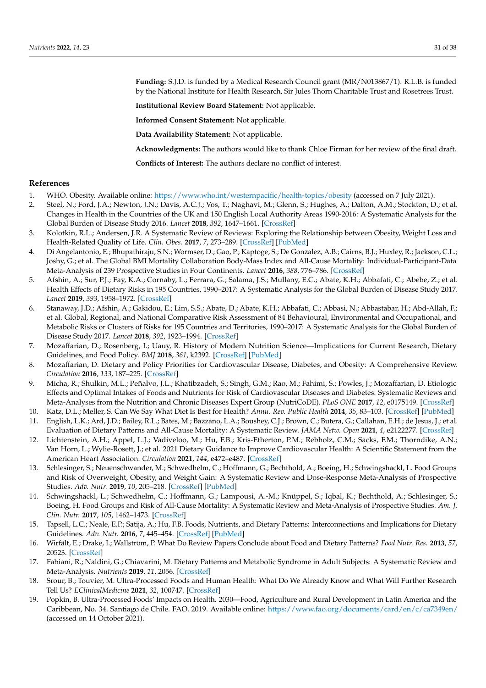**Funding:** S.J.D. is funded by a Medical Research Council grant (MR/N013867/1). R.L.B. is funded by the National Institute for Health Research, Sir Jules Thorn Charitable Trust and Rosetrees Trust.

**Institutional Review Board Statement:** Not applicable.

**Informed Consent Statement:** Not applicable.

**Data Availability Statement:** Not applicable.

**Acknowledgments:** The authors would like to thank Chloe Firman for her review of the final draft.

**Conflicts of Interest:** The authors declare no conflict of interest.

#### **References**

- <span id="page-30-0"></span>1. WHO. Obesity. Available online: <https://www.who.int/westernpacific/health-topics/obesity> (accessed on 7 July 2021).
- <span id="page-30-1"></span>2. Steel, N.; Ford, J.A.; Newton, J.N.; Davis, A.C.J.; Vos, T.; Naghavi, M.; Glenn, S.; Hughes, A.; Dalton, A.M.; Stockton, D.; et al. Changes in Health in the Countries of the UK and 150 English Local Authority Areas 1990-2016: A Systematic Analysis for the Global Burden of Disease Study 2016. *Lancet* **2018**, *392*, 1647–1661. [\[CrossRef\]](http://doi.org/10.1016/S0140-6736(18)32207-4)
- 3. Kolotkin, R.L.; Andersen, J.R. A Systematic Review of Reviews: Exploring the Relationship between Obesity, Weight Loss and Health-Related Quality of Life. *Clin. Obes.* **2017**, *7*, 273–289. [\[CrossRef\]](http://doi.org/10.1111/cob.12203) [\[PubMed\]](http://www.ncbi.nlm.nih.gov/pubmed/28695722)
- <span id="page-30-2"></span>4. Di Angelantonio, E.; Bhupathiraju, S.N.; Wormser, D.; Gao, P.; Kaptoge, S.; De Gonzalez, A.B.; Cairns, B.J.; Huxley, R.; Jackson, C.L.; Joshy, G.; et al. The Global BMI Mortality Collaboration Body-Mass Index and All-Cause Mortality: Individual-Participant-Data Meta-Analysis of 239 Prospective Studies in Four Continents. *Lancet* **2016**, *388*, 776–786. [\[CrossRef\]](http://doi.org/10.1016/S0140-6736(16)30175-1)
- <span id="page-30-3"></span>5. Afshin, A.; Sur, P.J.; Fay, K.A.; Cornaby, L.; Ferrara, G.; Salama, J.S.; Mullany, E.C.; Abate, K.H.; Abbafati, C.; Abebe, Z.; et al. Health Effects of Dietary Risks in 195 Countries, 1990–2017: A Systematic Analysis for the Global Burden of Disease Study 2017. *Lancet* **2019**, *393*, 1958–1972. [\[CrossRef\]](http://doi.org/10.1016/S0140-6736(19)30041-8)
- <span id="page-30-4"></span>6. Stanaway, J.D.; Afshin, A.; Gakidou, E.; Lim, S.S.; Abate, D.; Abate, K.H.; Abbafati, C.; Abbasi, N.; Abbastabar, H.; Abd-Allah, F.; et al. Global, Regional, and National Comparative Risk Assessment of 84 Behavioural, Environmental and Occupational, and Metabolic Risks or Clusters of Risks for 195 Countries and Territories, 1990–2017: A Systematic Analysis for the Global Burden of Disease Study 2017. *Lancet* **2018**, *392*, 1923–1994. [\[CrossRef\]](http://doi.org/10.1016/S0140-6736(18)32225-6)
- <span id="page-30-5"></span>7. Mozaffarian, D.; Rosenberg, I.; Uauy, R. History of Modern Nutrition Science—Implications for Current Research, Dietary Guidelines, and Food Policy. *BMJ* **2018**, *361*, k2392. [\[CrossRef\]](http://doi.org/10.1136/bmj.k2392) [\[PubMed\]](http://www.ncbi.nlm.nih.gov/pubmed/29899124)
- <span id="page-30-15"></span>8. Mozaffarian, D. Dietary and Policy Priorities for Cardiovascular Disease, Diabetes, and Obesity: A Comprehensive Review. *Circulation* **2016**, *133*, 187–225. [\[CrossRef\]](http://doi.org/10.1161/CIRCULATIONAHA.115.018585)
- 9. Micha, R.; Shulkin, M.L.; Peñalvo, J.L.; Khatibzadeh, S.; Singh, G.M.; Rao, M.; Fahimi, S.; Powles, J.; Mozaffarian, D. Etiologic Effects and Optimal Intakes of Foods and Nutrients for Risk of Cardiovascular Diseases and Diabetes: Systematic Reviews and Meta-Analyses from the Nutrition and Chronic Diseases Expert Group (NutriCoDE). *PLoS ONE* **2017**, *12*, e0175149. [\[CrossRef\]](http://doi.org/10.1371/journal.pone.0175149)
- <span id="page-30-14"></span>10. Katz, D.L.; Meller, S. Can We Say What Diet Is Best for Health? *Annu. Rev. Public Health* **2014**, *35*, 83–103. [\[CrossRef\]](http://doi.org/10.1146/annurev-publhealth-032013-182351) [\[PubMed\]](http://www.ncbi.nlm.nih.gov/pubmed/24641555)
- <span id="page-30-12"></span>11. English, L.K.; Ard, J.D.; Bailey, R.L.; Bates, M.; Bazzano, L.A.; Boushey, C.J.; Brown, C.; Butera, G.; Callahan, E.H.; de Jesus, J.; et al. Evaluation of Dietary Patterns and All-Cause Mortality: A Systematic Review. *JAMA Netw. Open* **2021**, *4*, e2122277. [\[CrossRef\]](http://doi.org/10.1001/jamanetworkopen.2021.22277)
- <span id="page-30-16"></span>12. Lichtenstein, A.H.; Appel, L.J.; Vadiveloo, M.; Hu, F.B.; Kris-Etherton, P.M.; Rebholz, C.M.; Sacks, F.M.; Thorndike, A.N.; Van Horn, L.; Wylie-Rosett, J.; et al. 2021 Dietary Guidance to Improve Cardiovascular Health: A Scientific Statement from the American Heart Association. *Circulation* **2021**, *144*, e472–e487. [\[CrossRef\]](http://doi.org/10.1161/CIR.0000000000001031)
- <span id="page-30-7"></span>13. Schlesinger, S.; Neuenschwander, M.; Schwedhelm, C.; Hoffmann, G.; Bechthold, A.; Boeing, H.; Schwingshackl, L. Food Groups and Risk of Overweight, Obesity, and Weight Gain: A Systematic Review and Dose-Response Meta-Analysis of Prospective Studies. *Adv. Nutr.* **2019**, *10*, 205–218. [\[CrossRef\]](http://doi.org/10.1093/advances/nmy092) [\[PubMed\]](http://www.ncbi.nlm.nih.gov/pubmed/30801613)
- <span id="page-30-6"></span>14. Schwingshackl, L.; Schwedhelm, C.; Hoffmann, G.; Lampousi, A.-M.; Knüppel, S.; Iqbal, K.; Bechthold, A.; Schlesinger, S.; Boeing, H. Food Groups and Risk of All-Cause Mortality: A Systematic Review and Meta-Analysis of Prospective Studies. *Am. J. Clin. Nutr.* **2017**, *105*, 1462–1473. [\[CrossRef\]](http://doi.org/10.3945/ajcn.117.153148)
- <span id="page-30-11"></span>15. Tapsell, L.C.; Neale, E.P.; Satija, A.; Hu, F.B. Foods, Nutrients, and Dietary Patterns: Interconnections and Implications for Dietary Guidelines. *Adv. Nutr.* **2016**, *7*, 445–454. [\[CrossRef\]](http://doi.org/10.3945/an.115.011718) [\[PubMed\]](http://www.ncbi.nlm.nih.gov/pubmed/27184272)
- <span id="page-30-13"></span>16. Wirfält, E.; Drake, I.; Wallström, P. What Do Review Papers Conclude about Food and Dietary Patterns? *Food Nutr. Res.* **2013**, *57*, 20523. [\[CrossRef\]](http://doi.org/10.3402/fnr.v57i0.20523)
- <span id="page-30-8"></span>17. Fabiani, R.; Naldini, G.; Chiavarini, M. Dietary Patterns and Metabolic Syndrome in Adult Subjects: A Systematic Review and Meta-Analysis. *Nutrients* **2019**, *11*, 2056. [\[CrossRef\]](http://doi.org/10.3390/nu11092056)
- <span id="page-30-9"></span>18. Srour, B.; Touvier, M. Ultra-Processed Foods and Human Health: What Do We Already Know and What Will Further Research Tell Us? *EClinicalMedicine* **2021**, *32*, 100747. [\[CrossRef\]](http://doi.org/10.1016/j.eclinm.2021.100747)
- <span id="page-30-10"></span>19. Popkin, B. Ultra-Processed Foods' Impacts on Health. 2030—Food, Agriculture and Rural Development in Latin America and the Caribbean, No. 34. Santiago de Chile. FAO. 2019. Available online: <https://www.fao.org/documents/card/en/c/ca7349en/> (accessed on 14 October 2021).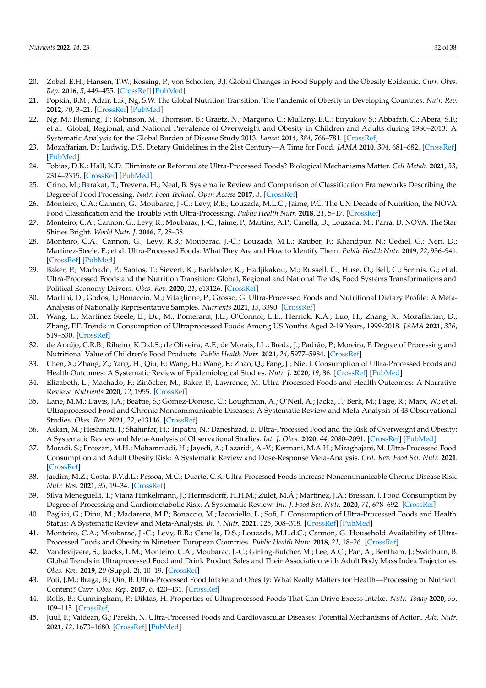- <span id="page-31-0"></span>20. Zobel, E.H.; Hansen, T.W.; Rossing, P.; von Scholten, B.J. Global Changes in Food Supply and the Obesity Epidemic. *Curr. Obes. Rep.* **2016**, *5*, 449–455. [\[CrossRef\]](http://doi.org/10.1007/s13679-016-0233-8) [\[PubMed\]](http://www.ncbi.nlm.nih.gov/pubmed/27696237)
- <span id="page-31-1"></span>21. Popkin, B.M.; Adair, L.S.; Ng, S.W. The Global Nutrition Transition: The Pandemic of Obesity in Developing Countries. *Nutr. Rev.* **2012**, *70*, 3–21. [\[CrossRef\]](http://doi.org/10.1111/j.1753-4887.2011.00456.x) [\[PubMed\]](http://www.ncbi.nlm.nih.gov/pubmed/22221213)
- <span id="page-31-2"></span>22. Ng, M.; Fleming, T.; Robinson, M.; Thomson, B.; Graetz, N.; Margono, C.; Mullany, E.C.; Biryukov, S.; Abbafati, C.; Abera, S.F.; et al. Global, Regional, and National Prevalence of Overweight and Obesity in Children and Adults during 1980–2013: A Systematic Analysis for the Global Burden of Disease Study 2013. *Lancet* **2014**, *384*, 766–781. [\[CrossRef\]](http://doi.org/10.1016/S0140-6736(14)60460-8)
- <span id="page-31-3"></span>23. Mozaffarian, D.; Ludwig, D.S. Dietary Guidelines in the 21st Century—A Time for Food. *JAMA* **2010**, *304*, 681–682. [\[CrossRef\]](http://doi.org/10.1001/jama.2010.1116) [\[PubMed\]](http://www.ncbi.nlm.nih.gov/pubmed/20699461)
- <span id="page-31-4"></span>24. Tobias, D.K.; Hall, K.D. Eliminate or Reformulate Ultra-Processed Foods? Biological Mechanisms Matter. *Cell Metab.* **2021**, *33*, 2314–2315. [\[CrossRef\]](http://doi.org/10.1016/j.cmet.2021.10.005) [\[PubMed\]](http://www.ncbi.nlm.nih.gov/pubmed/34699743)
- <span id="page-31-5"></span>25. Crino, M.; Barakat, T.; Trevena, H.; Neal, B. Systematic Review and Comparison of Classification Frameworks Describing the Degree of Food Processing. *Nutr. Food Technol. Open Access* **2017**, *3*. [\[CrossRef\]](http://doi.org/10.16966/2470-6086.138)
- <span id="page-31-6"></span>26. Monteiro, C.A.; Cannon, G.; Moubarac, J.-C.; Levy, R.B.; Louzada, M.L.C.; Jaime, P.C. The UN Decade of Nutrition, the NOVA Food Classification and the Trouble with Ultra-Processing. *Public Health Nutr.* **2018**, *21*, 5–17. [\[CrossRef\]](http://doi.org/10.1017/S1368980017000234)
- <span id="page-31-7"></span>27. Monteiro, C.A.; Cannon, G.; Levy, R.; Moubarac, J.-C.; Jaime, P.; Martins, A.P.; Canella, D.; Louzada, M.; Parra, D. NOVA. The Star Shines Bright. *World Nutr. J.* **2016**, *7*, 28–38.
- <span id="page-31-8"></span>28. Monteiro, C.A.; Cannon, G.; Levy, R.B.; Moubarac, J.-C.; Louzada, M.L.; Rauber, F.; Khandpur, N.; Cediel, G.; Neri, D.; Martinez-Steele, E.; et al. Ultra-Processed Foods: What They Are and How to Identify Them. *Public Health Nutr.* **2019**, *22*, 936–941. [\[CrossRef\]](http://doi.org/10.1017/S1368980018003762) [\[PubMed\]](http://www.ncbi.nlm.nih.gov/pubmed/30744710)
- <span id="page-31-9"></span>29. Baker, P.; Machado, P.; Santos, T.; Sievert, K.; Backholer, K.; Hadjikakou, M.; Russell, C.; Huse, O.; Bell, C.; Scrinis, G.; et al. Ultra-Processed Foods and the Nutrition Transition: Global, Regional and National Trends, Food Systems Transformations and Political Economy Drivers. *Obes. Rev.* **2020**, *21*, e13126. [\[CrossRef\]](http://doi.org/10.1111/obr.13126)
- <span id="page-31-10"></span>30. Martini, D.; Godos, J.; Bonaccio, M.; Vitaglione, P.; Grosso, G. Ultra-Processed Foods and Nutritional Dietary Profile: A Meta-Analysis of Nationally Representative Samples. *Nutrients* **2021**, *13*, 3390. [\[CrossRef\]](http://doi.org/10.3390/nu13103390)
- <span id="page-31-11"></span>31. Wang, L.; Martínez Steele, E.; Du, M.; Pomeranz, J.L.; O'Connor, L.E.; Herrick, K.A.; Luo, H.; Zhang, X.; Mozaffarian, D.; Zhang, F.F. Trends in Consumption of Ultraprocessed Foods Among US Youths Aged 2-19 Years, 1999-2018. *JAMA* **2021**, *326*, 519–530. [\[CrossRef\]](http://doi.org/10.1001/jama.2021.10238)
- <span id="page-31-12"></span>32. de Araújo, C.R.B.; Ribeiro, K.D.d.S.; de Oliveira, A.F.; de Morais, I.L.; Breda, J.; Padrão, P.; Moreira, P. Degree of Processing and Nutritional Value of Children's Food Products. *Public Health Nutr.* **2021**, *24*, 5977–5984. [\[CrossRef\]](http://doi.org/10.1017/S1368980021003876)
- <span id="page-31-13"></span>33. Chen, X.; Zhang, Z.; Yang, H.; Qiu, P.; Wang, H.; Wang, F.; Zhao, Q.; Fang, J.; Nie, J. Consumption of Ultra-Processed Foods and Health Outcomes: A Systematic Review of Epidemiological Studies. *Nutr. J.* **2020**, *19*, 86. [\[CrossRef\]](http://doi.org/10.1186/s12937-020-00604-1) [\[PubMed\]](http://www.ncbi.nlm.nih.gov/pubmed/32819372)
- <span id="page-31-15"></span>34. Elizabeth, L.; Machado, P.; Zinöcker, M.; Baker, P.; Lawrence, M. Ultra-Processed Foods and Health Outcomes: A Narrative Review. *Nutrients* **2020**, *12*, 1955. [\[CrossRef\]](http://doi.org/10.3390/nu12071955)
- <span id="page-31-17"></span>35. Lane, M.M.; Davis, J.A.; Beattie, S.; Gómez-Donoso, C.; Loughman, A.; O'Neil, A.; Jacka, F.; Berk, M.; Page, R.; Marx, W.; et al. Ultraprocessed Food and Chronic Noncommunicable Diseases: A Systematic Review and Meta-Analysis of 43 Observational Studies. *Obes. Rev.* **2021**, *22*, e13146. [\[CrossRef\]](http://doi.org/10.1111/obr.13146)
- 36. Askari, M.; Heshmati, J.; Shahinfar, H.; Tripathi, N.; Daneshzad, E. Ultra-Processed Food and the Risk of Overweight and Obesity: A Systematic Review and Meta-Analysis of Observational Studies. *Int. J. Obes.* **2020**, *44*, 2080–2091. [\[CrossRef\]](http://doi.org/10.1038/s41366-020-00650-z) [\[PubMed\]](http://www.ncbi.nlm.nih.gov/pubmed/32796919)
- <span id="page-31-18"></span>37. Moradi, S.; Entezari, M.H.; Mohammadi, H.; Jayedi, A.; Lazaridi, A.-V.; Kermani, M.A.H.; Miraghajani, M. Ultra-Processed Food Consumption and Adult Obesity Risk: A Systematic Review and Dose-Response Meta-Analysis. *Crit. Rev. Food Sci. Nutr.* **2021**. [\[CrossRef\]](http://doi.org/10.1080/10408398.2021.1946005)
- <span id="page-31-14"></span>38. Jardim, M.Z.; Costa, B.V.d.L.; Pessoa, M.C.; Duarte, C.K. Ultra-Processed Foods Increase Noncommunicable Chronic Disease Risk. *Nutr. Res.* **2021**, *95*, 19–34. [\[CrossRef\]](http://doi.org/10.1016/j.nutres.2021.08.006)
- <span id="page-31-16"></span>39. Silva Meneguelli, T.; Viana Hinkelmann, J.; Hermsdorff, H.H.M.; Zulet, M.Á.; Martínez, J.A.; Bressan, J. Food Consumption by Degree of Processing and Cardiometabolic Risk: A Systematic Review. *Int. J. Food Sci. Nutr.* **2020**, *71*, 678–692. [\[CrossRef\]](http://doi.org/10.1080/09637486.2020.1725961)
- <span id="page-31-19"></span>40. Pagliai, G.; Dinu, M.; Madarena, M.P.; Bonaccio, M.; Iacoviello, L.; Sofi, F. Consumption of Ultra-Processed Foods and Health Status: A Systematic Review and Meta-Analysis. *Br. J. Nutr.* **2021**, *125*, 308–318. [\[CrossRef\]](http://doi.org/10.1017/S0007114520002688) [\[PubMed\]](http://www.ncbi.nlm.nih.gov/pubmed/32792031)
- <span id="page-31-20"></span>41. Monteiro, C.A.; Moubarac, J.-C.; Levy, R.B.; Canella, D.S.; Louzada, M.L.d.C.; Cannon, G. Household Availability of Ultra-Processed Foods and Obesity in Nineteen European Countries. *Public Health Nutr.* **2018**, *21*, 18–26. [\[CrossRef\]](http://doi.org/10.1017/S1368980017001379)
- <span id="page-31-21"></span>42. Vandevijvere, S.; Jaacks, L.M.; Monteiro, C.A.; Moubarac, J.-C.; Girling-Butcher, M.; Lee, A.C.; Pan, A.; Bentham, J.; Swinburn, B. Global Trends in Ultraprocessed Food and Drink Product Sales and Their Association with Adult Body Mass Index Trajectories. *Obes. Rev.* **2019**, *20* (Suppl. 2), 10–19. [\[CrossRef\]](http://doi.org/10.1111/obr.12860)
- <span id="page-31-22"></span>43. Poti, J.M.; Braga, B.; Qin, B. Ultra-Processed Food Intake and Obesity: What Really Matters for Health—Processing or Nutrient Content? *Curr. Obes. Rep.* **2017**, *6*, 420–431. [\[CrossRef\]](http://doi.org/10.1007/s13679-017-0285-4)
- <span id="page-31-24"></span>44. Rolls, B.; Cunningham, P.; Diktas, H. Properties of Ultraprocessed Foods That Can Drive Excess Intake. *Nutr. Today* **2020**, *55*, 109–115. [\[CrossRef\]](http://doi.org/10.1097/NT.0000000000000410)
- <span id="page-31-23"></span>45. Juul, F.; Vaidean, G.; Parekh, N. Ultra-Processed Foods and Cardiovascular Diseases: Potential Mechanisms of Action. *Adv. Nutr.* **2021**, *12*, 1673–1680. [\[CrossRef\]](http://doi.org/10.1093/advances/nmab049) [\[PubMed\]](http://www.ncbi.nlm.nih.gov/pubmed/33942057)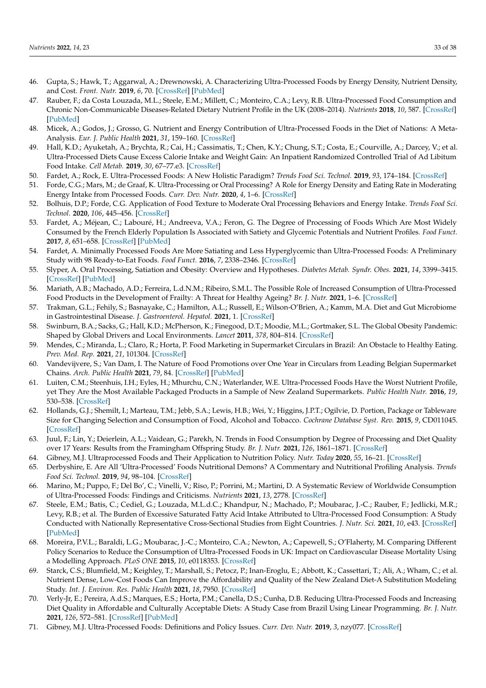- <span id="page-32-0"></span>46. Gupta, S.; Hawk, T.; Aggarwal, A.; Drewnowski, A. Characterizing Ultra-Processed Foods by Energy Density, Nutrient Density, and Cost. *Front. Nutr.* **2019**, *6*, 70. [\[CrossRef\]](http://doi.org/10.3389/fnut.2019.00070) [\[PubMed\]](http://www.ncbi.nlm.nih.gov/pubmed/31231655)
- <span id="page-32-1"></span>47. Rauber, F.; da Costa Louzada, M.L.; Steele, E.M.; Millett, C.; Monteiro, C.A.; Levy, R.B. Ultra-Processed Food Consumption and Chronic Non-Communicable Diseases-Related Dietary Nutrient Profile in the UK (2008–2014). *Nutrients* **2018**, *10*, 587. [\[CrossRef\]](http://doi.org/10.3390/nu10050587) [\[PubMed\]](http://www.ncbi.nlm.nih.gov/pubmed/29747447)
- <span id="page-32-2"></span>48. Micek, A.; Godos, J.; Grosso, G. Nutrient and Energy Contribution of Ultra-Processed Foods in the Diet of Nations: A Meta-Analysis. *Eur. J. Public Health* **2021**, *31*, 159–160. [\[CrossRef\]](http://doi.org/10.1093/eurpub/ckab164.418)
- <span id="page-32-3"></span>49. Hall, K.D.; Ayuketah, A.; Brychta, R.; Cai, H.; Cassimatis, T.; Chen, K.Y.; Chung, S.T.; Costa, E.; Courville, A.; Darcey, V.; et al. Ultra-Processed Diets Cause Excess Calorie Intake and Weight Gain: An Inpatient Randomized Controlled Trial of Ad Libitum Food Intake. *Cell Metab.* **2019**, *30*, 67–77.e3. [\[CrossRef\]](http://doi.org/10.1016/j.cmet.2019.05.008)
- 50. Fardet, A.; Rock, E. Ultra-Processed Foods: A New Holistic Paradigm? *Trends Food Sci. Technol.* **2019**, *93*, 174–184. [\[CrossRef\]](http://doi.org/10.1016/j.tifs.2019.09.016)
- <span id="page-32-4"></span>51. Forde, C.G.; Mars, M.; de Graaf, K. Ultra-Processing or Oral Processing? A Role for Energy Density and Eating Rate in Moderating Energy Intake from Processed Foods. *Curr. Dev. Nutr.* **2020**, *4*, 1–6. [\[CrossRef\]](http://doi.org/10.1093/cdn/nzaa019)
- <span id="page-32-5"></span>52. Bolhuis, D.P.; Forde, C.G. Application of Food Texture to Moderate Oral Processing Behaviors and Energy Intake. *Trends Food Sci. Technol.* **2020**, *106*, 445–456. [\[CrossRef\]](http://doi.org/10.1016/j.tifs.2020.10.021)
- <span id="page-32-6"></span>53. Fardet, A.; Méjean, C.; Labouré, H.; Andreeva, V.A.; Feron, G. The Degree of Processing of Foods Which Are Most Widely Consumed by the French Elderly Population Is Associated with Satiety and Glycemic Potentials and Nutrient Profiles. *Food Funct.* **2017**, *8*, 651–658. [\[CrossRef\]](http://doi.org/10.1039/C6FO01495J) [\[PubMed\]](http://www.ncbi.nlm.nih.gov/pubmed/28106215)
- <span id="page-32-7"></span>54. Fardet, A. Minimally Processed Foods Are More Satiating and Less Hyperglycemic than Ultra-Processed Foods: A Preliminary Study with 98 Ready-to-Eat Foods. *Food Funct.* **2016**, *7*, 2338–2346. [\[CrossRef\]](http://doi.org/10.1039/C6FO00107F)
- <span id="page-32-8"></span>55. Slyper, A. Oral Processing, Satiation and Obesity: Overview and Hypotheses. *Diabetes Metab. Syndr. Obes.* **2021**, *14*, 3399–3415. [\[CrossRef\]](http://doi.org/10.2147/DMSO.S314379) [\[PubMed\]](http://www.ncbi.nlm.nih.gov/pubmed/34345176)
- <span id="page-32-9"></span>56. Mariath, A.B.; Machado, A.D.; Ferreira, L.d.N.M.; Ribeiro, S.M.L. The Possible Role of Increased Consumption of Ultra-Processed Food Products in the Development of Frailty: A Threat for Healthy Ageing? *Br. J. Nutr.* **2021**, 1–6. [\[CrossRef\]](http://doi.org/10.1017/S0007114521003470)
- <span id="page-32-10"></span>57. Trakman, G.L.; Fehily, S.; Basnayake, C.; Hamilton, A.L.; Russell, E.; Wilson-O'Brien, A.; Kamm, M.A. Diet and Gut Microbiome in Gastrointestinal Disease. *J. Gastroenterol. Hepatol.* **2021**, 1. [\[CrossRef\]](http://doi.org/10.1111/jgh.15728)
- <span id="page-32-11"></span>58. Swinburn, B.A.; Sacks, G.; Hall, K.D.; McPherson, K.; Finegood, D.T.; Moodie, M.L.; Gortmaker, S.L. The Global Obesity Pandemic: Shaped by Global Drivers and Local Environments. *Lancet* **2011**, *378*, 804–814. [\[CrossRef\]](http://doi.org/10.1016/S0140-6736(11)60813-1)
- <span id="page-32-12"></span>59. Mendes, C.; Miranda, L.; Claro, R.; Horta, P. Food Marketing in Supermarket Circulars in Brazil: An Obstacle to Healthy Eating. *Prev. Med. Rep.* **2021**, *21*, 101304. [\[CrossRef\]](http://doi.org/10.1016/j.pmedr.2020.101304)
- <span id="page-32-13"></span>60. Vandevijvere, S.; Van Dam, I. The Nature of Food Promotions over One Year in Circulars from Leading Belgian Supermarket Chains. *Arch. Public Health* **2021**, *79*, 84. [\[CrossRef\]](http://doi.org/10.1186/s13690-021-00591-7) [\[PubMed\]](http://www.ncbi.nlm.nih.gov/pubmed/34011377)
- <span id="page-32-14"></span>61. Luiten, C.M.; Steenhuis, I.H.; Eyles, H.; Mhurchu, C.N.; Waterlander, W.E. Ultra-Processed Foods Have the Worst Nutrient Profile, yet They Are the Most Available Packaged Products in a Sample of New Zealand Supermarkets. *Public Health Nutr.* **2016**, *19*, 530–538. [\[CrossRef\]](http://doi.org/10.1017/S1368980015002177)
- <span id="page-32-15"></span>62. Hollands, G.J.; Shemilt, I.; Marteau, T.M.; Jebb, S.A.; Lewis, H.B.; Wei, Y.; Higgins, J.P.T.; Ogilvie, D. Portion, Package or Tableware Size for Changing Selection and Consumption of Food, Alcohol and Tobacco. *Cochrane Database Syst. Rev.* **2015**, *9*, CD011045. [\[CrossRef\]](http://doi.org/10.1002/14651858.CD011045.pub2)
- <span id="page-32-16"></span>63. Juul, F.; Lin, Y.; Deierlein, A.L.; Vaidean, G.; Parekh, N. Trends in Food Consumption by Degree of Processing and Diet Quality over 17 Years: Results from the Framingham Offspring Study. *Br. J. Nutr.* **2021**, *126*, 1861–1871. [\[CrossRef\]](http://doi.org/10.1017/S000711452100060X)
- <span id="page-32-17"></span>64. Gibney, M.J. Ultraprocessed Foods and Their Application to Nutrition Policy. *Nutr. Today* **2020**, *55*, 16–21. [\[CrossRef\]](http://doi.org/10.1097/NT.0000000000000393)
- <span id="page-32-22"></span>65. Derbyshire, E. Are All 'Ultra-Processed' Foods Nutritional Demons? A Commentary and Nutritional Profiling Analysis. *Trends Food Sci. Technol.* **2019**, *94*, 98–104. [\[CrossRef\]](http://doi.org/10.1016/j.tifs.2019.08.023)
- <span id="page-32-18"></span>66. Marino, M.; Puppo, F.; Del Bo', C.; Vinelli, V.; Riso, P.; Porrini, M.; Martini, D. A Systematic Review of Worldwide Consumption of Ultra-Processed Foods: Findings and Criticisms. *Nutrients* **2021**, *13*, 2778. [\[CrossRef\]](http://doi.org/10.3390/nu13082778)
- <span id="page-32-19"></span>67. Steele, E.M.; Batis, C.; Cediel, G.; Louzada, M.L.d.C.; Khandpur, N.; Machado, P.; Moubarac, J.-C.; Rauber, F.; Jedlicki, M.R.; Levy, R.B.; et al. The Burden of Excessive Saturated Fatty Acid Intake Attributed to Ultra-Processed Food Consumption: A Study Conducted with Nationally Representative Cross-Sectional Studies from Eight Countries. *J. Nutr. Sci.* **2021**, *10*, e43. [\[CrossRef\]](http://doi.org/10.1017/jns.2021.30) [\[PubMed\]](http://www.ncbi.nlm.nih.gov/pubmed/34164122)
- 68. Moreira, P.V.L.; Baraldi, L.G.; Moubarac, J.-C.; Monteiro, C.A.; Newton, A.; Capewell, S.; O'Flaherty, M. Comparing Different Policy Scenarios to Reduce the Consumption of Ultra-Processed Foods in UK: Impact on Cardiovascular Disease Mortality Using a Modelling Approach. *PLoS ONE* **2015**, *10*, e0118353. [\[CrossRef\]](http://doi.org/10.1371/journal.pone.0118353)
- 69. Starck, C.S.; Blumfield, M.; Keighley, T.; Marshall, S.; Petocz, P.; Inan-Eroglu, E.; Abbott, K.; Cassettari, T.; Ali, A.; Wham, C.; et al. Nutrient Dense, Low-Cost Foods Can Improve the Affordability and Quality of the New Zealand Diet-A Substitution Modeling Study. *Int. J. Environ. Res. Public Health* **2021**, *18*, 7950. [\[CrossRef\]](http://doi.org/10.3390/ijerph18157950)
- <span id="page-32-20"></span>70. Verly-Jr, E.; Pereira, A.d.S.; Marques, E.S.; Horta, P.M.; Canella, D.S.; Cunha, D.B. Reducing Ultra-Processed Foods and Increasing Diet Quality in Affordable and Culturally Acceptable Diets: A Study Case from Brazil Using Linear Programming. *Br. J. Nutr.* **2021**, *126*, 572–581. [\[CrossRef\]](http://doi.org/10.1017/S0007114520004365) [\[PubMed\]](http://www.ncbi.nlm.nih.gov/pubmed/33143759)
- <span id="page-32-21"></span>71. Gibney, M.J. Ultra-Processed Foods: Definitions and Policy Issues. *Curr. Dev. Nutr.* **2019**, *3*, nzy077. [\[CrossRef\]](http://doi.org/10.1093/cdn/nzy077)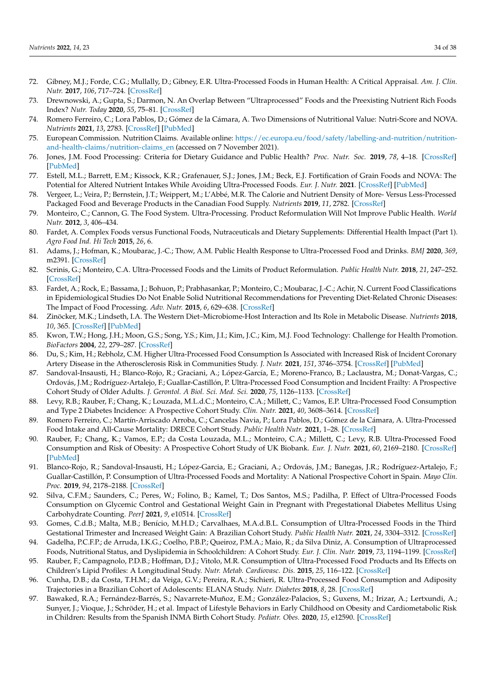- <span id="page-33-0"></span>72. Gibney, M.J.; Forde, C.G.; Mullally, D.; Gibney, E.R. Ultra-Processed Foods in Human Health: A Critical Appraisal. *Am. J. Clin. Nutr.* **2017**, *106*, 717–724. [\[CrossRef\]](http://doi.org/10.3945/ajcn.117.160440)
- <span id="page-33-1"></span>73. Drewnowski, A.; Gupta, S.; Darmon, N. An Overlap Between "Ultraprocessed" Foods and the Preexisting Nutrient Rich Foods Index? *Nutr. Today* **2020**, *55*, 75–81. [\[CrossRef\]](http://doi.org/10.1097/NT.0000000000000400)
- <span id="page-33-2"></span>74. Romero Ferreiro, C.; Lora Pablos, D.; Gómez de la Cámara, A. Two Dimensions of Nutritional Value: Nutri-Score and NOVA. *Nutrients* **2021**, *13*, 2783. [\[CrossRef\]](http://doi.org/10.3390/nu13082783) [\[PubMed\]](http://www.ncbi.nlm.nih.gov/pubmed/34444941)
- <span id="page-33-3"></span>75. European Commission. Nutrition Claims. Available online: [https://ec.europa.eu/food/safety/labelling-and-nutrition/nutrition](https://ec.europa.eu/food/safety/labelling-and-nutrition/nutrition-and-health-claims/nutrition-claims_en)[and-health-claims/nutrition-claims\\_en](https://ec.europa.eu/food/safety/labelling-and-nutrition/nutrition-and-health-claims/nutrition-claims_en) (accessed on 7 November 2021).
- <span id="page-33-25"></span><span id="page-33-4"></span>76. Jones, J.M. Food Processing: Criteria for Dietary Guidance and Public Health? *Proc. Nutr. Soc.* **2019**, *78*, 4–18. [\[CrossRef\]](http://doi.org/10.1017/S0029665118002513) [\[PubMed\]](http://www.ncbi.nlm.nih.gov/pubmed/30249309)
- <span id="page-33-5"></span>77. Estell, M.L.; Barrett, E.M.; Kissock, K.R.; Grafenauer, S.J.; Jones, J.M.; Beck, E.J. Fortification of Grain Foods and NOVA: The Potential for Altered Nutrient Intakes While Avoiding Ultra-Processed Foods. *Eur. J. Nutr.* **2021**. [\[CrossRef\]](http://doi.org/10.1007/s00394-021-02701-1) [\[PubMed\]](http://www.ncbi.nlm.nih.gov/pubmed/34668030)
- <span id="page-33-26"></span><span id="page-33-6"></span>78. Vergeer, L.; Veira, P.; Bernstein, J.T.; Weippert, M.; L'Abbé, M.R. The Calorie and Nutrient Density of More- Versus Less-Processed Packaged Food and Beverage Products in the Canadian Food Supply. *Nutrients* **2019**, *11*, 2782. [\[CrossRef\]](http://doi.org/10.3390/nu11112782)
- <span id="page-33-23"></span><span id="page-33-7"></span>79. Monteiro, C.; Cannon, G. The Food System. Ultra-Processing. Product Reformulation Will Not Improve Public Health. *World Nutr.* **2012**, *3*, 406–434.
- <span id="page-33-8"></span>80. Fardet, A. Complex Foods versus Functional Foods, Nutraceuticals and Dietary Supplements: Differential Health Impact (Part 1). *Agro Food Ind. Hi Tech* **2015**, *26*, 6.
- <span id="page-33-13"></span>81. Adams, J.; Hofman, K.; Moubarac, J.-C.; Thow, A.M. Public Health Response to Ultra-Processed Food and Drinks. *BMJ* **2020**, *369*, m2391. [\[CrossRef\]](http://doi.org/10.1136/bmj.m2391)
- <span id="page-33-22"></span><span id="page-33-9"></span>82. Scrinis, G.; Monteiro, C.A. Ultra-Processed Foods and the Limits of Product Reformulation. *Public Health Nutr.* **2018**, *21*, 247–252. [\[CrossRef\]](http://doi.org/10.1017/S1368980017001392)
- <span id="page-33-10"></span>83. Fardet, A.; Rock, E.; Bassama, J.; Bohuon, P.; Prabhasankar, P.; Monteiro, C.; Moubarac, J.-C.; Achir, N. Current Food Classifications in Epidemiological Studies Do Not Enable Solid Nutritional Recommendations for Preventing Diet-Related Chronic Diseases: The Impact of Food Processing. *Adv. Nutr.* **2015**, *6*, 629–638. [\[CrossRef\]](http://doi.org/10.3945/an.115.008789)
- <span id="page-33-24"></span><span id="page-33-11"></span>84. Zinöcker, M.K.; Lindseth, I.A. The Western Diet–Microbiome-Host Interaction and Its Role in Metabolic Disease. *Nutrients* **2018**, *10*, 365. [\[CrossRef\]](http://doi.org/10.3390/nu10030365) [\[PubMed\]](http://www.ncbi.nlm.nih.gov/pubmed/29562591)
- <span id="page-33-12"></span>85. Kwon, T.W.; Hong, J.H.; Moon, G.S.; Song, Y.S.; Kim, J.I.; Kim, J.C.; Kim, M.J. Food Technology: Challenge for Health Promotion. *BioFactors* **2004**, *22*, 279–287. [\[CrossRef\]](http://doi.org/10.1002/biof.5520220155)
- <span id="page-33-27"></span><span id="page-33-14"></span>86. Du, S.; Kim, H.; Rebholz, C.M. Higher Ultra-Processed Food Consumption Is Associated with Increased Risk of Incident Coronary Artery Disease in the Atherosclerosis Risk in Communities Study. *J. Nutr.* **2021**, *151*, 3746–3754. [\[CrossRef\]](http://doi.org/10.1093/jn/nxab285) [\[PubMed\]](http://www.ncbi.nlm.nih.gov/pubmed/34494108)
- <span id="page-33-20"></span>87. Sandoval-Insausti, H.; Blanco-Rojo, R.; Graciani, A.; López-García, E.; Moreno-Franco, B.; Laclaustra, M.; Donat-Vargas, C.; Ordovás, J.M.; Rodríguez-Artalejo, F.; Guallar-Castillón, P. Ultra-Processed Food Consumption and Incident Frailty: A Prospective Cohort Study of Older Adults. *J. Gerontol. A Biol. Sci. Med. Sci.* **2020**, *75*, 1126–1133. [\[CrossRef\]](http://doi.org/10.1093/gerona/glz140)
- 88. Levy, R.B.; Rauber, F.; Chang, K.; Louzada, M.L.d.C.; Monteiro, C.A.; Millett, C.; Vamos, E.P. Ultra-Processed Food Consumption and Type 2 Diabetes Incidence: A Prospective Cohort Study. *Clin. Nutr.* **2021**, *40*, 3608–3614. [\[CrossRef\]](http://doi.org/10.1016/j.clnu.2020.12.018)
- 89. Romero Ferreiro, C.; Martín-Arriscado Arroba, C.; Cancelas Navia, P.; Lora Pablos, D.; Gómez de la Cámara, A. Ultra-Processed Food Intake and All-Cause Mortality: DRECE Cohort Study. *Public Health Nutr.* **2021**, 1–28. [\[CrossRef\]](http://doi.org/10.1017/S1368980021003256)
- 90. Rauber, F.; Chang, K.; Vamos, E.P.; da Costa Louzada, M.L.; Monteiro, C.A.; Millett, C.; Levy, R.B. Ultra-Processed Food Consumption and Risk of Obesity: A Prospective Cohort Study of UK Biobank. *Eur. J. Nutr.* **2021**, *60*, 2169–2180. [\[CrossRef\]](http://doi.org/10.1007/s00394-020-02367-1) [\[PubMed\]](http://www.ncbi.nlm.nih.gov/pubmed/33070213)
- <span id="page-33-15"></span>91. Blanco-Rojo, R.; Sandoval-Insausti, H.; López-Garcia, E.; Graciani, A.; Ordovás, J.M.; Banegas, J.R.; Rodríguez-Artalejo, F.; Guallar-Castillón, P. Consumption of Ultra-Processed Foods and Mortality: A National Prospective Cohort in Spain. *Mayo Clin. Proc.* **2019**, *94*, 2178–2188. [\[CrossRef\]](http://doi.org/10.1016/j.mayocp.2019.03.035)
- <span id="page-33-16"></span>92. Silva, C.F.M.; Saunders, C.; Peres, W.; Folino, B.; Kamel, T.; Dos Santos, M.S.; Padilha, P. Effect of Ultra-Processed Foods Consumption on Glycemic Control and Gestational Weight Gain in Pregnant with Pregestational Diabetes Mellitus Using Carbohydrate Counting. *PeerJ* **2021**, *9*, e10514. [\[CrossRef\]](http://doi.org/10.7717/peerj.10514)
- <span id="page-33-17"></span>93. Gomes, C.d.B.; Malta, M.B.; Benício, M.H.D.; Carvalhaes, M.A.d.B.L. Consumption of Ultra-Processed Foods in the Third Gestational Trimester and Increased Weight Gain: A Brazilian Cohort Study. *Public Health Nutr.* **2021**, *24*, 3304–3312. [\[CrossRef\]](http://doi.org/10.1017/S1368980020001883)
- <span id="page-33-18"></span>94. Gadelha, P.C.F.P.; de Arruda, I.K.G.; Coelho, P.B.P.; Queiroz, P.M.A.; Maio, R.; da Silva Diniz, A. Consumption of Ultraprocessed Foods, Nutritional Status, and Dyslipidemia in Schoolchildren: A Cohort Study. *Eur. J. Clin. Nutr.* **2019**, *73*, 1194–1199. [\[CrossRef\]](http://doi.org/10.1038/s41430-019-0404-2)
- <span id="page-33-19"></span>95. Rauber, F.; Campagnolo, P.D.B.; Hoffman, D.J.; Vitolo, M.R. Consumption of Ultra-Processed Food Products and Its Effects on Children's Lipid Profiles: A Longitudinal Study. *Nutr. Metab. Cardiovasc. Dis.* **2015**, *25*, 116–122. [\[CrossRef\]](http://doi.org/10.1016/j.numecd.2014.08.001)
- <span id="page-33-21"></span>96. Cunha, D.B.; da Costa, T.H.M.; da Veiga, G.V.; Pereira, R.A.; Sichieri, R. Ultra-Processed Food Consumption and Adiposity Trajectories in a Brazilian Cohort of Adolescents: ELANA Study. *Nutr. Diabetes* **2018**, *8*, 28. [\[CrossRef\]](http://doi.org/10.1038/s41387-018-0043-z)
- 97. Bawaked, R.A.; Fernández-Barrés, S.; Navarrete-Muñoz, E.M.; González-Palacios, S.; Guxens, M.; Irizar, A.; Lertxundi, A.; Sunyer, J.; Vioque, J.; Schröder, H.; et al. Impact of Lifestyle Behaviors in Early Childhood on Obesity and Cardiometabolic Risk in Children: Results from the Spanish INMA Birth Cohort Study. *Pediatr. Obes.* **2020**, *15*, e12590. [\[CrossRef\]](http://doi.org/10.1111/ijpo.12590)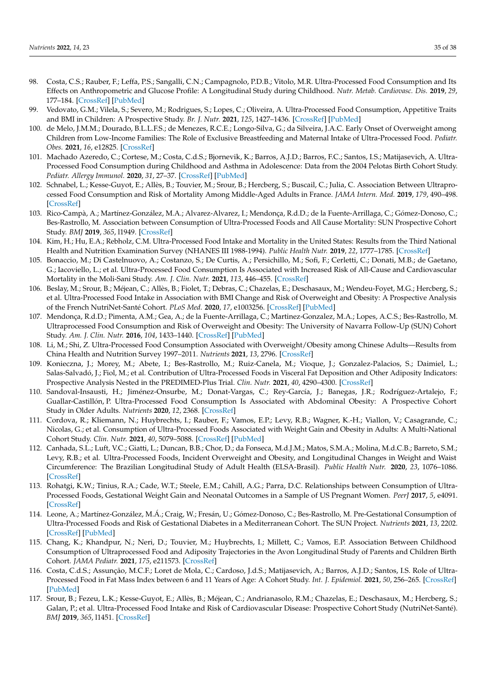- <span id="page-34-37"></span><span id="page-34-36"></span><span id="page-34-35"></span><span id="page-34-34"></span><span id="page-34-12"></span><span id="page-34-11"></span><span id="page-34-10"></span><span id="page-34-9"></span><span id="page-34-8"></span>98. Costa, C.S.; Rauber, F.; Leffa, P.S.; Sangalli, C.N.; Campagnolo, P.D.B.; Vitolo, M.R. Ultra-Processed Food Consumption and Its Effects on Anthropometric and Glucose Profile: A Longitudinal Study during Childhood. *Nutr. Metab. Cardiovasc. Dis.* **2019**, *29*, 177–184. [\[CrossRef\]](http://doi.org/10.1016/j.numecd.2018.11.003) [\[PubMed\]](http://www.ncbi.nlm.nih.gov/pubmed/30660687)
- <span id="page-34-33"></span><span id="page-34-13"></span>99. Vedovato, G.M.; Vilela, S.; Severo, M.; Rodrigues, S.; Lopes, C.; Oliveira, A. Ultra-Processed Food Consumption, Appetitive Traits and BMI in Children: A Prospective Study. *Br. J. Nutr.* **2021**, *125*, 1427–1436. [\[CrossRef\]](http://doi.org/10.1017/S0007114520003712) [\[PubMed\]](http://www.ncbi.nlm.nih.gov/pubmed/32962770)
- <span id="page-34-14"></span>100. de Melo, J.M.M.; Dourado, B.L.L.F.S.; de Menezes, R.C.E.; Longo-Silva, G.; da Silveira, J.A.C. Early Onset of Overweight among Children from Low-Income Families: The Role of Exclusive Breastfeeding and Maternal Intake of Ultra-Processed Food. *Pediatr. Obes.* **2021**, *16*, e12825. [\[CrossRef\]](http://doi.org/10.1111/ijpo.12825)
- <span id="page-34-15"></span><span id="page-34-0"></span>101. Machado Azeredo, C.; Cortese, M.; Costa, C.d.S.; Bjornevik, K.; Barros, A.J.D.; Barros, F.C.; Santos, I.S.; Matijasevich, A. Ultra-Processed Food Consumption during Childhood and Asthma in Adolescence: Data from the 2004 Pelotas Birth Cohort Study. *Pediatr. Allergy Immunol.* **2020**, *31*, 27–37. [\[CrossRef\]](http://doi.org/10.1111/pai.13126) [\[PubMed\]](http://www.ncbi.nlm.nih.gov/pubmed/31541568)
- <span id="page-34-16"></span><span id="page-34-1"></span>102. Schnabel, L.; Kesse-Guyot, E.; Allès, B.; Touvier, M.; Srour, B.; Hercberg, S.; Buscail, C.; Julia, C. Association Between Ultraprocessed Food Consumption and Risk of Mortality Among Middle-Aged Adults in France. *JAMA Intern. Med.* **2019**, *179*, 490–498. [\[CrossRef\]](http://doi.org/10.1001/jamainternmed.2018.7289)
- <span id="page-34-24"></span><span id="page-34-17"></span>103. Rico-Campà, A.; Martínez-González, M.A.; Alvarez-Alvarez, I.; Mendonça, R.d.D.; de la Fuente-Arrillaga, C.; Gómez-Donoso, C.; Bes-Rastrollo, M. Association between Consumption of Ultra-Processed Foods and All Cause Mortality: SUN Prospective Cohort Study. *BMJ* **2019**, *365*, l1949. [\[CrossRef\]](http://doi.org/10.1136/bmj.l1949)
- <span id="page-34-18"></span><span id="page-34-3"></span>104. Kim, H.; Hu, E.A.; Rebholz, C.M. Ultra-Processed Food Intake and Mortality in the United States: Results from the Third National Health and Nutrition Examination Survey (NHANES III 1988-1994). *Public Health Nutr.* **2019**, *22*, 1777–1785. [\[CrossRef\]](http://doi.org/10.1017/S1368980018003890)
- <span id="page-34-2"></span>105. Bonaccio, M.; Di Castelnuovo, A.; Costanzo, S.; De Curtis, A.; Persichillo, M.; Sofi, F.; Cerletti, C.; Donati, M.B.; de Gaetano, G.; Iacoviello, L.; et al. Ultra-Processed Food Consumption Is Associated with Increased Risk of All-Cause and Cardiovascular Mortality in the Moli-Sani Study. *Am. J. Clin. Nutr.* **2021**, *113*, 446–455. [\[CrossRef\]](http://doi.org/10.1093/ajcn/nqaa299)
- <span id="page-34-19"></span><span id="page-34-5"></span>106. Beslay, M.; Srour, B.; Méjean, C.; Allès, B.; Fiolet, T.; Debras, C.; Chazelas, E.; Deschasaux, M.; Wendeu-Foyet, M.G.; Hercberg, S.; et al. Ultra-Processed Food Intake in Association with BMI Change and Risk of Overweight and Obesity: A Prospective Analysis of the French NutriNet-Santé Cohort. *PLoS Med.* **2020**, *17*, e1003256. [\[CrossRef\]](http://doi.org/10.1371/journal.pmed.1003256) [\[PubMed\]](http://www.ncbi.nlm.nih.gov/pubmed/32853224)
- <span id="page-34-31"></span><span id="page-34-20"></span>107. Mendonça, R.d.D.; Pimenta, A.M.; Gea, A.; de la Fuente-Arrillaga, C.; Martinez-Gonzalez, M.A.; Lopes, A.C.S.; Bes-Rastrollo, M. Ultraprocessed Food Consumption and Risk of Overweight and Obesity: The University of Navarra Follow-Up (SUN) Cohort Study. *Am. J. Clin. Nutr.* **2016**, *104*, 1433–1440. [\[CrossRef\]](http://doi.org/10.3945/ajcn.116.135004) [\[PubMed\]](http://www.ncbi.nlm.nih.gov/pubmed/27733404)
- <span id="page-34-27"></span><span id="page-34-21"></span>108. Li, M.; Shi, Z. Ultra-Processed Food Consumption Associated with Overweight/Obesity among Chinese Adults—Results from China Health and Nutrition Survey 1997–2011. *Nutrients* **2021**, *13*, 2796. [\[CrossRef\]](http://doi.org/10.3390/nu13082796)
- <span id="page-34-30"></span><span id="page-34-22"></span>109. Konieczna, J.; Morey, M.; Abete, I.; Bes-Rastrollo, M.; Ruiz-Canela, M.; Vioque, J.; Gonzalez-Palacios, S.; Daimiel, L.; Salas-Salvadó, J.; Fiol, M.; et al. Contribution of Ultra-Processed Foods in Visceral Fat Deposition and Other Adiposity Indicators: Prospective Analysis Nested in the PREDIMED-Plus Trial. *Clin. Nutr.* **2021**, *40*, 4290–4300. [\[CrossRef\]](http://doi.org/10.1016/j.clnu.2021.01.019)
- <span id="page-34-28"></span><span id="page-34-23"></span>110. Sandoval-Insausti, H.; Jiménez-Onsurbe, M.; Donat-Vargas, C.; Rey-García, J.; Banegas, J.R.; Rodríguez-Artalejo, F.; Guallar-Castillón, P. Ultra-Processed Food Consumption Is Associated with Abdominal Obesity: A Prospective Cohort Study in Older Adults. *Nutrients* **2020**, *12*, 2368. [\[CrossRef\]](http://doi.org/10.3390/nu12082368)
- <span id="page-34-26"></span>111. Cordova, R.; Kliemann, N.; Huybrechts, I.; Rauber, F.; Vamos, E.P.; Levy, R.B.; Wagner, K.-H.; Viallon, V.; Casagrande, C.; Nicolas, G.; et al. Consumption of Ultra-Processed Foods Associated with Weight Gain and Obesity in Adults: A Multi-National Cohort Study. *Clin. Nutr.* **2021**, *40*, 5079–5088. [\[CrossRef\]](http://doi.org/10.1016/j.clnu.2021.08.009) [\[PubMed\]](http://www.ncbi.nlm.nih.gov/pubmed/34455267)
- <span id="page-34-32"></span>112. Canhada, S.L.; Luft, V.C.; Giatti, L.; Duncan, B.B.; Chor, D.; da Fonseca, M.d.J.M.; Matos, S.M.A.; Molina, M.d.C.B.; Barreto, S.M.; Levy, R.B.; et al. Ultra-Processed Foods, Incident Overweight and Obesity, and Longitudinal Changes in Weight and Waist Circumference: The Brazilian Longitudinal Study of Adult Health (ELSA-Brasil). *Public Health Nutr.* **2020**, *23*, 1076–1086. [\[CrossRef\]](http://doi.org/10.1017/S1368980019002854)
- <span id="page-34-6"></span>113. Rohatgi, K.W.; Tinius, R.A.; Cade, W.T.; Steele, E.M.; Cahill, A.G.; Parra, D.C. Relationships between Consumption of Ultra-Processed Foods, Gestational Weight Gain and Neonatal Outcomes in a Sample of US Pregnant Women. *PeerJ* **2017**, *5*, e4091. [\[CrossRef\]](http://doi.org/10.7717/peerj.4091)
- <span id="page-34-25"></span>114. Leone, A.; Martínez-González, M.Á.; Craig, W.; Fresán, U.; Gómez-Donoso, C.; Bes-Rastrollo, M. Pre-Gestational Consumption of Ultra-Processed Foods and Risk of Gestational Diabetes in a Mediterranean Cohort. The SUN Project. *Nutrients* **2021**, *13*, 2202. [\[CrossRef\]](http://doi.org/10.3390/nu13072202) [\[PubMed\]](http://www.ncbi.nlm.nih.gov/pubmed/34206854)
- <span id="page-34-7"></span>115. Chang, K.; Khandpur, N.; Neri, D.; Touvier, M.; Huybrechts, I.; Millett, C.; Vamos, E.P. Association Between Childhood Consumption of Ultraprocessed Food and Adiposity Trajectories in the Avon Longitudinal Study of Parents and Children Birth Cohort. *JAMA Pediatr.* **2021**, *175*, e211573. [\[CrossRef\]](http://doi.org/10.1001/jamapediatrics.2021.1573)
- <span id="page-34-29"></span>116. Costa, C.d.S.; Assunção, M.C.F.; Loret de Mola, C.; Cardoso, J.d.S.; Matijasevich, A.; Barros, A.J.D.; Santos, I.S. Role of Ultra-Processed Food in Fat Mass Index between 6 and 11 Years of Age: A Cohort Study. *Int. J. Epidemiol.* **2021**, *50*, 256–265. [\[CrossRef\]](http://doi.org/10.1093/ije/dyaa141) [\[PubMed\]](http://www.ncbi.nlm.nih.gov/pubmed/32888008)
- <span id="page-34-4"></span>117. Srour, B.; Fezeu, L.K.; Kesse-Guyot, E.; Allès, B.; Méjean, C.; Andrianasolo, R.M.; Chazelas, E.; Deschasaux, M.; Hercberg, S.; Galan, P.; et al. Ultra-Processed Food Intake and Risk of Cardiovascular Disease: Prospective Cohort Study (NutriNet-Santé). *BMJ* **2019**, *365*, l1451. [\[CrossRef\]](http://doi.org/10.1136/bmj.l1451)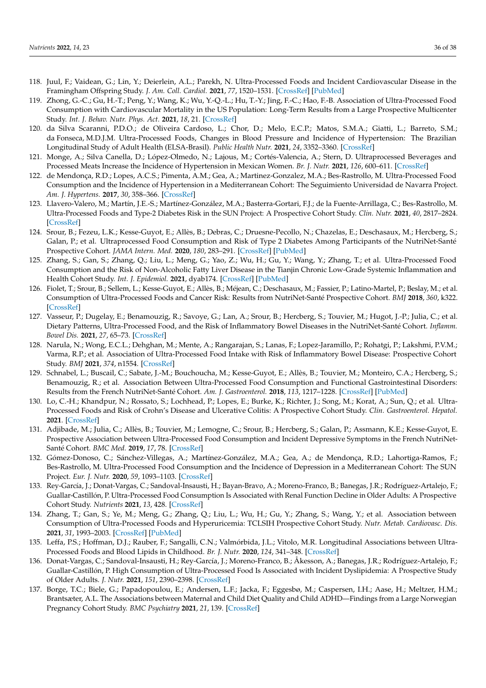- <span id="page-35-27"></span><span id="page-35-12"></span><span id="page-35-11"></span><span id="page-35-10"></span><span id="page-35-9"></span><span id="page-35-8"></span><span id="page-35-7"></span><span id="page-35-6"></span><span id="page-35-5"></span><span id="page-35-4"></span>118. Juul, F.; Vaidean, G.; Lin, Y.; Deierlein, A.L.; Parekh, N. Ultra-Processed Foods and Incident Cardiovascular Disease in the Framingham Offspring Study. *J. Am. Coll. Cardiol.* **2021**, *77*, 1520–1531. [\[CrossRef\]](http://doi.org/10.1016/j.jacc.2021.01.047) [\[PubMed\]](http://www.ncbi.nlm.nih.gov/pubmed/33766258)
- <span id="page-35-13"></span><span id="page-35-0"></span>119. Zhong, G.-C.; Gu, H.-T.; Peng, Y.; Wang, K.; Wu, Y.-Q.-L.; Hu, T.-Y.; Jing, F.-C.; Hao, F.-B. Association of Ultra-Processed Food Consumption with Cardiovascular Mortality in the US Population: Long-Term Results from a Large Prospective Multicenter Study. *Int. J. Behav. Nutr. Phys. Act.* **2021**, *18*, 21. [\[CrossRef\]](http://doi.org/10.1186/s12966-021-01081-3)
- <span id="page-35-35"></span><span id="page-35-14"></span>120. da Silva Scaranni, P.D.O.; de Oliveira Cardoso, L.; Chor, D.; Melo, E.C.P.; Matos, S.M.A.; Giatti, L.; Barreto, S.M.; da Fonseca, M.D.J.M. Ultra-Processed Foods, Changes in Blood Pressure and Incidence of Hypertension: The Brazilian Longitudinal Study of Adult Health (ELSA-Brasil). *Public Health Nutr.* **2021**, *24*, 3352–3360. [\[CrossRef\]](http://doi.org/10.1017/S136898002100094X)
- <span id="page-35-37"></span>121. Monge, A.; Silva Canella, D.; López-Olmedo, N.; Lajous, M.; Cortés-Valencia, A.; Stern, D. Ultraprocessed Beverages and Processed Meats Increase the Incidence of Hypertension in Mexican Women. *Br. J. Nutr.* **2021**, *126*, 600–611. [\[CrossRef\]](http://doi.org/10.1017/S0007114520004432)
- <span id="page-35-38"></span><span id="page-35-15"></span>122. de Mendonça, R.D.; Lopes, A.C.S.; Pimenta, A.M.; Gea, A.; Martinez-Gonzalez, M.A.; Bes-Rastrollo, M. Ultra-Processed Food Consumption and the Incidence of Hypertension in a Mediterranean Cohort: The Seguimiento Universidad de Navarra Project. *Am. J. Hypertens.* **2017**, *30*, 358–366. [\[CrossRef\]](http://doi.org/10.1093/ajh/hpw137)
- <span id="page-35-16"></span><span id="page-35-2"></span>123. Llavero-Valero, M.; Martín, J.E.-S.; Martínez-González, M.A.; Basterra-Gortari, F.J.; de la Fuente-Arrillaga, C.; Bes-Rastrollo, M. Ultra-Processed Foods and Type-2 Diabetes Risk in the SUN Project: A Prospective Cohort Study. *Clin. Nutr.* **2021**, *40*, 2817–2824. [\[CrossRef\]](http://doi.org/10.1016/j.clnu.2021.03.039)
- <span id="page-35-17"></span><span id="page-35-3"></span>124. Srour, B.; Fezeu, L.K.; Kesse-Guyot, E.; Allès, B.; Debras, C.; Druesne-Pecollo, N.; Chazelas, E.; Deschasaux, M.; Hercberg, S.; Galan, P.; et al. Ultraprocessed Food Consumption and Risk of Type 2 Diabetes Among Participants of the NutriNet-Santé Prospective Cohort. *JAMA Intern. Med.* **2020**, *180*, 283–291. [\[CrossRef\]](http://doi.org/10.1001/jamainternmed.2019.5942) [\[PubMed\]](http://www.ncbi.nlm.nih.gov/pubmed/31841598)
- <span id="page-35-29"></span><span id="page-35-18"></span>125. Zhang, S.; Gan, S.; Zhang, Q.; Liu, L.; Meng, G.; Yao, Z.; Wu, H.; Gu, Y.; Wang, Y.; Zhang, T.; et al. Ultra-Processed Food Consumption and the Risk of Non-Alcoholic Fatty Liver Disease in the Tianjin Chronic Low-Grade Systemic Inflammation and Health Cohort Study. *Int. J. Epidemiol.* **2021**, dyab174. [\[CrossRef\]](http://doi.org/10.1093/ije/dyab174) [\[PubMed\]](http://www.ncbi.nlm.nih.gov/pubmed/34528679)
- <span id="page-35-19"></span><span id="page-35-1"></span>126. Fiolet, T.; Srour, B.; Sellem, L.; Kesse-Guyot, E.; Allès, B.; Méjean, C.; Deschasaux, M.; Fassier, P.; Latino-Martel, P.; Beslay, M.; et al. Consumption of Ultra-Processed Foods and Cancer Risk: Results from NutriNet-Santé Prospective Cohort. *BMJ* **2018**, *360*, k322. [\[CrossRef\]](http://doi.org/10.1136/bmj.k322)
- <span id="page-35-24"></span><span id="page-35-20"></span>127. Vasseur, P.; Dugelay, E.; Benamouzig, R.; Savoye, G.; Lan, A.; Srour, B.; Hercberg, S.; Touvier, M.; Hugot, J.-P.; Julia, C.; et al. Dietary Patterns, Ultra-Processed Food, and the Risk of Inflammatory Bowel Diseases in the NutriNet-Santé Cohort. *Inflamm. Bowel Dis.* **2021**, *27*, 65–73. [\[CrossRef\]](http://doi.org/10.1093/ibd/izaa018)
- <span id="page-35-32"></span><span id="page-35-22"></span><span id="page-35-21"></span>128. Narula, N.; Wong, E.C.L.; Dehghan, M.; Mente, A.; Rangarajan, S.; Lanas, F.; Lopez-Jaramillo, P.; Rohatgi, P.; Lakshmi, P.V.M.; Varma, R.P.; et al. Association of Ultra-Processed Food Intake with Risk of Inflammatory Bowel Disease: Prospective Cohort Study. *BMJ* **2021**, *374*, n1554. [\[CrossRef\]](http://doi.org/10.1136/bmj.n1554)
- <span id="page-35-25"></span><span id="page-35-23"></span>129. Schnabel, L.; Buscail, C.; Sabate, J.-M.; Bouchoucha, M.; Kesse-Guyot, E.; Allès, B.; Touvier, M.; Monteiro, C.A.; Hercberg, S.; Benamouzig, R.; et al. Association Between Ultra-Processed Food Consumption and Functional Gastrointestinal Disorders: Results from the French NutriNet-Santé Cohort. *Am. J. Gastroenterol.* **2018**, *113*, 1217–1228. [\[CrossRef\]](http://doi.org/10.1038/s41395-018-0137-1) [\[PubMed\]](http://www.ncbi.nlm.nih.gov/pubmed/29904158)
- <span id="page-35-31"></span>130. Lo, C.-H.; Khandpur, N.; Rossato, S.; Lochhead, P.; Lopes, E.; Burke, K.; Richter, J.; Song, M.; Korat, A.; Sun, Q.; et al. Ultra-Processed Foods and Risk of Crohn's Disease and Ulcerative Colitis: A Prospective Cohort Study. *Clin. Gastroenterol. Hepatol.* **2021**. [\[CrossRef\]](http://doi.org/10.1016/j.cgh.2021.08.031)
- <span id="page-35-34"></span>131. Adjibade, M.; Julia, C.; Allès, B.; Touvier, M.; Lemogne, C.; Srour, B.; Hercberg, S.; Galan, P.; Assmann, K.E.; Kesse-Guyot, E. Prospective Association between Ultra-Processed Food Consumption and Incident Depressive Symptoms in the French NutriNet-Santé Cohort. *BMC Med.* **2019**, *17*, 78. [\[CrossRef\]](http://doi.org/10.1186/s12916-019-1312-y)
- <span id="page-35-26"></span>132. Gómez-Donoso, C.; Sánchez-Villegas, A.; Martínez-González, M.A.; Gea, A.; de Mendonça, R.D.; Lahortiga-Ramos, F.; Bes-Rastrollo, M. Ultra-Processed Food Consumption and the Incidence of Depression in a Mediterranean Cohort: The SUN Project. *Eur. J. Nutr.* **2020**, *59*, 1093–1103. [\[CrossRef\]](http://doi.org/10.1007/s00394-019-01970-1)
- <span id="page-35-39"></span>133. Rey-García, J.; Donat-Vargas, C.; Sandoval-Insausti, H.; Bayan-Bravo, A.; Moreno-Franco, B.; Banegas, J.R.; Rodríguez-Artalejo, F.; Guallar-Castillón, P. Ultra-Processed Food Consumption Is Associated with Renal Function Decline in Older Adults: A Prospective Cohort Study. *Nutrients* **2021**, *13*, 428. [\[CrossRef\]](http://doi.org/10.3390/nu13020428)
- <span id="page-35-30"></span>134. Zhang, T.; Gan, S.; Ye, M.; Meng, G.; Zhang, Q.; Liu, L.; Wu, H.; Gu, Y.; Zhang, S.; Wang, Y.; et al. Association between Consumption of Ultra-Processed Foods and Hyperuricemia: TCLSIH Prospective Cohort Study. *Nutr. Metab. Cardiovasc. Dis.* **2021**, *31*, 1993–2003. [\[CrossRef\]](http://doi.org/10.1016/j.numecd.2021.04.001) [\[PubMed\]](http://www.ncbi.nlm.nih.gov/pubmed/34119375)
- <span id="page-35-36"></span>135. Leffa, P.S.; Hoffman, D.J.; Rauber, F.; Sangalli, C.N.; Valmórbida, J.L.; Vitolo, M.R. Longitudinal Associations between Ultra-Processed Foods and Blood Lipids in Childhood. *Br. J. Nutr.* **2020**, *124*, 341–348. [\[CrossRef\]](http://doi.org/10.1017/S0007114520001233)
- <span id="page-35-28"></span>136. Donat-Vargas, C.; Sandoval-Insausti, H.; Rey-García, J.; Moreno-Franco, B.; Åkesson, A.; Banegas, J.R.; Rodríguez-Artalejo, F.; Guallar-Castillón, P. High Consumption of Ultra-Processed Food Is Associated with Incident Dyslipidemia: A Prospective Study of Older Adults. *J. Nutr.* **2021**, *151*, 2390–2398. [\[CrossRef\]](http://doi.org/10.1093/jn/nxab118)
- <span id="page-35-33"></span>137. Borge, T.C.; Biele, G.; Papadopoulou, E.; Andersen, L.F.; Jacka, F.; Eggesbø, M.; Caspersen, I.H.; Aase, H.; Meltzer, H.M.; Brantsæter, A.L. The Associations between Maternal and Child Diet Quality and Child ADHD—Findings from a Large Norwegian Pregnancy Cohort Study. *BMC Psychiatry* **2021**, *21*, 139. [\[CrossRef\]](http://doi.org/10.1186/s12888-021-03130-4)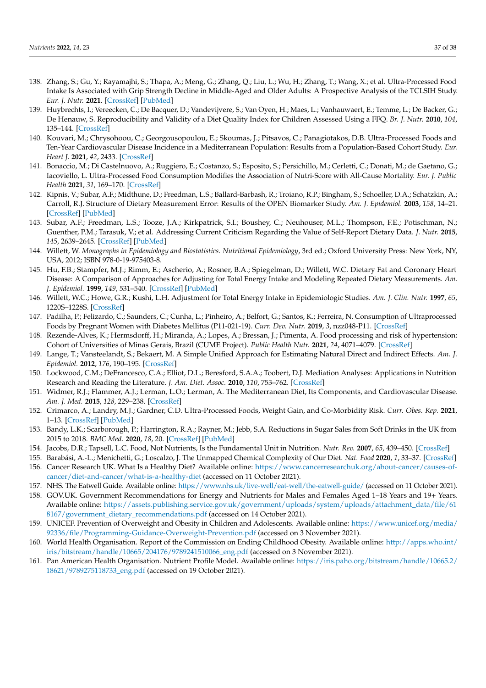- <span id="page-36-1"></span><span id="page-36-0"></span>138. Zhang, S.; Gu, Y.; Rayamajhi, S.; Thapa, A.; Meng, G.; Zhang, Q.; Liu, L.; Wu, H.; Zhang, T.; Wang, X.; et al. Ultra-Processed Food Intake Is Associated with Grip Strength Decline in Middle-Aged and Older Adults: A Prospective Analysis of the TCLSIH Study. *Eur. J. Nutr.* **2021**. [\[CrossRef\]](http://doi.org/10.1007/s00394-021-02737-3) [\[PubMed\]](http://www.ncbi.nlm.nih.gov/pubmed/34791509)
- <span id="page-36-2"></span>139. Huybrechts, I.; Vereecken, C.; De Bacquer, D.; Vandevijvere, S.; Van Oyen, H.; Maes, L.; Vanhauwaert, E.; Temme, L.; De Backer, G.; De Henauw, S. Reproducibility and Validity of a Diet Quality Index for Children Assessed Using a FFQ. *Br. J. Nutr.* **2010**, *104*, 135–144. [\[CrossRef\]](http://doi.org/10.1017/S0007114510000231)
- <span id="page-36-13"></span><span id="page-36-3"></span>140. Kouvari, M.; Chrysohoou, C.; Georgousopoulou, E.; Skoumas, J.; Pitsavos, C.; Panagiotakos, D.B. Ultra-Processed Foods and Ten-Year Cardiovascular Disease Incidence in a Mediterranean Population: Results from a Population-Based Cohort Study. *Eur. Heart J.* **2021**, *42*, 2433. [\[CrossRef\]](http://doi.org/10.1093/eurheartj/ehab724.2433)
- <span id="page-36-4"></span>141. Bonaccio, M.; Di Castelnuovo, A.; Ruggiero, E.; Costanzo, S.; Esposito, S.; Persichillo, M.; Cerletti, C.; Donati, M.; de Gaetano, G.; Iacoviello, L. Ultra-Processed Food Consumption Modifies the Association of Nutri-Score with All-Cause Mortality. *Eur. J. Public Health* **2021**, *31*, 169–170. [\[CrossRef\]](http://doi.org/10.1093/eurpub/ckab164.448)
- <span id="page-36-5"></span>142. Kipnis, V.; Subar, A.F.; Midthune, D.; Freedman, L.S.; Ballard-Barbash, R.; Troiano, R.P.; Bingham, S.; Schoeller, D.A.; Schatzkin, A.; Carroll, R.J. Structure of Dietary Measurement Error: Results of the OPEN Biomarker Study. *Am. J. Epidemiol.* **2003**, *158*, 14–21. [\[CrossRef\]](http://doi.org/10.1093/aje/kwg091) [\[PubMed\]](http://www.ncbi.nlm.nih.gov/pubmed/12835281)
- <span id="page-36-6"></span>143. Subar, A.F.; Freedman, L.S.; Tooze, J.A.; Kirkpatrick, S.I.; Boushey, C.; Neuhouser, M.L.; Thompson, F.E.; Potischman, N.; Guenther, P.M.; Tarasuk, V.; et al. Addressing Current Criticism Regarding the Value of Self-Report Dietary Data. *J. Nutr.* **2015**, *145*, 2639–2645. [\[CrossRef\]](http://doi.org/10.3945/jn.115.219634) [\[PubMed\]](http://www.ncbi.nlm.nih.gov/pubmed/26468491)
- <span id="page-36-7"></span>144. Willett, W. *Monographs in Epidemiology and Biostatistics. Nutritional Epidemiology*, 3rd ed.; Oxford University Press: New York, NY, USA, 2012; ISBN 978-0-19-975403-8.
- <span id="page-36-8"></span>145. Hu, F.B.; Stampfer, M.J.; Rimm, E.; Ascherio, A.; Rosner, B.A.; Spiegelman, D.; Willett, W.C. Dietary Fat and Coronary Heart Disease: A Comparison of Approaches for Adjusting for Total Energy Intake and Modeling Repeated Dietary Measurements. *Am. J. Epidemiol.* **1999**, *149*, 531–540. [\[CrossRef\]](http://doi.org/10.1093/oxfordjournals.aje.a009849) [\[PubMed\]](http://www.ncbi.nlm.nih.gov/pubmed/10084242)
- <span id="page-36-9"></span>146. Willett, W.C.; Howe, G.R.; Kushi, L.H. Adjustment for Total Energy Intake in Epidemiologic Studies. *Am. J. Clin. Nutr.* **1997**, *65*, 1220S–1228S. [\[CrossRef\]](http://doi.org/10.1093/ajcn/65.4.1220S)
- <span id="page-36-10"></span>147. Padilha, P.; Felizardo, C.; Saunders, C.; Cunha, L.; Pinheiro, A.; Belfort, G.; Santos, K.; Ferreira, N. Consumption of Ultraprocessed Foods by Pregnant Women with Diabetes Mellitus (P11-021-19). *Curr. Dev. Nutr.* **2019**, *3*, nzz048-P11. [\[CrossRef\]](http://doi.org/10.1093/cdn/nzz048.P11-021-19)
- 148. Rezende-Alves, K.; Hermsdorff, H.; Miranda, A.; Lopes, A.; Bressan, J.; Pimenta, A. Food processing and risk of hypertension: Cohort of Universities of Minas Gerais, Brazil (CUME Project). *Public Health Nutr.* **2021**, *24*, 4071–4079. [\[CrossRef\]](http://doi.org/10.1017/S1368980020002074)
- <span id="page-36-11"></span>149. Lange, T.; Vansteelandt, S.; Bekaert, M. A Simple Unified Approach for Estimating Natural Direct and Indirect Effects. *Am. J. Epidemiol.* **2012**, *176*, 190–195. [\[CrossRef\]](http://doi.org/10.1093/aje/kwr525)
- <span id="page-36-12"></span>150. Lockwood, C.M.; DeFrancesco, C.A.; Elliot, D.L.; Beresford, S.A.A.; Toobert, D.J. Mediation Analyses: Applications in Nutrition Research and Reading the Literature. *J. Am. Diet. Assoc.* **2010**, *110*, 753–762. [\[CrossRef\]](http://doi.org/10.1016/j.jada.2010.02.005)
- <span id="page-36-14"></span>151. Widmer, R.J.; Flammer, A.J.; Lerman, L.O.; Lerman, A. The Mediterranean Diet, Its Components, and Cardiovascular Disease. *Am. J. Med.* **2015**, *128*, 229–238. [\[CrossRef\]](http://doi.org/10.1016/j.amjmed.2014.10.014)
- <span id="page-36-15"></span>152. Crimarco, A.; Landry, M.J.; Gardner, C.D. Ultra-Processed Foods, Weight Gain, and Co-Morbidity Risk. *Curr. Obes. Rep.* **2021**, 1–13. [\[CrossRef\]](http://doi.org/10.1007/s13679-021-00460-y) [\[PubMed\]](http://www.ncbi.nlm.nih.gov/pubmed/34677812)
- <span id="page-36-16"></span>153. Bandy, L.K.; Scarborough, P.; Harrington, R.A.; Rayner, M.; Jebb, S.A. Reductions in Sugar Sales from Soft Drinks in the UK from 2015 to 2018. *BMC Med.* **2020**, *18*, 20. [\[CrossRef\]](http://doi.org/10.1186/s12916-019-1477-4) [\[PubMed\]](http://www.ncbi.nlm.nih.gov/pubmed/31931800)
- <span id="page-36-17"></span>154. Jacobs, D.R.; Tapsell, L.C. Food, Not Nutrients, Is the Fundamental Unit in Nutrition. *Nutr. Rev.* **2007**, *65*, 439–450. [\[CrossRef\]](http://doi.org/10.1111/j.1753-4887.2007.tb00269.x)
- <span id="page-36-18"></span>155. Barabási, A.-L.; Menichetti, G.; Loscalzo, J. The Unmapped Chemical Complexity of Our Diet. *Nat. Food* **2020**, *1*, 33–37. [\[CrossRef\]](http://doi.org/10.1038/s43016-019-0005-1)
- <span id="page-36-19"></span>156. Cancer Research UK. What Is a Healthy Diet? Available online: [https://www.cancerresearchuk.org/about-cancer/causes-of](https://www.cancerresearchuk.org/about-cancer/causes-of-cancer/diet-and-cancer/what-is-a-healthy-diet)[cancer/diet-and-cancer/what-is-a-healthy-diet](https://www.cancerresearchuk.org/about-cancer/causes-of-cancer/diet-and-cancer/what-is-a-healthy-diet) (accessed on 11 October 2021).
- 157. NHS. The Eatwell Guide. Available online: <https://www.nhs.uk/live-well/eat-well/the-eatwell-guide/> (accessed on 11 October 2021).
- <span id="page-36-20"></span>158. GOV.UK. Government Recommendations for Energy and Nutrients for Males and Females Aged 1–18 Years and 19+ Years. Available online: [https://assets.publishing.service.gov.uk/government/uploads/system/uploads/attachment\\_data/file/61](https://assets.publishing.service.gov.uk/government/uploads/system/uploads/attachment_data/file/618167/government_dietary_recommendations.pdf) [8167/government\\_dietary\\_recommendations.pdf](https://assets.publishing.service.gov.uk/government/uploads/system/uploads/attachment_data/file/618167/government_dietary_recommendations.pdf) (accessed on 14 October 2021).
- <span id="page-36-21"></span>159. UNICEF. Prevention of Overweight and Obesity in Children and Adolescents. Available online: [https://www.unicef.org/media/](https://www.unicef.org/media/92336/file/Programming-Guidance-Overweight-Prevention.pdf) [92336/file/Programming-Guidance-Overweight-Prevention.pdf](https://www.unicef.org/media/92336/file/Programming-Guidance-Overweight-Prevention.pdf) (accessed on 3 November 2021).
- <span id="page-36-22"></span>160. World Health Organisation. Report of the Commission on Ending Childhood Obesity. Available online: [http://apps.who.int/](http://apps.who.int/iris/bitstream/handle/10665/204176/9789241510066_eng.pdf) [iris/bitstream/handle/10665/204176/9789241510066\\_eng.pdf](http://apps.who.int/iris/bitstream/handle/10665/204176/9789241510066_eng.pdf) (accessed on 3 November 2021).
- <span id="page-36-23"></span>161. Pan American Health Organisation. Nutrient Profile Model. Available online: [https://iris.paho.org/bitstream/handle/10665.2/](https://iris.paho.org/bitstream/handle/10665.2/18621/9789275118733_eng.pdf) [18621/9789275118733\\_eng.pdf](https://iris.paho.org/bitstream/handle/10665.2/18621/9789275118733_eng.pdf) (accessed on 19 October 2021).